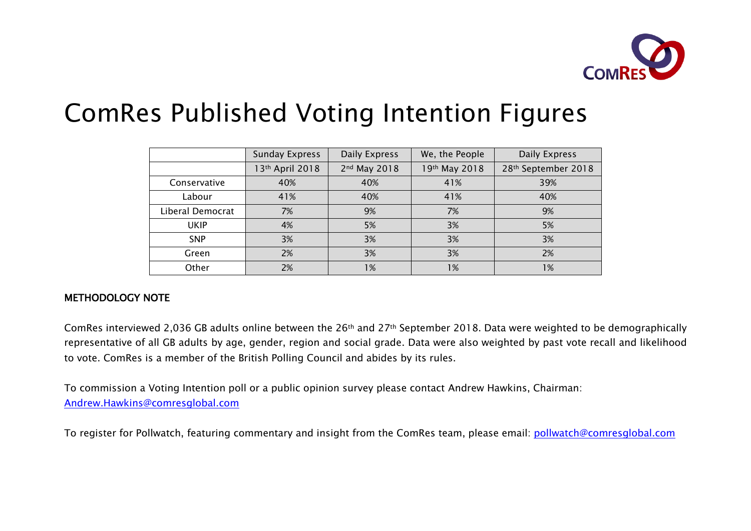

# ComRes Published Voting Intention Figures

|                  | <b>Sunday Express</b> | Daily Express | We, the People | Daily Express       |
|------------------|-----------------------|---------------|----------------|---------------------|
|                  | 13th April 2018       | 2nd May 2018  | 19th May 2018  | 28th September 2018 |
| Conservative     | 40%                   | 40%           | 41%            | 39%                 |
| Labour           | 41%                   | 40%           | 41%            | 40%                 |
| Liberal Democrat | 7%                    | 9%            | 7%             | 9%                  |
| <b>UKIP</b>      | 4%                    | 5%            | 3%             | 5%                  |
| <b>SNP</b>       | 3%                    | 3%            | 3%             | 3%                  |
| Green            | 2%                    | 3%            | 3%             | 2%                  |
| Other            | 2%                    | 1%            | 1%             | 1%                  |

# METHODOLOGY NOTE

ComRes interviewed 2,036 GB adults online between the 26th and 27th September 2018. Data were weighted to be demographically representative of all GB adults by age, gender, region and social grade. Data were also weighted by past vote recall and likelihood to vote. ComRes is a member of the British Polling Council and abides by its rules.

To commission a Voting Intention poll or a public opinion survey please contact Andrew Hawkins, Chairman: Andrew.Hawkins@comresglobal.com

To register for Pollwatch, featuring commentary and insight from the ComRes team, please email: pollwatch@comresglobal.com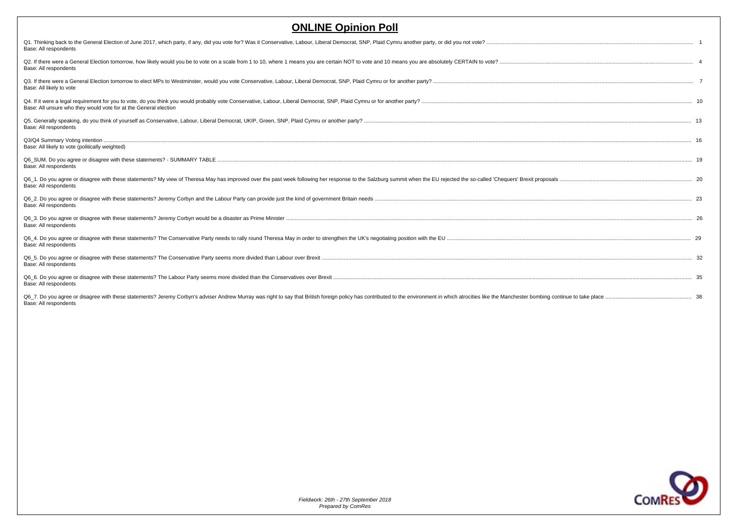| Q1. Thinking back to the General Election of June 2017, which party, if any, did you vote for? Was it Conservative, Labour, Liberal Democrat, SNP, Plaid Cymru another party, or did you not vote?<br>Base: All respondents                             |  |
|---------------------------------------------------------------------------------------------------------------------------------------------------------------------------------------------------------------------------------------------------------|--|
| Q2. If there were a General Election tomorrow, how likely would you be to vote on a scale from 1 to 10, where 1 means you are certain NOT to vote and 10 means you are absolutely CERTAIN to vote?<br>Base: All respondents                             |  |
| Base: All likely to vote                                                                                                                                                                                                                                |  |
| Base: All unsure who they would vote for at the General election                                                                                                                                                                                        |  |
| Base: All respondents                                                                                                                                                                                                                                   |  |
| Base: All likely to vote (politically weighted)                                                                                                                                                                                                         |  |
| Base: All respondents                                                                                                                                                                                                                                   |  |
| Q6 1. Do you agree or disagree with these statements? My view of Theresa May has improved over the past week following her response to the Salzburg summit when the EU rejected the so-called 'Chequers' Brexit proposals<br>Base: All respondents      |  |
| Base: All respondents                                                                                                                                                                                                                                   |  |
| Base: All respondents                                                                                                                                                                                                                                   |  |
| Base: All respondents                                                                                                                                                                                                                                   |  |
| Base: All respondents                                                                                                                                                                                                                                   |  |
| Base: All respondents                                                                                                                                                                                                                                   |  |
| Q6 7. Do you agree or disagree with these statements? Jeremy Corbyn's adviser Andrew Murray was right to say that British foreign policy has contributed to the environment in which atrocities like the Manchester bombing co<br>Base: All respondents |  |

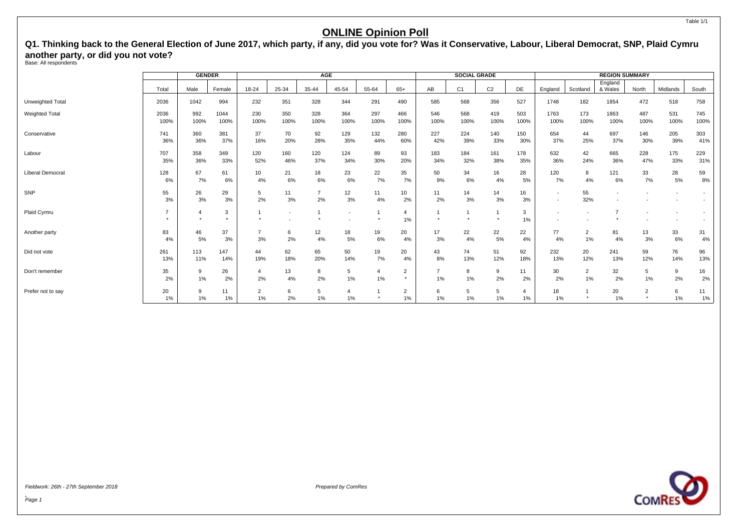<span id="page-2-0"></span>**Q1. Thinking back to the General Election of June 2017, which party, if any, did you vote for? Was it Conservative, Labour, Liberal Democrat, SNP, Plaid Cymru another party, or did you not vote?** Base: All respondents

|                         |              | <b>GENDER</b> |              |                      |                          | <b>AGE</b>           |                          |             |                      |             | <b>SOCIAL GRADE</b> |                |             |                                                      |                      | <b>REGION SUMMARY</b> |              |             |             |
|-------------------------|--------------|---------------|--------------|----------------------|--------------------------|----------------------|--------------------------|-------------|----------------------|-------------|---------------------|----------------|-------------|------------------------------------------------------|----------------------|-----------------------|--------------|-------------|-------------|
|                         | Total        | Male          | Female       | 18-24                | 25-34                    | 35-44                | 45-54                    | 55-64       | $65+$                | AB          | C <sub>1</sub>      | C <sub>2</sub> | DE          | England                                              | Scotland             | England<br>& Wales    | North        | Midlands    | South       |
| Unweighted Total        | 2036         | 1042          | 994          | 232                  | 351                      | 328                  | 344                      | 291         | 490                  | 585         | 568                 | 356            | 527         | 1748                                                 | 182                  | 1854                  | 472          | 518         | 758         |
| <b>Weighted Total</b>   | 2036<br>100% | 992<br>100%   | 1044<br>100% | 230<br>100%          | 350<br>100%              | 328<br>100%          | 364<br>100%              | 297<br>100% | 466<br>100%          | 546<br>100% | 568<br>100%         | 419<br>100%    | 503<br>100% | 1763<br>100%                                         | 173<br>100%          | 1863<br>100%          | 487<br>100%  | 531<br>100% | 745<br>100% |
| Conservative            | 741<br>36%   | 360<br>36%    | 381<br>37%   | 37<br>16%            | 70<br>20%                | 92<br>28%            | 129<br>35%               | 132<br>44%  | 280<br>60%           | 227<br>42%  | 224<br>39%          | 140<br>33%     | 150<br>30%  | 654<br>37%                                           | 44<br>25%            | 697<br>37%            | 146<br>30%   | 205<br>39%  | 303<br>41%  |
| Labour                  | 707<br>35%   | 358<br>36%    | 349<br>33%   | 120<br>52%           | 160<br>46%               | 120<br>37%           | 124<br>34%               | 89<br>30%   | 93<br>20%            | 183<br>34%  | 184<br>32%          | 161<br>38%     | 178<br>35%  | 632<br>36%                                           | 42<br>24%            | 665<br>36%            | 228<br>47%   | 175<br>33%  | 229<br>31%  |
| <b>Liberal Democrat</b> | 128<br>6%    | 67<br>7%      | 61<br>6%     | 10<br>4%             | 21<br>6%                 | 18<br>6%             | 23<br>6%                 | 22<br>7%    | 35<br>7%             | 50<br>9%    | 34<br>6%            | 16<br>4%       | 28<br>5%    | 120<br>7%                                            | 8<br>4%              | 121<br>6%             | 33<br>7%     | 28<br>5%    | 59<br>$8\%$ |
| SNP                     | 55<br>3%     | 26<br>3%      | 29<br>3%     | 5<br>2%              | 11<br>3%                 | $\overline{7}$<br>2% | 12<br>3%                 | 11<br>4%    | 10<br>2%             | 11<br>2%    | 14<br>3%            | 14<br>3%       | 16<br>3%    | $\overline{\phantom{a}}$<br>$\overline{\phantom{a}}$ | 55<br>32%            |                       |              |             |             |
| Plaid Cymru             | 7            |               | 3<br>$\star$ | $\star$              | $\overline{\phantom{a}}$ |                      | $\overline{\phantom{a}}$ |             | 4<br>1%              |             | $\mathbf{1}$        |                | 3<br>1%     |                                                      |                      | 7                     |              |             |             |
| Another party           | 83<br>4%     | 46<br>5%      | 37<br>3%     | 7<br>3%              | 6<br>2%                  | 12<br>4%             | 18<br>5%                 | 19<br>6%    | 20<br>4%             | 17<br>3%    | 22<br>4%            | 22<br>5%       | 22<br>4%    | 77<br>4%                                             | $\overline{2}$<br>1% | 81<br>4%              | 13<br>3%     | 33<br>6%    | 31<br>4%    |
| Did not vote            | 261<br>13%   | 113<br>11%    | 147<br>14%   | 44<br>19%            | 62<br>18%                | 65<br>20%            | 50<br>14%                | 19<br>7%    | 20<br>4%             | 43<br>8%    | 74<br>13%           | 51<br>12%      | 92<br>18%   | 232<br>13%                                           | 20<br>12%            | 241<br>13%            | 59<br>12%    | 76<br>14%   | 96<br>13%   |
| Don't remember          | 35<br>2%     | 9<br>1%       | 26<br>2%     | $\overline{4}$<br>2% | 13<br>4%                 | 8<br>2%              | 5<br>1%                  | 4<br>$1\%$  | 2<br>$\star$         | $1\%$       | 8<br>$1\%$          | 9<br>2%        | 11<br>2%    | 30<br>2%                                             | $\overline{2}$<br>1% | 32<br>2%              | 5<br>$1\%$   | 9<br>2%     | 16<br>2%    |
| Prefer not to say       | 20<br>1%     | 9<br>1%       | 11<br>1%     | $\overline{2}$<br>1% | 6<br>2%                  | 5<br>1%              | 1%                       |             | $\overline{2}$<br>1% | 6<br>$1\%$  | 5<br>1%             | 5<br>1%        | 4<br>1%     | 18<br>1%                                             |                      | 20<br>1%              | 2<br>$\star$ | 6<br>1%     | 11<br>$1\%$ |



Fieldwork: 26th - 27th September 2018 Prepared by ComRes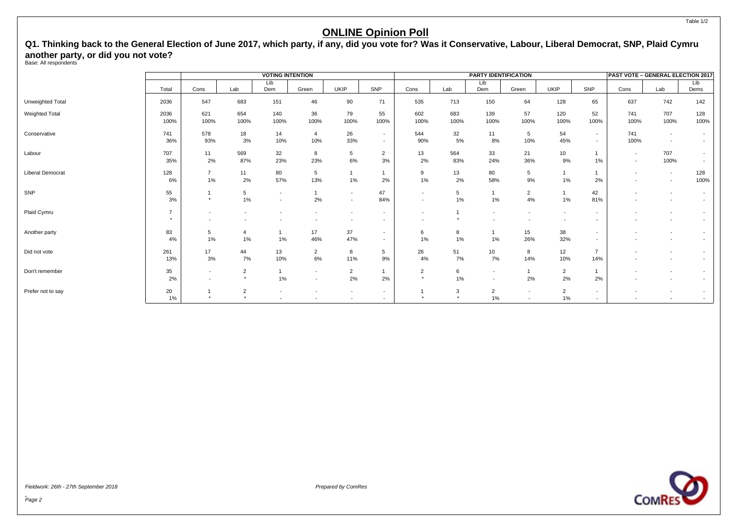**Q1. Thinking back to the General Election of June 2017, which party, if any, did you vote for? Was it Conservative, Labour, Liberal Democrat, SNP, Plaid Cymru another party, or did you not vote?** Base: All respondents

|                         |                                        |                                                      |                            | <b>VOTING INTENTION</b>                    |                                  |                                                      |                                                      |                           |              | <b>PARTY IDENTIFICATION</b>                |                                                      |                          |                                                      | PAST VOTE - GENERAL ELECTION 2017 |                                                      |                                                      |
|-------------------------|----------------------------------------|------------------------------------------------------|----------------------------|--------------------------------------------|----------------------------------|------------------------------------------------------|------------------------------------------------------|---------------------------|--------------|--------------------------------------------|------------------------------------------------------|--------------------------|------------------------------------------------------|-----------------------------------|------------------------------------------------------|------------------------------------------------------|
|                         | Total                                  | Cons                                                 | Lab                        | Lib<br>Dem                                 | Green                            | <b>UKIP</b>                                          | SNP                                                  | Cons                      | Lab          | Lib<br>Dem                                 | Green                                                | UKIP                     | SNP                                                  | Cons                              | Lab                                                  | Lib<br>Dems                                          |
| Unweighted Total        | 2036                                   | 547                                                  | 683                        | 151                                        | 46                               | 90                                                   | 71                                                   | 535                       | 713          | 150                                        | 64                                                   | 128                      | 65                                                   | 637                               | 742                                                  | 142                                                  |
| Weighted Total          | 2036<br>100%                           | 621<br>100%                                          | 654<br>100%                | 140<br>100%                                | 36<br>100%                       | 79<br>100%                                           | 55<br>100%                                           | 602<br>100%               | 683<br>100%  | 139<br>100%                                | 57<br>100%                                           | 120<br>100%              | 52<br>100%                                           | 741<br>100%                       | 707<br>100%                                          | 128<br>100%                                          |
| Conservative            | 741<br>36%                             | 578<br>93%                                           | 18<br>3%                   | 14<br>10%                                  | $\overline{4}$<br>10%            | 26<br>33%                                            | $\sim$<br>$\sim$                                     | 544<br>90%                | 32<br>5%     | 11<br>8%                                   | 5<br>10%                                             | 54<br>45%                | $\overline{\phantom{a}}$<br>$\overline{\phantom{0}}$ | 741<br>100%                       | $\overline{\phantom{a}}$<br>$\sim$                   | $\overline{\phantom{0}}$                             |
| Labour                  | 707<br>35%                             | 11<br>2%                                             | 569<br>87%                 | 32<br>23%                                  | 8<br>23%                         | 5<br>$6\%$                                           | $\overline{2}$<br>3%                                 | 13<br>2%                  | 564<br>83%   | 33<br>24%                                  | 21<br>36%                                            | 10<br>9%                 | 1<br>$1\%$                                           | $\sim$<br>$\sim$                  | 707<br>100%                                          |                                                      |
| <b>Liberal Democrat</b> | 128<br>6%                              | $\overline{7}$<br>1%                                 | 11<br>2%                   | 80<br>57%                                  | 5<br>13%                         | $1\%$                                                | 2%                                                   | 9<br>1%                   | 13<br>2%     | 80<br>58%                                  | 5<br>9%                                              | 1<br>1%                  | 2%                                                   | $\overline{\phantom{a}}$          | $\sim$<br>$\overline{\phantom{a}}$                   | 128<br>100%                                          |
| SNP                     | 55<br>3%                               | $\overline{1}$<br>$\star$                            | $5\phantom{.0}$<br>1%      | $\overline{\phantom{0}}$<br>$\overline{a}$ | $\overline{ }$<br>2%             | $\overline{\phantom{a}}$<br>$\overline{\phantom{a}}$ | 47<br>84%                                            | $\overline{\phantom{a}}$  | 5<br>1%      | 1%                                         | $\overline{2}$<br>4%                                 | $\overline{1}$<br>1%     | 42<br>81%                                            | $\overline{\phantom{a}}$          | $\overline{\phantom{a}}$                             | $\overline{\phantom{0}}$                             |
| Plaid Cymru             | $\overline{7}$<br>$\ddot{\phantom{1}}$ | $\overline{\phantom{a}}$<br>$\overline{\phantom{a}}$ | $\overline{\phantom{a}}$   |                                            |                                  | $\overline{\phantom{a}}$                             | $\overline{\phantom{a}}$<br>$\overline{\phantom{a}}$ | $\overline{\phantom{a}}$  |              | $\overline{\phantom{a}}$                   |                                                      | $\overline{\phantom{a}}$ |                                                      |                                   | $\overline{\phantom{a}}$                             |                                                      |
| Another party           | 83<br>4%                               | 5<br>1%                                              | $\overline{4}$<br>1%       | 1%                                         | 17<br>46%                        | 37<br>47%                                            | $\overline{\phantom{a}}$<br>$\sim$                   | 6<br>1%                   | 8<br>1%      | 1%                                         | 15<br>26%                                            | 38<br>32%                | $\sim$                                               |                                   |                                                      |                                                      |
| Did not vote            | 261<br>13%                             | 17<br>3%                                             | 44<br>7%                   | 13<br>10%                                  | $\overline{2}$<br>6%             | 8<br>11%                                             | 5<br>9%                                              | 26<br>4%                  | 51<br>7%     | 10<br>7%                                   | 8<br>14%                                             | 12<br>10%                | $\overline{7}$<br>14%                                |                                   |                                                      |                                                      |
| Don't remember          | 35<br>2%                               | $\overline{\phantom{a}}$<br>$\overline{\phantom{a}}$ | $\overline{2}$<br>$^\star$ | 1%                                         | $\overline{a}$<br>$\overline{a}$ | $\overline{2}$<br>2%                                 | $\mathbf{1}$<br>2%                                   | $\overline{2}$<br>$\star$ | 6<br>1%      | $\overline{\phantom{a}}$<br>$\blacksquare$ | $\mathbf{1}$<br>2%                                   | $\overline{2}$<br>2%     | 1<br>2%                                              |                                   | $\overline{\phantom{0}}$<br>$\overline{\phantom{0}}$ |                                                      |
| Prefer not to say       | 20<br>$1\%$                            | $\star$                                              | $\overline{2}$<br>$\star$  | $\overline{a}$                             | $\overline{\phantom{a}}$         | $\overline{\phantom{a}}$<br>$\overline{\phantom{a}}$ | $\sim$<br>$\sim$                                     | $\rightarrow$             | 3<br>$\star$ | $\overline{2}$<br>1%                       | $\overline{\phantom{a}}$<br>$\overline{\phantom{a}}$ | $\overline{2}$<br>$1\%$  | $\sim$<br>$\sim$                                     | $\overline{\phantom{a}}$          | $\overline{\phantom{a}}$                             | $\overline{\phantom{0}}$<br>$\overline{\phantom{a}}$ |



**COMRI** 

Fieldwork: 26th - 27th September 2018 Prepared by ComRes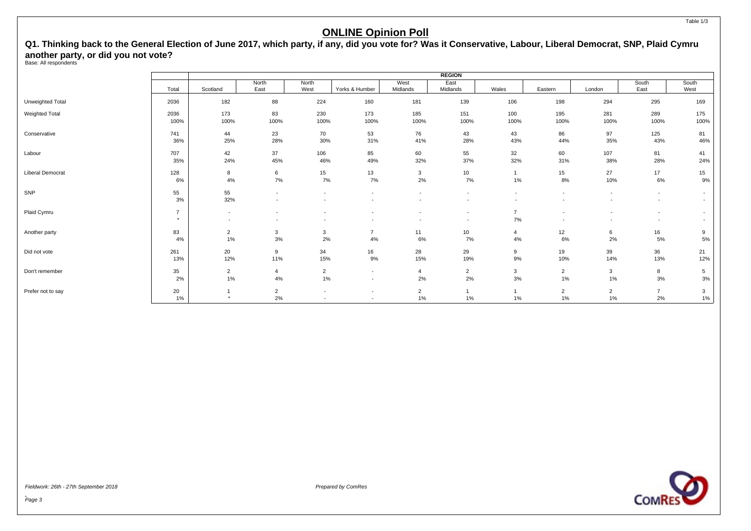**Q1. Thinking back to the General Election of June 2017, which party, if any, did you vote for? Was it Conservative, Labour, Liberal Democrat, SNP, Plaid Cymru another party, or did you not vote?** Base: All respondents

|                         |                           |                  |                          |                                                      |                                            |                                    | <b>REGION</b>                                        |                                            |                                                      |                          |                                                      |                                                      |
|-------------------------|---------------------------|------------------|--------------------------|------------------------------------------------------|--------------------------------------------|------------------------------------|------------------------------------------------------|--------------------------------------------|------------------------------------------------------|--------------------------|------------------------------------------------------|------------------------------------------------------|
|                         | Total                     | Scotland         | North<br>East            | North<br>West                                        | Yorks & Humber                             | West<br>Midlands                   | East<br>Midlands                                     | Wales                                      | Eastern                                              | London                   | South<br>East                                        | South<br>West                                        |
| Unweighted Total        | 2036                      | 182              | 88                       | 224                                                  | 160                                        | 181                                | 139                                                  | 106                                        | 198                                                  | 294                      | 295                                                  | 169                                                  |
| Weighted Total          | 2036                      | 173              | 83                       | 230                                                  | 173                                        | 185                                | 151                                                  | 100                                        | 195                                                  | 281                      | 289                                                  | 175                                                  |
|                         | 100%                      | 100%             | 100%                     | 100%                                                 | 100%                                       | 100%                               | 100%                                                 | 100%                                       | 100%                                                 | 100%                     | 100%                                                 | 100%                                                 |
| Conservative            | 741                       | 44               | 23                       | 70                                                   | 53                                         | 76                                 | 43                                                   | 43                                         | 86                                                   | 97                       | 125                                                  | 81                                                   |
|                         | 36%                       | 25%              | 28%                      | 30%                                                  | 31%                                        | 41%                                | 28%                                                  | 43%                                        | 44%                                                  | 35%                      | 43%                                                  | 46%                                                  |
| Labour                  | 707                       | 42               | 37                       | 106                                                  | 85                                         | 60                                 | 55                                                   | 32                                         | 60                                                   | 107                      | 81                                                   | 41                                                   |
|                         | 35%                       | 24%              | 45%                      | 46%                                                  | 49%                                        | 32%                                | 37%                                                  | 32%                                        | 31%                                                  | 38%                      | 28%                                                  | 24%                                                  |
| <b>Liberal Democrat</b> | 128                       | 8                | 6                        | 15                                                   | 13                                         | 3                                  | 10                                                   | $\mathbf{1}$                               | 15                                                   | 27                       | 17                                                   | 15                                                   |
|                         | 6%                        | 4%               | $7\%$                    | 7%                                                   | 7%                                         | 2%                                 | 7%                                                   | 1%                                         | 8%                                                   | 10%                      | 6%                                                   | 9%                                                   |
| SNP                     | 55<br>3%                  | 55<br>32%        | $\overline{\phantom{a}}$ | $\overline{\phantom{a}}$<br>$\overline{\phantom{a}}$ | $\overline{\phantom{a}}$                   | $\sim$<br>$\overline{\phantom{a}}$ | $\overline{\phantom{a}}$<br>$\blacksquare$           | $\overline{\phantom{a}}$<br>$\overline{a}$ | $\overline{\phantom{a}}$<br>$\overline{\phantom{a}}$ |                          | $\overline{\phantom{a}}$<br>$\overline{\phantom{a}}$ | $\overline{\phantom{0}}$<br>$\overline{\phantom{a}}$ |
| Plaid Cymru             | $\overline{7}$<br>$\star$ | $\sim$<br>$\sim$ | $\overline{\phantom{a}}$ | $\overline{\phantom{a}}$                             | $\overline{\phantom{a}}$                   | $\overline{\phantom{a}}$           | $\overline{\phantom{a}}$<br>$\overline{\phantom{a}}$ | $\overline{7}$<br>7%                       | $\overline{\phantom{a}}$<br>$\overline{\phantom{a}}$ | $\overline{\phantom{a}}$ | $\overline{\phantom{a}}$<br>$\overline{\phantom{a}}$ | $\overline{\phantom{0}}$<br>$\overline{\phantom{a}}$ |
| Another party           | 83                        | $\overline{2}$   | 3                        | $\mathbf{3}$                                         | $\overline{7}$                             | 11                                 | 10                                                   | $\overline{4}$                             | 12                                                   | 6                        | 16                                                   | 9                                                    |
|                         | 4%                        | $1\%$            | 3%                       | 2%                                                   | 4%                                         | 6%                                 | 7%                                                   | $4\%$                                      | 6%                                                   | 2%                       | 5%                                                   | 5%                                                   |
| Did not vote            | 261                       | 20               | 9                        | 34                                                   | 16                                         | 28                                 | 29                                                   | 9                                          | 19                                                   | 39                       | 36                                                   | 21                                                   |
|                         | 13%                       | 12%              | 11%                      | 15%                                                  | 9%                                         | 15%                                | 19%                                                  | 9%                                         | 10%                                                  | 14%                      | 13%                                                  | 12%                                                  |
| Don't remember          | 35                        | $\overline{2}$   | $\overline{4}$           | $\overline{2}$                                       | $\overline{\phantom{a}}$                   | 4                                  | $\overline{2}$                                       | $\mathbf{3}$                               | $\overline{2}$                                       | 3                        | 8                                                    | 5                                                    |
|                         | 2%                        | 1%               | 4%                       | 1%                                                   | $\overline{\phantom{a}}$                   | 2%                                 | 2%                                                   | 3%                                         | 1%                                                   | 1%                       | 3%                                                   | $3%$                                                 |
| Prefer not to say       | 20<br>$1\%$               | $^\star$         | $\overline{2}$<br>2%     | $\overline{\phantom{a}}$<br>$\overline{\phantom{a}}$ | $\overline{\phantom{a}}$<br>$\overline{a}$ | $\overline{2}$<br>$1\%$            | $1\%$                                                | 1%                                         | $\overline{2}$<br>1%                                 | $\overline{2}$<br>1%     | $\overline{7}$<br>2%                                 | 3<br>$1\%$                                           |



Fieldwork: 26th - 27th September 2018 Prepared by ComRes

Table 1/3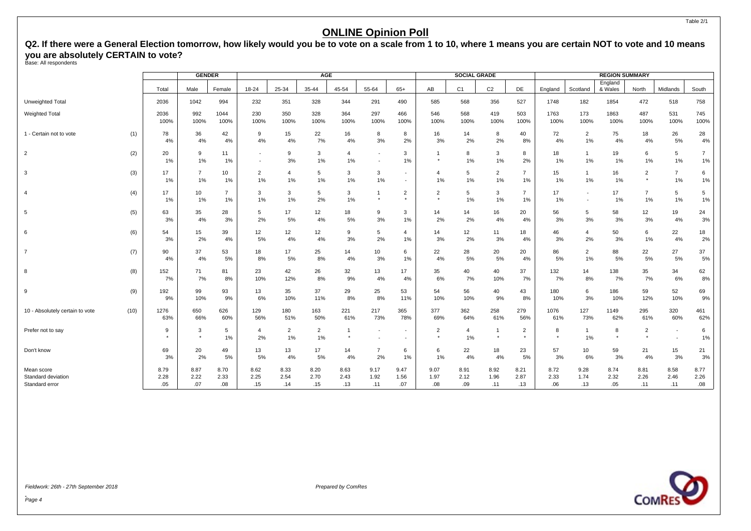<span id="page-5-0"></span>**Q2. If there were a General Election tomorrow, how likely would you be to vote on a scale from 1 to 10, where 1 means you are certain NOT to vote and 10 means you are absolutely CERTAIN to vote?** Base: All respondents

|                                                    |      |                     | <b>GENDER</b>        |                      |                          |                      | AGE                   |                      |                                                      |                          |                           | SOCIAL GRADE         |                      |                           |                     |                      | <b>REGION SUMMARY</b> |                           |                          |                     |
|----------------------------------------------------|------|---------------------|----------------------|----------------------|--------------------------|----------------------|-----------------------|----------------------|------------------------------------------------------|--------------------------|---------------------------|----------------------|----------------------|---------------------------|---------------------|----------------------|-----------------------|---------------------------|--------------------------|---------------------|
|                                                    |      | Total               | Male                 | Female               | 18-24                    | 25-34                | 35-44                 | 45-54                | 55-64                                                | $65+$                    | AB                        | C <sub>1</sub>       | C <sub>2</sub>       | DE                        | England             | Scotland             | England<br>& Wales    | North                     | Midlands                 | South               |
| <b>Unweighted Total</b>                            |      | 2036                | 1042                 | 994                  | 232                      | 351                  | 328                   | 344                  | 291                                                  | 490                      | 585                       | 568                  | 356                  | 527                       | 1748                | 182                  | 1854                  | 472                       | 518                      | 758                 |
| <b>Weighted Total</b>                              |      | 2036<br>100%        | 992<br>100%          | 1044<br>100%         | 230<br>100%              | 350<br>100%          | 328<br>100%           | 364<br>100%          | 297<br>100%                                          | 466<br>100%              | 546<br>100%               | 568<br>100%          | 419<br>100%          | 503<br>100%               | 1763<br>100%        | 173<br>100%          | 1863<br>100%          | 487<br>100%               | 531<br>100%              | 745<br>100%         |
| 1 - Certain not to vote                            | (1)  | 78<br>4%            | 36<br>4%             | 42<br>4%             | 9<br>4%                  | 15<br>4%             | 22<br>7%              | 16<br>4%             | 8<br>3%                                              | 8<br>2%                  | 16<br>3%                  | 14<br>2%             | 8<br>2%              | 40<br>8%                  | 72<br>4%            | $\overline{2}$<br>1% | 75<br>4%              | 18<br>4%                  | 26<br>5%                 | 28<br>4%            |
| $\overline{2}$                                     | (2)  | 20<br>1%            | 9<br>1%              | 11<br>1%             | $\overline{\phantom{a}}$ | 9<br>3%              | 3<br>1%               | $\overline{4}$<br>1% | $\overline{\phantom{a}}$<br>$\overline{\phantom{a}}$ | 3<br>1%                  |                           | 8<br>1%              | 3<br>1%              | 8<br>2%                   | 18<br>1%            | 1<br>1%              | 19<br>1%              | 6<br>1%                   | 5<br>1%                  | 7<br>1%             |
| 3                                                  | (3)  | 17<br>1%            | $\overline{7}$<br>1% | 10<br>1%             | $\overline{2}$<br>1%     | $\overline{4}$<br>1% | $5\phantom{.0}$<br>1% | 3<br>1%              | 3<br>1%                                              |                          | 4<br>1%                   | 5<br>1%              | $\overline{2}$<br>1% | $\overline{7}$<br>1%      | 15<br>1%            | $\mathbf{1}$<br>1%   | 16<br>1%              | $\overline{2}$<br>$\star$ | $\overline{7}$<br>1%     | 6<br>$1\%$          |
| $\overline{4}$                                     | (4)  | 17<br>1%            | 10<br>1%             | $\overline{7}$<br>1% | 3<br>1%                  | 3<br>1%              | 5<br>2%               | 3<br>1%              | $^\star$                                             | 2<br>$\star$             | 2<br>$\star$              | 5<br>1%              | 3<br>1%              | $\overline{7}$<br>1%      | 17<br>1%            |                      | 17<br>1%              | $\overline{7}$<br>1%      | 5<br>1%                  | 5<br>1%             |
| 5                                                  | (5)  | 63<br>3%            | 35<br>4%             | 28<br>3%             | 5<br>2%                  | 17<br>5%             | 12<br>4%              | 18<br>5%             | 9<br>3%                                              | 3<br>1%                  | 14<br>2%                  | 14<br>2%             | 16<br>4%             | 20<br>4%                  | 56<br>3%            | 5<br>3%              | 58<br>3%              | 12<br>3%                  | 19<br>4%                 | 24<br>3%            |
| 6                                                  | (6)  | 54<br>3%            | 15<br>2%             | 39<br>4%             | 12<br>5%                 | 12<br>4%             | 12<br>4%              | 9<br>3%              | 5<br>2%                                              | 4<br>$1\%$               | 14<br>3%                  | 12<br>2%             | 11<br>3%             | 18<br>4%                  | 46<br>3%            | 4<br>2%              | 50<br>3%              | 6<br>1%                   | 22<br>4%                 | 18<br>2%            |
| $\overline{7}$                                     | (7)  | 90<br>4%            | 37<br>4%             | 53<br>5%             | 18<br>8%                 | 17<br>5%             | 25<br>8%              | 14<br>4%             | 10<br>3%                                             | 6<br>1%                  | 22<br>4%                  | 28<br>5%             | 20<br>5%             | 20<br>4%                  | 86<br>5%            | $\overline{2}$<br>1% | 88<br>5%              | 22<br>5%                  | 27<br>5%                 | 37<br>5%            |
| 8                                                  | (8)  | 152<br>7%           | 71<br>7%             | 81<br>8%             | 23<br>10%                | 42<br>12%            | 26<br>8%              | 32<br>9%             | 13<br>4%                                             | 17<br>4%                 | 35<br>6%                  | 40<br>7%             | 40<br>10%            | 37<br>7%                  | 132<br>7%           | 14<br>8%             | 138<br>7%             | 35<br>7%                  | 34<br>6%                 | 62<br>$8%$          |
| 9                                                  | (9)  | 192<br>9%           | 99<br>10%            | 93<br>9%             | 13<br>6%                 | 35<br>10%            | 37<br>11%             | 29<br>8%             | 25<br>8%                                             | 53<br>11%                | 54<br>10%                 | 56<br>10%            | 40<br>9%             | 43<br>8%                  | 180<br>10%          | 6<br>3%              | 186<br>10%            | 59<br>12%                 | 52<br>10%                | 69<br>9%            |
| 10 - Absolutely certain to vote                    | (10) | 1276<br>63%         | 650<br>66%           | 626<br>60%           | 129<br>56%               | 180<br>51%           | 163<br>50%            | 221<br>61%           | 217<br>73%                                           | 365<br>78%               | 377<br>69%                | 362<br>64%           | 258<br>61%           | 279<br>56%                | 1076<br>61%         | 127<br>73%           | 1149<br>62%           | 295<br>61%                | 320<br>60%               | 461<br>62%          |
| Prefer not to say                                  |      | 9                   | 3<br>$\ddot{}$       | 5<br>1%              | 4<br>2%                  | $\overline{2}$<br>1% | $\overline{2}$<br>1%  | $\overline{1}$       | $\overline{\phantom{a}}$<br>$\overline{\phantom{a}}$ | $\overline{\phantom{a}}$ | $\overline{2}$<br>$\star$ | $\overline{4}$<br>1% |                      | $\overline{2}$<br>$\star$ | 8                   | $\mathbf{1}$<br>1%   | 8<br>$\star$          | $\overline{2}$<br>$\star$ | $\overline{\phantom{a}}$ | 6<br>1%             |
| Don't know                                         |      | 69<br>3%            | 20<br>2%             | 49<br>5%             | 13<br>5%                 | 13<br>4%             | 17<br>5%              | 14<br>4%             | 7<br>2%                                              | 6<br>1%                  | 6<br>$1\%$                | 22<br>4%             | 18<br>4%             | 23<br>5%                  | 57<br>3%            | 10<br>6%             | 59<br>3%              | 21<br>4%                  | 15<br>3%                 | 21<br>3%            |
| Mean score<br>Standard deviation<br>Standard error |      | 8.79<br>2.28<br>.05 | 8.87<br>2.22<br>.07  | 8.70<br>2.33<br>.08  | 8.62<br>2.25<br>.15      | 8.33<br>2.54<br>.14  | 8.20<br>2.70<br>.15   | 8.63<br>2.43<br>.13  | 9.17<br>1.92<br>.11                                  | 9.47<br>1.56<br>.07      | 9.07<br>1.97<br>.08       | 8.91<br>2.12<br>.09  | 8.92<br>1.96<br>.11  | 8.21<br>2.87<br>.13       | 8.72<br>2.33<br>.06 | 9.28<br>1.74<br>.13  | 8.74<br>2.32<br>.05   | 8.81<br>2.26<br>.11       | 8.58<br>2.46<br>.11      | 8.77<br>2.26<br>.08 |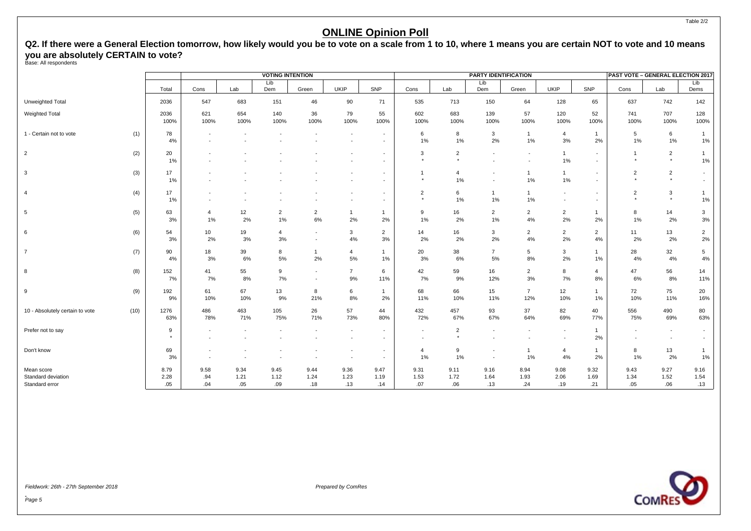# **Q2. If there were a General Election tomorrow, how likely would you be to vote on a scale from 1 to 10, where 1 means you are certain NOT to vote and 10 means you are absolutely CERTAIN to vote?** Base: All respondents

|                                      |      |              |                                                      |                          | <b>VOTING INTENTION</b> |                      |                                                      |                                                      |                                    |                           | PARTY IDENTIFICATION                                 |                                    |                                                      |                                    | PAST VOTE - GENERAL ELECTION 2017 |                           |                         |
|--------------------------------------|------|--------------|------------------------------------------------------|--------------------------|-------------------------|----------------------|------------------------------------------------------|------------------------------------------------------|------------------------------------|---------------------------|------------------------------------------------------|------------------------------------|------------------------------------------------------|------------------------------------|-----------------------------------|---------------------------|-------------------------|
|                                      |      | Total        | Cons                                                 | Lab                      | Lib<br>Dem              | Green                | <b>UKIP</b>                                          | SNP                                                  | Cons                               | Lab                       | Lib<br>Dem                                           | Green                              | UKIP                                                 | SNP                                | Cons                              | Lab                       | Lib<br>Dems             |
| Unweighted Total                     |      | 2036         | 547                                                  | 683                      | 151                     | 46                   | 90                                                   | 71                                                   | 535                                | 713                       | 150                                                  | 64                                 | 128                                                  | 65                                 | 637                               | 742                       | 142                     |
| Weighted Total                       |      | 2036<br>100% | 621<br>100%                                          | 654<br>100%              | 140<br>100%             | 36<br>100%           | 79<br>100%                                           | 55<br>100%                                           | 602<br>100%                        | 683<br>100%               | 139<br>100%                                          | 57<br>100%                         | 120<br>100%                                          | 52<br>100%                         | 741<br>100%                       | 707<br>100%               | 128<br>100%             |
| 1 - Certain not to vote              | (1)  | 78<br>4%     | $\overline{\phantom{a}}$                             |                          |                         |                      | $\overline{\phantom{a}}$                             | $\overline{\phantom{a}}$<br>$\blacksquare$           | 6<br>1%                            | 8<br>1%                   | 3<br>2%                                              | $\overline{1}$<br>1%               | $\overline{4}$<br>3%                                 | $\mathbf{1}$<br>2%                 | 5<br>1%                           | 6<br>$1\%$                | $\mathbf{1}$<br>1%      |
| $\overline{2}$                       | (2)  | 20<br>1%     |                                                      |                          |                         |                      | ٠                                                    | $\blacksquare$<br>$\blacksquare$                     | 3<br>$\star$                       | $\overline{2}$<br>$\star$ | $\blacksquare$<br>$\overline{\phantom{a}}$           | $\sim$<br>$\overline{\phantom{a}}$ | $\overline{1}$<br>1%                                 | $\sim$<br>$\sim$                   | $\overline{1}$<br>$^\star$        | $\overline{2}$<br>$\star$ | $\mathbf{1}$<br>1%      |
| 3                                    | (3)  | 17<br>1%     |                                                      |                          |                         |                      | $\overline{\phantom{a}}$                             | $\blacksquare$<br>$\sim$                             | $\mathbf{1}$<br>$\star$            | 4<br>1%                   | $\overline{\phantom{a}}$<br>$\overline{\phantom{a}}$ | $\mathbf{1}$<br>1%                 | $\overline{1}$<br>$1\%$                              | $\overline{\phantom{a}}$<br>$\sim$ | $\overline{2}$<br>$\star$         | $\overline{2}$<br>$\star$ |                         |
| $\overline{4}$                       | (4)  | 17<br>1%     |                                                      |                          |                         |                      | $\overline{\phantom{a}}$<br>$\overline{\phantom{a}}$ | $\overline{\phantom{a}}$<br>$\overline{\phantom{a}}$ | $\overline{2}$<br>$\star$          | 6<br>1%                   | $\mathbf{1}$<br>1%                                   | $\mathbf{1}$<br>1%                 | $\overline{\phantom{a}}$<br>$\overline{\phantom{a}}$ | $\sim$<br>$\overline{\phantom{a}}$ | $\overline{2}$<br>$\star$         | 3<br>$^\star$             | $\mathbf{1}$<br>$1\%$   |
| 5                                    | (5)  | 63<br>3%     | 4<br>1%                                              | 12<br>2%                 | $\overline{2}$<br>1%    | $\overline{2}$<br>6% | 2%                                                   | $\mathbf{1}$<br>2%                                   | 9<br>1%                            | 16<br>2%                  | $\overline{2}$<br>1%                                 | $\overline{2}$<br>4%               | $\overline{2}$<br>2%                                 | $\mathbf{1}$<br>2%                 | 8<br>1%                           | 14<br>2%                  | 3<br>3%                 |
| 6                                    | (6)  | 54<br>3%     | 10<br>2%                                             | 19<br>3%                 | $\overline{4}$<br>$3%$  |                      | 3<br>4%                                              | $\overline{2}$<br>3%                                 | 14<br>2%                           | 16<br>2%                  | 3<br>2%                                              | $\overline{2}$<br>4%               | $\overline{2}$<br>2%                                 | $\overline{2}$<br>4%               | 11<br>2%                          | 13<br>2%                  | $\overline{2}$<br>$2\%$ |
| $\overline{7}$                       | (7)  | 90<br>4%     | 18<br>3%                                             | 39<br>6%                 | 8<br>$5\%$              | $\mathbf{1}$<br>2%   | 4<br>5%                                              | 1<br>$1\%$                                           | 20<br>3%                           | 38<br>6%                  | $\overline{7}$<br>5%                                 | 5<br>8%                            | 3<br>2%                                              | 1<br>1%                            | 28<br>4%                          | 32<br>$4\%$               | 5<br>$4\%$              |
| 8                                    | (8)  | 152<br>7%    | 41<br>7%                                             | 55<br>8%                 | 9<br>7%                 | $\sim$<br>$\sim$     | $\overline{7}$<br>9%                                 | 6<br>11%                                             | 42<br>7%                           | 59<br>9%                  | 16<br>12%                                            | $\overline{2}$<br>3%               | 8<br>7%                                              | 4<br>8%                            | 47<br>6%                          | 56<br>$8\%$               | 14<br>11%               |
| 9                                    | (9)  | 192<br>9%    | 61<br>10%                                            | 67<br>10%                | 13<br>9%                | 8<br>21%             | 6<br>8%                                              | $\mathbf{1}$<br>2%                                   | 68<br>11%                          | 66<br>10%                 | 15<br>11%                                            | $\overline{7}$<br>12%              | 12<br>10%                                            | $\mathbf{1}$<br>1%                 | 72<br>10%                         | 75<br>11%                 | 20<br>16%               |
| 10 - Absolutely certain to vote      | (10) | 1276<br>63%  | 486<br>78%                                           | 463<br>71%               | 105<br>75%              | 26<br>71%            | 57<br>73%                                            | 44<br>80%                                            | 432<br>72%                         | 457<br>67%                | 93<br>67%                                            | 37<br>64%                          | 82<br>69%                                            | 40<br>77%                          | 556<br>75%                        | 490<br>69%                | 80<br>63%               |
| Prefer not to say                    |      | 9<br>$\star$ | $\overline{\phantom{a}}$<br>$\overline{\phantom{a}}$ | $\overline{\phantom{a}}$ |                         |                      | $\overline{\phantom{a}}$<br>$\overline{\phantom{a}}$ | $\overline{\phantom{a}}$<br>$\blacksquare$           | $\overline{\phantom{a}}$<br>$\sim$ | $\overline{2}$<br>$\star$ | $\overline{\phantom{a}}$<br>$\blacksquare$           | $\overline{\phantom{a}}$           | $\overline{\phantom{a}}$<br>$\overline{\phantom{a}}$ | $\mathbf{1}$<br>2%                 | $\sim$<br>$\sim$                  | $\sim$<br>$\sim$          |                         |
| Don't know                           |      | 69<br>3%     | $\blacksquare$                                       |                          |                         |                      | $\overline{\phantom{a}}$<br>$\overline{\phantom{a}}$ | $\overline{\phantom{a}}$<br>$\overline{\phantom{a}}$ | $\overline{4}$<br>1%               | 9<br>1%                   | $\blacksquare$<br>$\blacksquare$                     | $\mathbf{1}$<br>1%                 | 4<br>4%                                              | $\mathbf{1}$<br>2%                 | 8<br>1%                           | 13<br>2%                  | $\mathbf{1}$<br>1%      |
| Mean score                           |      | 8.79         | 9.58                                                 | 9.34                     | 9.45                    | 9.44                 | 9.36                                                 | 9.47                                                 | 9.31                               | 9.11                      | 9.16                                                 | 8.94                               | 9.08                                                 | 9.32                               | 9.43                              | 9.27                      | 9.16                    |
| Standard deviation<br>Standard error |      | 2.28<br>.05  | .94<br>.04                                           | 1.21<br>.05              | 1.12<br>.09             | 1.24<br>.18          | 1.23<br>.13                                          | 1.19<br>.14                                          | 1.53<br>.07                        | 1.72<br>.06               | 1.64<br>.13                                          | 1.93<br>.24                        | 2.06<br>.19                                          | 1.69<br>.21                        | 1.34<br>.05                       | 1.52<br>.06               | 1.54<br>.13             |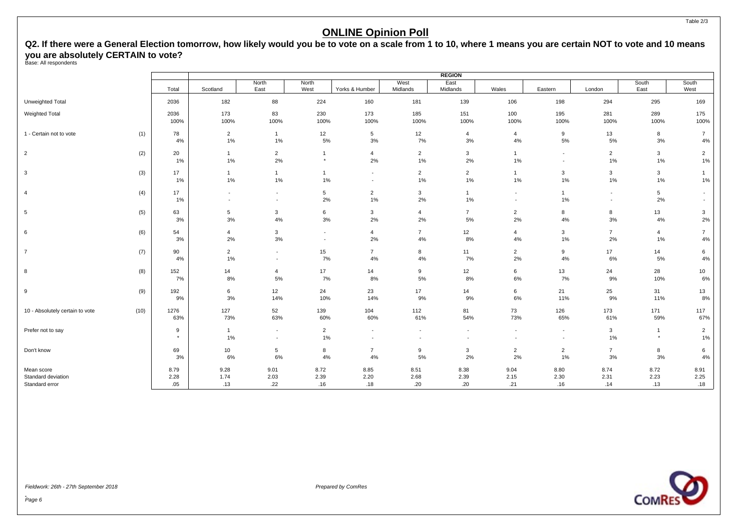# **Q2. If there were a General Election tomorrow, how likely would you be to vote on a scale from 1 to 10, where 1 means you are certain NOT to vote and 10 means you are absolutely CERTAIN to vote?** Base: All respondents

|                                  |      |              |                          |                                                      |                                                      |                                                      |                          | <b>REGION</b>                                        |                          |                                                      |                                                      |                            |                         |
|----------------------------------|------|--------------|--------------------------|------------------------------------------------------|------------------------------------------------------|------------------------------------------------------|--------------------------|------------------------------------------------------|--------------------------|------------------------------------------------------|------------------------------------------------------|----------------------------|-------------------------|
|                                  |      | Total        | Scotland                 | North<br>East                                        | North<br>West                                        | Yorks & Humber                                       | West<br>Midlands         | East<br>Midlands                                     | Wales                    | Eastern                                              | London                                               | South<br>East              | South<br>West           |
| Unweighted Total                 |      | 2036         | 182                      | 88                                                   | 224                                                  | 160                                                  | 181                      | 139                                                  | 106                      | 198                                                  | 294                                                  | 295                        | 169                     |
| <b>Weighted Total</b>            |      | 2036<br>100% | 173<br>100%              | 83<br>100%                                           | 230<br>100%                                          | 173<br>100%                                          | 185<br>100%              | 151<br>100%                                          | 100<br>100%              | 195<br>100%                                          | 281<br>100%                                          | 289<br>100%                | 175<br>100%             |
| 1 - Certain not to vote          | (1)  | 78<br>4%     | $\overline{2}$<br>1%     | $\overline{1}$<br>1%                                 | 12<br>5%                                             | 5<br>3%                                              | 12<br>7%                 | $\overline{4}$<br>3%                                 | 4<br>4%                  | 9<br>5%                                              | 13<br>5%                                             | 8<br>3%                    | $\overline{7}$<br>4%    |
| $\overline{2}$                   | (2)  | 20<br>1%     | $\overline{1}$<br>$1\%$  | $\overline{2}$<br>2%                                 | $\mathbf{1}$<br>$\qquad \qquad \star$                | 4<br>2%                                              | $\overline{2}$<br>1%     | $\mathbf{3}$<br>2%                                   | $\mathbf{1}$<br>1%       | $\overline{\phantom{a}}$<br>$\overline{\phantom{a}}$ | $\overline{2}$<br>1%                                 | $\mathbf{3}$<br>$1\%$      | $\overline{2}$<br>1%    |
| $\mathbf{3}$                     | (3)  | 17<br>1%     | $\mathbf{1}$<br>1%       | $\mathbf{1}$<br>1%                                   | $\overline{1}$<br>1%                                 | $\overline{\phantom{a}}$<br>$\overline{\phantom{a}}$ | $\overline{2}$<br>$1\%$  | $\overline{2}$<br>1%                                 | $\mathbf{1}$<br>1%       | $\mathbf{3}$<br>1%                                   | 3<br>1%                                              | 3<br>1%                    | $\mathbf{1}$<br>1%      |
| 4                                | (4)  | 17<br>1%     | $\overline{\phantom{a}}$ | $\overline{\phantom{a}}$<br>$\overline{\phantom{a}}$ | 5<br>2%                                              | $\overline{2}$<br>$1\%$                              | 3<br>2%                  | $\mathbf{1}$<br>1%                                   | $\overline{\phantom{a}}$ | $\overline{1}$<br>1%                                 | $\overline{\phantom{a}}$<br>$\overline{\phantom{a}}$ | 5<br>2%                    |                         |
| 5                                | (5)  | 63<br>3%     | 5<br>3%                  | 3<br>4%                                              | 6<br>3%                                              | 3<br>2%                                              | $\overline{4}$<br>2%     | $\overline{7}$<br>5%                                 | $\overline{2}$<br>2%     | 8<br>4%                                              | 8<br>3%                                              | 13<br>4%                   | 3<br>2%                 |
| 6                                | (6)  | 54<br>3%     | 4<br>2%                  | 3<br>3%                                              | $\overline{\phantom{a}}$<br>$\overline{\phantom{a}}$ | 4<br>2%                                              | $\overline{7}$<br>4%     | 12<br>8%                                             | $\overline{4}$<br>4%     | $\mathbf{3}$<br>1%                                   | $\overline{7}$<br>2%                                 | $\overline{4}$<br>1%       | $\overline{7}$<br>4%    |
| $\overline{7}$                   | (7)  | 90<br>4%     | $\overline{2}$<br>1%     | $\overline{\phantom{a}}$<br>$\overline{\phantom{a}}$ | 15<br>7%                                             | $\overline{7}$<br>4%                                 | 8<br>4%                  | 11<br>7%                                             | $\overline{2}$<br>2%     | 9<br>4%                                              | 17<br>$6\%$                                          | 14<br>5%                   | 6<br>$4\%$              |
| 8                                | (8)  | 152<br>7%    | 14<br>8%                 | 4<br>5%                                              | 17<br>7%                                             | 14<br>8%                                             | 9<br>$5\%$               | 12<br>8%                                             | 6<br>6%                  | 13<br>7%                                             | 24<br>9%                                             | 28<br>10%                  | 10<br>6%                |
| 9                                | (9)  | 192<br>9%    | 6<br>3%                  | 12<br>14%                                            | 24<br>10%                                            | 23<br>14%                                            | 17<br>9%                 | 14<br>9%                                             | 6<br>6%                  | 21<br>11%                                            | 25<br>9%                                             | 31<br>11%                  | 13<br>8%                |
| 10 - Absolutely certain to vote  | (10) | 1276<br>63%  | 127<br>73%               | 52<br>63%                                            | 139<br>60%                                           | 104<br>60%                                           | 112<br>61%               | 81<br>54%                                            | 73<br>73%                | 126<br>65%                                           | 173<br>61%                                           | 171<br>59%                 | 117<br>67%              |
| Prefer not to say                |      | 9<br>$\star$ | $\mathbf{1}$<br>$1\%$    | $\overline{\phantom{a}}$<br>$\overline{\phantom{a}}$ | $\overline{2}$<br>1%                                 | $\overline{\phantom{a}}$<br>$\overline{\phantom{a}}$ | $\overline{\phantom{a}}$ | $\overline{\phantom{a}}$<br>$\overline{\phantom{a}}$ | $\sim$                   | $\sim$<br>$\overline{\phantom{a}}$                   | 3<br>1%                                              | $\overline{1}$<br>$^\star$ | $\overline{2}$<br>$1\%$ |
| Don't know                       |      | 69<br>3%     | 10<br>6%                 | 5<br>6%                                              | 8<br>4%                                              | $\overline{7}$<br>4%                                 | 9<br>5%                  | 3<br>2%                                              | $\overline{2}$<br>2%     | $\overline{2}$<br>1%                                 | $\overline{7}$<br>3%                                 | 8<br>3%                    | 6<br>4%                 |
| Mean score<br>Standard deviation |      | 8.79<br>2.28 | 9.28<br>1.74             | 9.01<br>2.03                                         | 8.72<br>2.39                                         | 8.85<br>2.20                                         | 8.51<br>2.68             | 8.38<br>2.39                                         | 9.04<br>2.15             | 8.80<br>2.30                                         | 8.74<br>2.31                                         | 8.72<br>2.23               | 8.91<br>2.25            |
| Standard error                   |      | .05          | .13                      | .22                                                  | .16                                                  | .18                                                  | .20                      | .20                                                  | .21                      | .16                                                  | .14                                                  | .13                        | .18                     |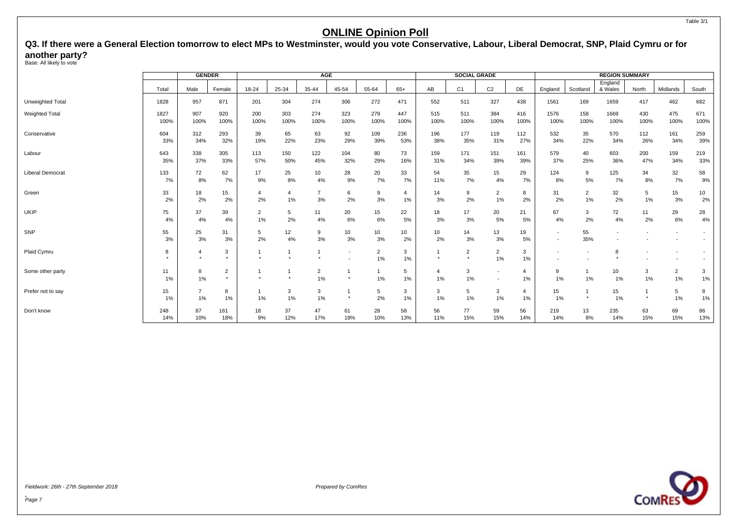<span id="page-8-0"></span>Q3. If there were a General Election tomorrow to elect MPs to Westminster, would you vote Conservative, Labour, Liberal Democrat, SNP, Plaid Cymru or for **another party?** Base: All likely to vote

|                         |          | <b>GENDER</b>        |                           |                    |          | AGE                  |                          |                      |                |          | <b>SOCIAL GRADE</b>       |                          |                      |          |                | <b>REGION SUMMARY</b> |         |                          |         |
|-------------------------|----------|----------------------|---------------------------|--------------------|----------|----------------------|--------------------------|----------------------|----------------|----------|---------------------------|--------------------------|----------------------|----------|----------------|-----------------------|---------|--------------------------|---------|
|                         | Total    | Male                 | Female                    | 18-24              | 25-34    | 35-44                | 45-54                    | 55-64                | $65+$          | AB       | C <sub>1</sub>            | C <sub>2</sub>           | DE                   | England  | Scotland       | England<br>& Wales    | North   | Midlands                 | South   |
| Unweighted Total        | 1828     | 957                  | 871                       | 201                | 304      | 274                  | 306                      | 272                  | 471            | 552      | 511                       | 327                      | 438                  | 1561     | 169            | 1659                  | 417     | 462                      | 682     |
| <b>Weighted Total</b>   | 1827     | 907                  | 920                       | 200                | 303      | 274                  | 323                      | 279                  | 447            | 515      | 511                       | 384                      | 416                  | 1576     | 158            | 1669                  | 430     | 475                      | 671     |
|                         | 100%     | 100%                 | 100%                      | 100%               | 100%     | 100%                 | 100%                     | 100%                 | 100%           | 100%     | 100%                      | 100%                     | 100%                 | 100%     | 100%           | 100%                  | 100%    | 100%                     | 100%    |
| Conservative            | 604      | 312                  | 293                       | 39                 | 65       | 63                   | 92                       | 109                  | 236            | 196      | 177                       | 119                      | 112                  | 532      | 35             | 570                   | 112     | 161                      | 259     |
|                         | 33%      | 34%                  | 32%                       | 19%                | 22%      | 23%                  | 29%                      | 39%                  | 53%            | 38%      | 35%                       | 31%                      | 27%                  | 34%      | 22%            | 34%                   | 26%     | 34%                      | 39%     |
| Labour                  | 643      | 338                  | 305                       | 113                | 150      | 122                  | 104                      | 80                   | 73             | 159      | 171                       | 151                      | 161                  | 579      | 40             | 603                   | 200     | 159                      | 219     |
|                         | 35%      | 37%                  | 33%                       | 57%                | 50%      | 45%                  | 32%                      | 29%                  | 16%            | 31%      | 34%                       | 39%                      | 39%                  | 37%      | 25%            | 36%                   | 47%     | 34%                      | 33%     |
| <b>Liberal Democrat</b> | 133      | 72                   | 62                        | 17                 | 25       | 10                   | 28                       | 20                   | 33             | 54       | 35                        | 15                       | 29                   | 124      | 9              | 125                   | 34      | 32                       | 58      |
|                         | 7%       | 8%                   | 7%                        | 9%                 | 8%       | 4%                   | 9%                       | 7%                   | 7%             | 11%      | 7%                        | 4%                       | 7%                   | 8%       | 5%             | 7%                    | 8%      | 7%                       | 9%      |
| Green                   | 33       | 18                   | 15                        | $\overline{4}$     | 4        | $\overline{7}$       | 6                        | 9                    | $\overline{a}$ | 14       | 9                         | $\overline{2}$           | 8                    | 31       | $\overline{2}$ | 32                    | 5       | 15                       | 10      |
|                         | 2%       | 2%                   | 2%                        | 2%                 | 1%       | 3%                   | 2%                       | 3%                   | 1%             | 3%       | 2%                        | 1%                       | 2%                   | 2%       | $1\%$          | 2%                    | $1\%$   | 3%                       | 2%      |
| UKIP                    | 75       | 37                   | 39                        | $\overline{2}$     | 5        | 11                   | 20                       | 15                   | 22             | 18       | 17                        | 20                       | 21                   | 67       | 3              | 72                    | 11      | 29                       | 28      |
|                         | 4%       | 4%                   | 4%                        | 1%                 | 2%       | 4%                   | 6%                       | 6%                   | 5%             | 3%       | 3%                        | 5%                       | 5%                   | 4%       | 2%             | 4%                    | 2%      | 6%                       | 4%      |
| SNP                     | 55<br>3% | 25<br>3%             | 31<br>3%                  | 5<br>2%            | 12<br>4% | 9<br>$3%$            | 10<br>3%                 | 10<br>3%             | 10<br>2%       | 10<br>2% | 14<br>3%                  | 13<br>3%                 | 19<br>5%             |          | 55<br>35%      |                       |         |                          |         |
| Plaid Cymru             | 8        | 4                    | 3<br>$\star$              |                    |          |                      | $\overline{\phantom{a}}$ | $\overline{2}$<br>1% | 3<br>1%        |          | $\overline{2}$<br>$\star$ | $\overline{2}$<br>1%     | 3<br>1%              |          |                | 8                     |         | $\overline{\phantom{a}}$ |         |
| Some other party        | 11<br>1% | 8<br>1%              | $\overline{2}$<br>$\star$ | $\star$            |          | $\overline{2}$<br>1% | $\star$                  | -1<br>$1\%$          | 5<br>1%        | 4<br>1%  | $\mathbf{3}$<br>1%        | $\overline{\phantom{a}}$ | $\overline{4}$<br>1% | 9<br>1%  | 1%             | 10<br>1%              | 3<br>1% | $\overline{2}$<br>1%     | 3<br>1% |
| Prefer not to say       | 15<br>1% | $\overline{7}$<br>1% | 8<br>1%                   | $\mathbf{1}$<br>1% | 3<br>1%  | 3<br>1%              | $\star$                  | 5<br>2%              | 3<br>1%        | 3<br>1%  | 5<br>1%                   | 3<br>1%                  | $\overline{4}$<br>1% | 15<br>1% | $\star$        | 15<br>1%              | $\star$ | 5<br>1%                  | 8<br>1% |
| Don't know              | 248      | 87                   | 161                       | 18                 | 37       | 47                   | 61                       | 28                   | 58             | 56       | 77                        | 59                       | 56                   | 219      | 13             | 235                   | 63      | 69                       | 86      |
|                         | 14%      | 10%                  | 18%                       | 9%                 | 12%      | 17%                  | 19%                      | 10%                  | 13%            | 11%      | 15%                       | 15%                      | 14%                  | 14%      | 8%             | 14%                   | 15%     | 15%                      | 13%     |



Fieldwork: 26th - 27th September 2018 Prepared by ComRes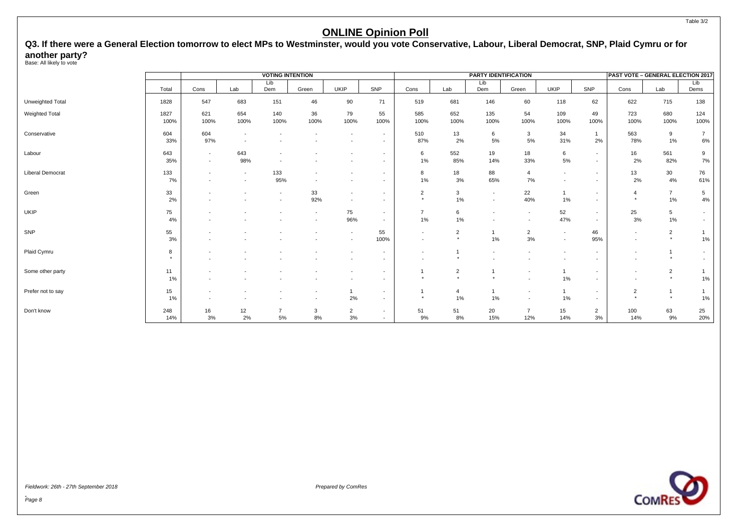# **Q3. If there were a General Election tomorrow to elect MPs to Westminster, would you vote Conservative, Labour, Liberal Democrat, SNP, Plaid Cymru or for another party?** Base: All likely to vote

|                       |              |                                                      |                                                      | <b>VOTING INTENTION</b>                              |            |                                                      |                                                      |                                    |                                        | PARTY IDENTIFICATION                       |                                    |                                                      |                                    | PAST VOTE - GENERAL ELECTION 2017                    |                           |                          |
|-----------------------|--------------|------------------------------------------------------|------------------------------------------------------|------------------------------------------------------|------------|------------------------------------------------------|------------------------------------------------------|------------------------------------|----------------------------------------|--------------------------------------------|------------------------------------|------------------------------------------------------|------------------------------------|------------------------------------------------------|---------------------------|--------------------------|
|                       | Total        | Cons                                                 | Lab                                                  | Lib<br>Dem                                           | Green      | <b>UKIP</b>                                          | SNP                                                  | Cons                               | Lab                                    | Lib<br>Dem                                 | Green                              | <b>UKIP</b>                                          | SNP                                | Cons                                                 | Lab                       | Lib<br>Dems              |
| Unweighted Total      | 1828         | 547                                                  | 683                                                  | 151                                                  | 46         | 90                                                   | 71                                                   | 519                                | 681                                    | 146                                        | 60                                 | 118                                                  | 62                                 | 622                                                  | 715                       | 138                      |
| <b>Weighted Total</b> | 1827<br>100% | 621<br>100%                                          | 654<br>100%                                          | 140<br>100%                                          | 36<br>100% | 79<br>100%                                           | 55<br>100%                                           | 585<br>100%                        | 652<br>100%                            | 135<br>100%                                | 54<br>100%                         | 109<br>100%                                          | 49<br>100%                         | 723<br>100%                                          | 680<br>100%               | 124<br>100%              |
| Conservative          | 604<br>33%   | 604<br>97%                                           | $\overline{\phantom{a}}$<br>$\overline{\phantom{a}}$ |                                                      |            |                                                      | $\sim$<br>$\sim$                                     | 510<br>87%                         | 13<br>2%                               | 6<br>5%                                    | 3<br>5%                            | 34<br>31%                                            | $\mathbf{1}$<br>2%                 | 563<br>78%                                           | 9<br>1%                   | $\overline{7}$<br>6%     |
| Labour                | 643<br>35%   | $\sim$<br>$\sim$                                     | 643<br>98%                                           | $\overline{\phantom{a}}$                             |            |                                                      | $\overline{\phantom{a}}$<br>$\sim$                   | 6<br>1%                            | 552<br>85%                             | 19<br>14%                                  | 18<br>33%                          | 6<br>$5\%$                                           | $\sim$<br>$\sim$                   | 16<br>2%                                             | 561<br>82%                | 9<br>7%                  |
| Liberal Democrat      | 133<br>7%    | $\overline{\phantom{a}}$<br>$\overline{\phantom{a}}$ | $\overline{\phantom{a}}$<br>$\overline{\phantom{a}}$ | 133<br>95%                                           |            | $\overline{\phantom{a}}$                             | $\overline{\phantom{0}}$<br>$\sim$                   | 8<br>1%                            | 18<br>3%                               | 88<br>65%                                  | $\overline{4}$<br>7%               | $\overline{\phantom{a}}$<br>$\overline{\phantom{0}}$ | $\sim$<br>$\overline{\phantom{a}}$ | 13<br>2%                                             | 30<br>4%                  | 76<br>61%                |
| Green                 | 33<br>2%     |                                                      |                                                      | $\overline{\phantom{a}}$<br>$\overline{\phantom{a}}$ | 33<br>92%  | $\overline{\phantom{a}}$<br>$\sim$                   | $\overline{\phantom{a}}$                             | $\overline{2}$<br>$\star$          | 3<br>1%                                | $\overline{\phantom{a}}$<br>$\blacksquare$ | 22<br>40%                          | $1\%$                                                | $\sim$<br>$\overline{\phantom{0}}$ | $\overline{4}$<br>$\star$                            | $\overline{7}$<br>1%      | 5<br>$4\%$               |
| <b>UKIP</b>           | 75<br>4%     |                                                      |                                                      |                                                      | $\sim$     | 75<br>96%                                            | $\sim$<br>$\overline{\phantom{a}}$                   | $\overline{7}$<br>1%               | 6<br>1%                                | $\overline{\phantom{a}}$                   | $\sim$<br>$\overline{\phantom{a}}$ | 52<br>47%                                            | $\sim$<br>$\sim$                   | 25<br>3%                                             | 5 <sub>5</sub><br>$1\%$   | $\sim$                   |
| SNP                   | 55<br>3%     |                                                      |                                                      |                                                      |            | $\overline{\phantom{a}}$<br>$\overline{\phantom{a}}$ | 55<br>100%                                           | $\sim$<br>$\overline{\phantom{a}}$ | $\overline{2}$<br>$\star$              | 1%                                         | $\overline{2}$<br>3%               | $\overline{\phantom{a}}$<br>$\sim$                   | 46<br>95%                          | $\overline{\phantom{a}}$<br>$\overline{\phantom{a}}$ | $\overline{2}$<br>$\star$ | $1\%$                    |
| Plaid Cymru           | 8<br>$\star$ |                                                      |                                                      |                                                      |            | $\overline{\phantom{a}}$                             | $\overline{\phantom{a}}$                             | $\overline{\phantom{a}}$           |                                        |                                            |                                    |                                                      | $\overline{\phantom{0}}$           | $\overline{\phantom{a}}$                             | $\star$                   | $\overline{\phantom{a}}$ |
| Some other party      | 11<br>1%     |                                                      |                                                      |                                                      |            |                                                      | $\overline{\phantom{a}}$                             |                                    | $\overline{2}$<br>$\ddot{\phantom{1}}$ | $\star$                                    | $\overline{\phantom{a}}$           | 1%                                                   | $\overline{\phantom{a}}$           | $\overline{\phantom{a}}$                             | $\overline{2}$<br>$\star$ | 1%                       |
| Prefer not to say     | 15<br>1%     |                                                      |                                                      |                                                      |            | $\mathbf{1}$<br>2%                                   | $\overline{\phantom{a}}$<br>$\overline{\phantom{0}}$ | $\star$                            | 4<br>1%                                | 1%                                         | $\overline{\phantom{a}}$           | $\mathbf{1}$<br>1%                                   | $\sim$<br>$\sim$                   | $\overline{2}$<br>$\star$                            | 1<br>$\star$              | $1\%$                    |
| Don't know            | 248<br>14%   | 16<br>3%                                             | 12<br>2%                                             | $\overline{7}$<br>5%                                 | 3<br>8%    | $\overline{2}$<br>3%                                 | $\overline{\phantom{a}}$                             | 51<br>9%                           | 51<br>8%                               | 20<br>15%                                  | $\overline{7}$<br>12%              | 15<br>14%                                            | $\overline{2}$<br>$3\%$            | 100<br>14%                                           | 63<br>9%                  | 25<br>20%                |



Page 8

Table 3/2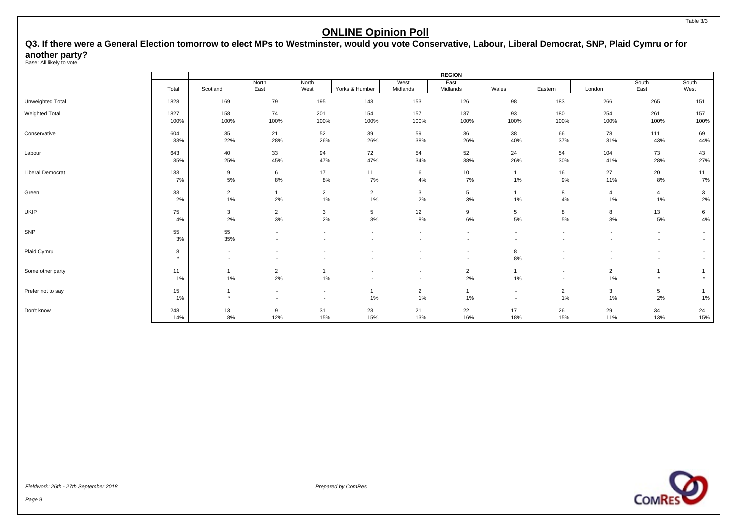# Q3. If there were a General Election tomorrow to elect MPs to Westminster, would you vote Conservative, Labour, Liberal Democrat, SNP, Plaid Cymru or for **another party?** Base: All likely to vote

|                         |         |                          |                          |                          |                |                          | <b>REGION</b>            |                          |                          |                |                          |                          |
|-------------------------|---------|--------------------------|--------------------------|--------------------------|----------------|--------------------------|--------------------------|--------------------------|--------------------------|----------------|--------------------------|--------------------------|
|                         | Total   | Scotland                 | North<br>East            | North<br>West            | Yorks & Humber | West<br>Midlands         | East<br>Midlands         | Wales                    | Eastern                  | London         | South<br>East            | South<br>West            |
| Unweighted Total        | 1828    | 169                      | 79                       | 195                      | 143            | 153                      | 126                      | 98                       | 183                      | 266            | 265                      | 151                      |
| Weighted Total          | 1827    | 158                      | 74                       | 201                      | 154            | 157                      | 137                      | 93                       | 180                      | 254            | 261                      | 157                      |
|                         | 100%    | 100%                     | 100%                     | 100%                     | 100%           | 100%                     | 100%                     | 100%                     | 100%                     | 100%           | 100%                     | 100%                     |
| Conservative            | 604     | 35                       | 21                       | 52                       | 39             | 59                       | 36                       | 38                       | 66                       | 78             | 111                      | 69                       |
|                         | 33%     | 22%                      | 28%                      | 26%                      | 26%            | 38%                      | 26%                      | 40%                      | 37%                      | 31%            | 43%                      | 44%                      |
| Labour                  | 643     | 40                       | 33                       | 94                       | 72             | 54                       | 52                       | 24                       | 54                       | 104            | 73                       | 43                       |
|                         | 35%     | 25%                      | 45%                      | 47%                      | 47%            | 34%                      | 38%                      | 26%                      | 30%                      | 41%            | 28%                      | 27%                      |
| <b>Liberal Democrat</b> | 133     | 9                        | 6                        | 17                       | 11             | 6                        | 10                       | $\mathbf{1}$             | 16                       | 27             | 20                       | 11                       |
|                         | 7%      | 5%                       | 8%                       | 8%                       | 7%             | 4%                       | 7%                       | 1%                       | 9%                       | 11%            | 8%                       | 7%                       |
| Green                   | 33      | $\overline{2}$           |                          | $\overline{2}$           | $\overline{2}$ | 3                        | $5\phantom{.0}$          | 1                        | 8                        | 4              | $\overline{4}$           | 3                        |
|                         | 2%      | 1%                       | 2%                       | 1%                       | 1%             | 2%                       | 3%                       | 1%                       | 4%                       | 1%             | 1%                       | 2%                       |
| UKIP                    | 75      | $\mathbf{3}$             | $\overline{2}$           | $\mathbf{3}$             | 5              | 12                       | 9                        | 5                        | 8                        | 8              | 13                       | 6                        |
|                         | 4%      | 2%                       | 3%                       | 2%                       | 3%             | 8%                       | 6%                       | 5%                       | 5%                       | 3%             | 5%                       | 4%                       |
| SNP                     | 55      | 55                       |                          | $\overline{\phantom{a}}$ |                | $\overline{\phantom{a}}$ | $\overline{\phantom{a}}$ | $\overline{\phantom{a}}$ | ٠                        |                | $\overline{\phantom{a}}$ | $\overline{\phantom{a}}$ |
|                         | 3%      | 35%                      |                          | $\overline{\phantom{a}}$ |                | $\overline{\phantom{a}}$ | $\overline{\phantom{a}}$ | $\overline{\phantom{a}}$ | ٠                        |                | $\overline{\phantom{a}}$ |                          |
| Plaid Cymru             | 8       | $\overline{\phantom{a}}$ |                          |                          |                |                          | $\overline{\phantom{a}}$ | 8                        |                          |                | $\overline{\phantom{a}}$ |                          |
|                         | $\star$ | $\overline{\phantom{a}}$ |                          | $\overline{\phantom{a}}$ |                | $\overline{\phantom{a}}$ | $\overline{\phantom{a}}$ | 8%                       | $\overline{\phantom{a}}$ |                | $\overline{\phantom{a}}$ |                          |
| Some other party        | 11      |                          | $\overline{2}$           |                          |                | $\overline{\phantom{a}}$ | $\overline{2}$           |                          | $\overline{\phantom{a}}$ | $\overline{2}$ |                          |                          |
|                         | 1%      | 1%                       | 2%                       | 1%                       |                | $\overline{\phantom{a}}$ | 2%                       | 1%                       | $\overline{\phantom{a}}$ | 1%             | $\star$                  |                          |
| Prefer not to say       | 15      |                          | $\overline{\phantom{a}}$ | $\overline{\phantom{a}}$ |                | $\overline{2}$           | $\mathbf{1}$             | $\overline{\phantom{a}}$ | $\overline{2}$           | 3              | $5\overline{)}$          |                          |
|                         | 1%      | $^\star$                 |                          | $\overline{\phantom{a}}$ | 1%             | $1\%$                    | 1%                       | $\sim$                   | 1%                       | 1%             | 2%                       | 1%                       |
| Don't know              | 248     | 13                       | 9                        | 31                       | 23             | 21                       | 22                       | 17                       | 26                       | 29             | 34                       | 24                       |
|                         | 14%     | 8%                       | 12%                      | 15%                      | 15%            | 13%                      | 16%                      | 18%                      | 15%                      | 11%            | 13%                      | 15%                      |



Fieldwork: 26th - 27th September 2018 Prepared by ComRes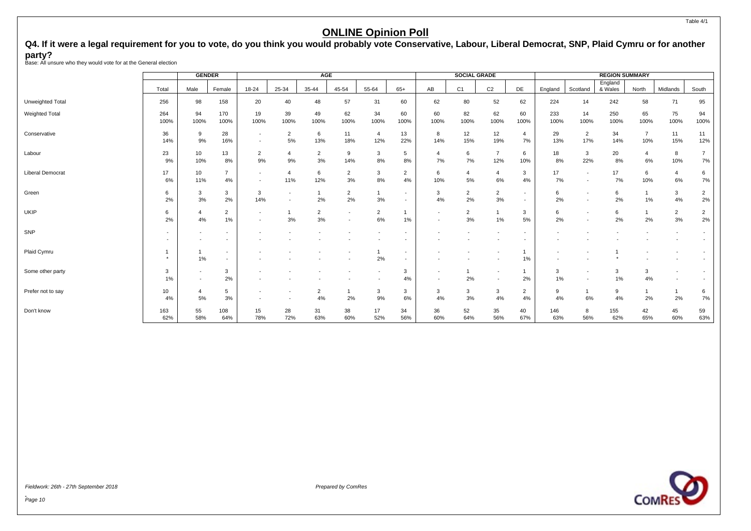<span id="page-11-0"></span>Q4. If it were a legal requirement for you to vote, do you think you would probably vote Conservative, Labour, Liberal Democrat, SNP, Plaid Cymru or for another **party?** Base: All unsure who they would vote for at the General election

|                         |             | <b>GENDER</b>            |                          |                      |                          | <b>AGE</b>           |                                                      |                       |                                                      |                          | <b>SOCIAL GRADE</b>  |                          |                          |             |                       | <b>REGION SUMMARY</b> |                       |                          |                      |
|-------------------------|-------------|--------------------------|--------------------------|----------------------|--------------------------|----------------------|------------------------------------------------------|-----------------------|------------------------------------------------------|--------------------------|----------------------|--------------------------|--------------------------|-------------|-----------------------|-----------------------|-----------------------|--------------------------|----------------------|
|                         | Total       | Male                     | Female                   | $18 - 24$            | 25-34                    | 35-44                | 45-54                                                | 55-64                 | $65+$                                                | AB                       | C <sub>1</sub>       | C <sub>2</sub>           | DE                       | England     | Scotland              | England<br>& Wales    | North                 | Midlands                 | South                |
| Unweighted Total        | 256         | 98                       | 158                      | 20                   | 40                       | 48                   | 57                                                   | 31                    | 60                                                   | 62                       | 80                   | 52                       | 62                       | 224         | 14                    | 242                   | 58                    | 71                       | 95                   |
| Weighted Total          | 264<br>100% | 94<br>100%               | 170<br>100%              | 19<br>100%           | 39<br>100%               | 49<br>100%           | 62<br>100%                                           | 34<br>100%            | 60<br>100%                                           | 60<br>100%               | 82<br>100%           | 62<br>100%               | 60<br>100%               | 233<br>100% | 14<br>100%            | 250<br>100%           | 65<br>100%            | 75<br>100%               | 94<br>100%           |
| Conservative            | 36<br>14%   | 9<br>9%                  | 28<br>16%                |                      | $\overline{2}$<br>5%     | 6<br>13%             | 11<br>18%                                            | $\overline{4}$<br>12% | 13<br>22%                                            | 8<br>14%                 | 12<br>15%            | 12<br>19%                | $\overline{4}$<br>$7\%$  | 29<br>13%   | $\overline{2}$<br>17% | 34<br>14%             | $\overline{7}$<br>10% | 11<br>15%                | 11<br>12%            |
| Labour                  | 23<br>9%    | 10<br>10%                | 13<br>8%                 | $\overline{2}$<br>9% | 4<br>9%                  | $\overline{2}$<br>3% | 9<br>14%                                             | 3<br>$8\%$            | 5<br>8%                                              | 4<br>7%                  | 6<br>7%              | $\overline{7}$<br>12%    | 6<br>10%                 | 18<br>8%    | 3<br>22%              | 20<br>8%              | $\overline{4}$<br>6%  | 8<br>10%                 | $\overline{7}$<br>7% |
| <b>Liberal Democrat</b> | 17<br>6%    | 10<br>11%                | $\overline{7}$<br>4%     |                      | 4<br>11%                 | 6<br>12%             | $\overline{2}$<br>3%                                 | 3<br>8%               | $\overline{2}$<br>4%                                 | 6<br>10%                 | 4<br>5%              | 4<br>6%                  | 3<br>4%                  | 17<br>7%    |                       | 17<br>7%              | 6<br>10%              | $\overline{4}$<br>6%     | 6<br>7%              |
| Green                   | 6<br>2%     | 3<br>3%                  | 3<br>2%                  | 3<br>14%             | $\overline{\phantom{a}}$ | $\mathbf{1}$<br>2%   | 2<br>2%                                              | $\mathbf{1}$<br>3%    | $\overline{\phantom{a}}$<br>$\overline{a}$           | 3<br>4%                  | $\overline{2}$<br>2% | $\overline{2}$<br>3%     | $\overline{a}$<br>$\sim$ | 6<br>2%     |                       | 6<br>2%               | 1%                    | 3<br>4%                  | $\overline{2}$<br>2% |
| UKIP                    | 6<br>2%     | 4%                       | $\overline{2}$<br>1%     |                      | 3%                       | $\overline{2}$<br>3% | $\overline{\phantom{a}}$<br>$\overline{\phantom{a}}$ | $\overline{2}$<br>6%  | 1%                                                   | $\overline{\phantom{a}}$ | $\overline{2}$<br>3% | 1%                       | 3<br>5%                  | 6<br>2%     |                       | 6<br>2%               | 2%                    | $\overline{2}$<br>3%     | $\overline{2}$<br>2% |
| SNP                     |             |                          | $\overline{\phantom{a}}$ |                      |                          |                      |                                                      |                       |                                                      |                          |                      |                          |                          |             |                       |                       |                       |                          |                      |
| Plaid Cymru             |             | 1%                       | $\sim$<br>$\sim$         |                      |                          |                      |                                                      | 2%                    | $\overline{\phantom{a}}$<br>$\overline{\phantom{a}}$ |                          |                      |                          | 1<br>1%                  |             |                       |                       |                       |                          |                      |
| Some other party        | 3<br>1%     | $\overline{\phantom{a}}$ | 3<br>2%                  |                      |                          |                      |                                                      |                       | 3<br>4%                                              |                          | 2%                   | $\overline{\phantom{a}}$ | $\mathbf{1}$<br>2%       | 3<br>1%     |                       | 3<br>1%               | 3<br>4%               | $\overline{\phantom{a}}$ |                      |
| Prefer not to say       | 10<br>4%    | 5%                       | 5<br>3%                  |                      |                          | $\overline{2}$<br>4% | 2%                                                   | 3<br>9%               | 3<br>6%                                              | 3<br>4%                  | 3<br>3%              | 3<br>4%                  | $\overline{2}$<br>4%     | 9<br>4%     | 6%                    | 9<br>4%               | 2%                    | 2%                       | 6<br>7%              |
| Don't know              | 163<br>62%  | 55<br>58%                | 108<br>64%               | 15<br>78%            | 28<br>72%                | 31<br>63%            | 38<br>60%                                            | 17<br>52%             | 34<br>56%                                            | 36<br>60%                | 52<br>64%            | 35<br>56%                | 40<br>67%                | 146<br>63%  | 8<br>56%              | 155<br>62%            | 42<br>65%             | 45<br>60%                | 59<br>63%            |

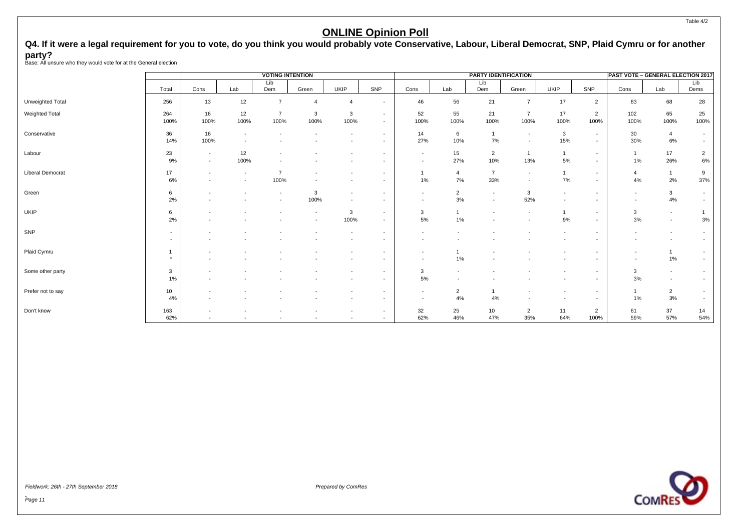Q4. If it were a legal requirement for you to vote, do you think you would probably vote Conservative, Labour, Liberal Democrat, SNP, Plaid Cymru or for another **party?** Base: All unsure who they would vote for at the General election

|                         |                                                      | <b>VOTING INTENTION</b><br>Lib<br>Dem<br>Cons<br>Lab<br>Green<br>13<br>12<br>$\overline{7}$<br>$\overline{4}$<br>16<br>12<br>$\overline{7}$<br>3<br>100%<br>100%<br>100%<br>100%<br>16<br>$\sim$<br>100%<br>$\overline{\phantom{a}}$<br>12<br>$\sim$<br>100%<br>$\sim$<br>$\sim$<br>$\overline{\phantom{a}}$<br>100%<br>$\overline{\phantom{a}}$<br>$\overline{\phantom{a}}$ |                          |                                                      |           |                                                      |                                                      |                                                      |                      | <b>PARTY IDENTIFICATION</b>                |                                                      |                                    |                                                      | <b>PAST VOTE - GENERAL ELECTION 2017</b>             |                          |                                    |
|-------------------------|------------------------------------------------------|------------------------------------------------------------------------------------------------------------------------------------------------------------------------------------------------------------------------------------------------------------------------------------------------------------------------------------------------------------------------------|--------------------------|------------------------------------------------------|-----------|------------------------------------------------------|------------------------------------------------------|------------------------------------------------------|----------------------|--------------------------------------------|------------------------------------------------------|------------------------------------|------------------------------------------------------|------------------------------------------------------|--------------------------|------------------------------------|
|                         | Total                                                |                                                                                                                                                                                                                                                                                                                                                                              |                          |                                                      |           | <b>UKIP</b>                                          | SNP                                                  | Cons                                                 | Lab                  | Lib<br>Dem                                 | Green                                                | <b>UKIP</b>                        | SNP                                                  | Cons                                                 | Lab                      | Lib<br>Dems                        |
| Unweighted Total        | 256                                                  |                                                                                                                                                                                                                                                                                                                                                                              |                          |                                                      |           | $\boldsymbol{\Delta}$                                | $\sim$                                               | 46                                                   | 56                   | 21                                         | $\overline{7}$                                       | 17                                 | $\overline{2}$                                       | 83                                                   | 68                       | 28                                 |
| Weighted Total          | 264<br>100%                                          |                                                                                                                                                                                                                                                                                                                                                                              |                          |                                                      |           | 3<br>100%                                            | $\sim$<br>$\sim$                                     | 52<br>100%                                           | 55<br>100%           | 21<br>100%                                 | $\overline{7}$<br>100%                               | 17<br>100%                         | $\overline{2}$<br>100%                               | 102<br>100%                                          | 65<br>100%               | 25<br>100%                         |
| Conservative            | 36<br>14%                                            |                                                                                                                                                                                                                                                                                                                                                                              |                          |                                                      |           |                                                      | $\sim$<br>$\sim$                                     | 14<br>27%                                            | 6<br>10%             | 7%                                         | $\overline{\phantom{a}}$<br>$\overline{\phantom{a}}$ | $\mathbf{3}$<br>15%                | $\sim$<br>$\sim$                                     | 30<br>30%                                            | 4<br>6%                  | $\sim$<br>$\overline{\phantom{a}}$ |
| Labour                  | 23<br>9%                                             |                                                                                                                                                                                                                                                                                                                                                                              |                          |                                                      |           |                                                      | $\overline{\phantom{a}}$<br>$\overline{\phantom{a}}$ | $\sim$<br>$\sim$                                     | 15<br>27%            | $\overline{2}$<br>10%                      | $\overline{1}$<br>13%                                | $\overline{1}$<br>5%               | $\sim$<br>$\sim$                                     | $\mathbf{1}$<br>1%                                   | 17<br>26%                | $\overline{2}$<br>6%               |
| <b>Liberal Democrat</b> | 17<br>6%                                             |                                                                                                                                                                                                                                                                                                                                                                              |                          |                                                      |           | $\overline{\phantom{a}}$                             | $\overline{\phantom{a}}$<br>$\sim$                   | 1<br>1%                                              | $\overline{4}$<br>7% | $\overline{7}$<br>33%                      | $\overline{\phantom{a}}$<br>$\overline{\phantom{a}}$ | $\mathbf{1}$<br>7%                 | $\sim$<br>$\sim$                                     | $\overline{4}$<br>4%                                 | $\overline{1}$<br>2%     | 9<br>37%                           |
| Green                   | 6<br>2%                                              |                                                                                                                                                                                                                                                                                                                                                                              | $\overline{\phantom{a}}$ | $\overline{\phantom{a}}$<br>$\overline{\phantom{a}}$ | 3<br>100% | $\overline{\phantom{a}}$<br>$\overline{\phantom{a}}$ | $\overline{\phantom{a}}$                             | $\sim$<br>$\overline{\phantom{a}}$                   | $\overline{2}$<br>3% | $\overline{\phantom{a}}$<br>$\blacksquare$ | 3<br>52%                                             | $\sim$<br>$\overline{\phantom{a}}$ | $\overline{\phantom{a}}$                             | $\overline{\phantom{a}}$<br>$\overline{\phantom{a}}$ | $\mathbf{3}$<br>4%       | $\overline{\phantom{a}}$           |
| <b>UKIP</b>             | 6<br>2%                                              |                                                                                                                                                                                                                                                                                                                                                                              |                          |                                                      |           | 3<br>100%                                            | $\sim$<br>$\overline{\phantom{0}}$                   | 3<br>5%                                              | $1\%$                |                                            | $\overline{\phantom{a}}$                             | 9%                                 | $\sim$<br>$\overline{\phantom{a}}$                   | 3<br>3%                                              | $\sim$<br>$\sim$         | 3%                                 |
| SNP                     | $\overline{\phantom{a}}$<br>$\overline{\phantom{a}}$ |                                                                                                                                                                                                                                                                                                                                                                              |                          |                                                      |           |                                                      | $\overline{\phantom{a}}$                             | $\overline{\phantom{a}}$                             |                      |                                            |                                                      |                                    |                                                      | $\overline{\phantom{a}}$                             | $\overline{\phantom{a}}$ | $\overline{\phantom{a}}$           |
| Plaid Cymru             | $\overline{1}$<br>$\star$                            |                                                                                                                                                                                                                                                                                                                                                                              |                          |                                                      |           |                                                      | $\overline{a}$                                       | $\overline{\phantom{a}}$<br>$\overline{\phantom{a}}$ | 1%                   |                                            |                                                      |                                    |                                                      | $\overline{\phantom{a}}$<br>$\overline{\phantom{a}}$ | 1%                       | $\overline{\phantom{a}}$           |
| Some other party        | 3<br>$1\%$                                           |                                                                                                                                                                                                                                                                                                                                                                              |                          |                                                      |           |                                                      | ۰.<br>$\overline{a}$                                 | 3<br>5%                                              |                      |                                            |                                                      |                                    | $\overline{\phantom{a}}$                             | 3<br>3%                                              | $\sim$<br>$\sim$         |                                    |
| Prefer not to say       | 10<br>4%                                             |                                                                                                                                                                                                                                                                                                                                                                              |                          |                                                      |           |                                                      | $\overline{a}$                                       | $\sim$<br>$\sim$                                     | $\overline{2}$<br>4% | 4%                                         |                                                      | $\overline{\phantom{a}}$           | $\overline{\phantom{a}}$<br>$\overline{\phantom{a}}$ | $\mathbf{1}$<br>1%                                   | $\overline{2}$<br>3%     | $\overline{\phantom{a}}$           |
| Don't know              | 163<br>62%                                           |                                                                                                                                                                                                                                                                                                                                                                              |                          |                                                      |           | $\overline{\phantom{a}}$                             | $\overline{\phantom{a}}$                             | 32<br>62%                                            | 25<br>46%            | 10<br>47%                                  | $\overline{2}$<br>35%                                | 11<br>64%                          | $\overline{2}$<br>100%                               | 61<br>59%                                            | 37<br>57%                | 14<br>54%                          |

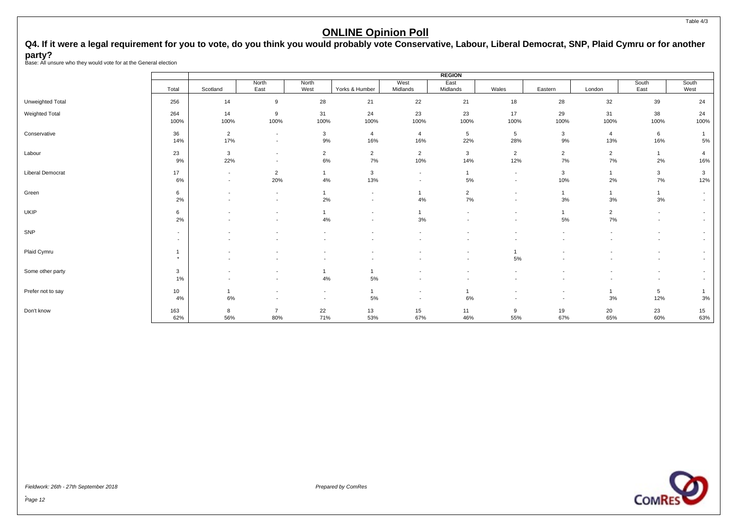# Q4. If it were a legal requirement for you to vote, do you think you would probably vote Conservative, Labour, Liberal Democrat, SNP, Plaid Cymru or for another **party?** Base: All unsure who they would vote for at the General election

|                         |                                                      | West<br>North<br>North<br>East<br>Scotland<br>West<br>Yorks & Humber<br>Midlands<br>28<br>22<br>14<br>9<br>21<br>23<br>31<br>14<br>9<br>24<br>100%<br>100%<br>100%<br>100%<br>100%<br>$\overline{2}$<br>$\mathbf{3}$<br>$\overline{4}$<br>$\overline{4}$<br>$\sim$<br>17%<br>9%<br>16%<br>16%<br>$\overline{\phantom{a}}$<br>$\mathbf{3}$<br>$\overline{2}$<br>$\overline{2}$<br>$\overline{2}$<br>$\overline{\phantom{a}}$<br>22%<br>6%<br>7%<br>10%<br>9%<br>$\overline{\phantom{a}}$<br>$\overline{2}$<br>3<br>$\overline{1}$<br>$\sim$<br>$\overline{\phantom{a}}$<br>20%<br>4%<br>13%<br>6%<br>$\sim$<br>$\sim$<br>6<br>$\mathbf{1}$<br>$\overline{\phantom{a}}$<br>$\overline{\phantom{a}}$<br>$\overline{\phantom{a}}$<br>2%<br>2%<br>4%<br>$\overline{\phantom{a}}$<br>$\overline{\phantom{a}}$<br>$\overline{\phantom{0}}$<br>6<br>$\overline{\phantom{a}}$<br>2%<br>4%<br>3%<br>$\overline{\phantom{a}}$<br>$\overline{\phantom{a}}$<br>$\overline{\phantom{a}}$ |                       |                                                      |                          |                                                      | <b>REGION</b>                 |                                                      |                                                      |                         |                                            |                                            |
|-------------------------|------------------------------------------------------|----------------------------------------------------------------------------------------------------------------------------------------------------------------------------------------------------------------------------------------------------------------------------------------------------------------------------------------------------------------------------------------------------------------------------------------------------------------------------------------------------------------------------------------------------------------------------------------------------------------------------------------------------------------------------------------------------------------------------------------------------------------------------------------------------------------------------------------------------------------------------------------------------------------------------------------------------------------------------|-----------------------|------------------------------------------------------|--------------------------|------------------------------------------------------|-------------------------------|------------------------------------------------------|------------------------------------------------------|-------------------------|--------------------------------------------|--------------------------------------------|
|                         | Total                                                |                                                                                                                                                                                                                                                                                                                                                                                                                                                                                                                                                                                                                                                                                                                                                                                                                                                                                                                                                                            |                       |                                                      |                          |                                                      | East<br>Midlands              | Wales                                                | Eastern                                              | London                  | South<br>East                              | South<br>West                              |
| Unweighted Total        | 256                                                  |                                                                                                                                                                                                                                                                                                                                                                                                                                                                                                                                                                                                                                                                                                                                                                                                                                                                                                                                                                            |                       |                                                      |                          |                                                      | 21                            | 18                                                   | 28                                                   | 32                      | 39                                         | 24                                         |
| Weighted Total          | 264<br>100%                                          |                                                                                                                                                                                                                                                                                                                                                                                                                                                                                                                                                                                                                                                                                                                                                                                                                                                                                                                                                                            |                       |                                                      |                          |                                                      | 23<br>100%                    | 17<br>100%                                           | 29<br>100%                                           | 31<br>100%              | 38<br>100%                                 | 24<br>100%                                 |
| Conservative            | 36<br>14%                                            |                                                                                                                                                                                                                                                                                                                                                                                                                                                                                                                                                                                                                                                                                                                                                                                                                                                                                                                                                                            |                       |                                                      |                          |                                                      | $5\phantom{.0}$<br>22%        | 5<br>28%                                             | $\mathbf{3}$<br>9%                                   | $\overline{4}$<br>13%   | 6<br>16%                                   | 5%                                         |
| Labour                  | 23                                                   |                                                                                                                                                                                                                                                                                                                                                                                                                                                                                                                                                                                                                                                                                                                                                                                                                                                                                                                                                                            |                       |                                                      |                          |                                                      | $\mathbf{3}$<br>14%           | $\overline{2}$<br>12%                                | $\overline{2}$<br>7%                                 | $\overline{2}$<br>$7\%$ | $\overline{1}$<br>2%                       | $\overline{4}$<br>16%                      |
| <b>Liberal Democrat</b> | 17                                                   |                                                                                                                                                                                                                                                                                                                                                                                                                                                                                                                                                                                                                                                                                                                                                                                                                                                                                                                                                                            |                       |                                                      |                          |                                                      | $\mathbf{1}$<br>5%            | $\sim$<br>$\sim$                                     | $\mathbf{3}$<br>10%                                  | $\mathbf{1}$<br>2%      | $\mathbf{3}$<br>7%                         | 3<br>12%                                   |
| Green                   |                                                      |                                                                                                                                                                                                                                                                                                                                                                                                                                                                                                                                                                                                                                                                                                                                                                                                                                                                                                                                                                            |                       |                                                      |                          |                                                      | $\overline{2}$<br>7%          | $\overline{a}$<br>$\sim$                             | $\overline{1}$<br>3%                                 | $\mathbf{1}$<br>3%      | $\overline{1}$<br>3%                       | $\overline{a}$<br>$\overline{\phantom{a}}$ |
| <b>UKIP</b>             |                                                      |                                                                                                                                                                                                                                                                                                                                                                                                                                                                                                                                                                                                                                                                                                                                                                                                                                                                                                                                                                            |                       |                                                      |                          |                                                      | $\overline{\phantom{a}}$      | $\overline{\phantom{a}}$<br>$\overline{\phantom{a}}$ | 5%                                                   | $\overline{2}$<br>7%    | $\overline{\phantom{a}}$<br>$\blacksquare$ | $\overline{\phantom{a}}$<br>$\overline{a}$ |
| SNP                     | $\overline{\phantom{a}}$<br>$\overline{\phantom{a}}$ |                                                                                                                                                                                                                                                                                                                                                                                                                                                                                                                                                                                                                                                                                                                                                                                                                                                                                                                                                                            |                       |                                                      |                          |                                                      |                               |                                                      |                                                      |                         | $\overline{\phantom{a}}$                   | $\sim$<br>$\sim$                           |
| Plaid Cymru             | $\star$                                              | $\overline{\phantom{a}}$<br>$\blacksquare$                                                                                                                                                                                                                                                                                                                                                                                                                                                                                                                                                                                                                                                                                                                                                                                                                                                                                                                                 |                       | $\overline{\phantom{a}}$                             | $\overline{\phantom{a}}$ |                                                      | ٠<br>$\overline{\phantom{a}}$ | 5%                                                   | $\overline{\phantom{a}}$                             |                         | $\overline{\phantom{a}}$                   | $\overline{\phantom{a}}$<br>$\overline{a}$ |
| Some other party        | 3<br>$1\%$                                           | $\overline{\phantom{a}}$                                                                                                                                                                                                                                                                                                                                                                                                                                                                                                                                                                                                                                                                                                                                                                                                                                                                                                                                                   | ٠                     | 1<br>4%                                              | 5%                       | $\overline{\phantom{a}}$                             |                               |                                                      |                                                      |                         | $\blacksquare$<br>$\overline{\phantom{a}}$ | $\overline{\phantom{a}}$                   |
| Prefer not to say       | 10 <sup>°</sup><br>4%                                | 6%                                                                                                                                                                                                                                                                                                                                                                                                                                                                                                                                                                                                                                                                                                                                                                                                                                                                                                                                                                         |                       | $\overline{\phantom{a}}$<br>$\overline{\phantom{a}}$ | $\overline{1}$<br>5%     | $\overline{\phantom{a}}$<br>$\overline{\phantom{a}}$ | 6%                            | $\overline{\phantom{a}}$                             | $\overline{\phantom{a}}$<br>$\overline{\phantom{a}}$ | 3%                      | 5<br>12%                                   | 3%                                         |
| Don't know              | 163<br>62%                                           | 8<br>56%                                                                                                                                                                                                                                                                                                                                                                                                                                                                                                                                                                                                                                                                                                                                                                                                                                                                                                                                                                   | $\overline{7}$<br>80% | 22<br>71%                                            | 13<br>53%                | 15<br>67%                                            | 11<br>46%                     | 9<br>55%                                             | 19<br>67%                                            | 20<br>65%               | 23<br>60%                                  | 15<br>63%                                  |



Page 12

Table 4/3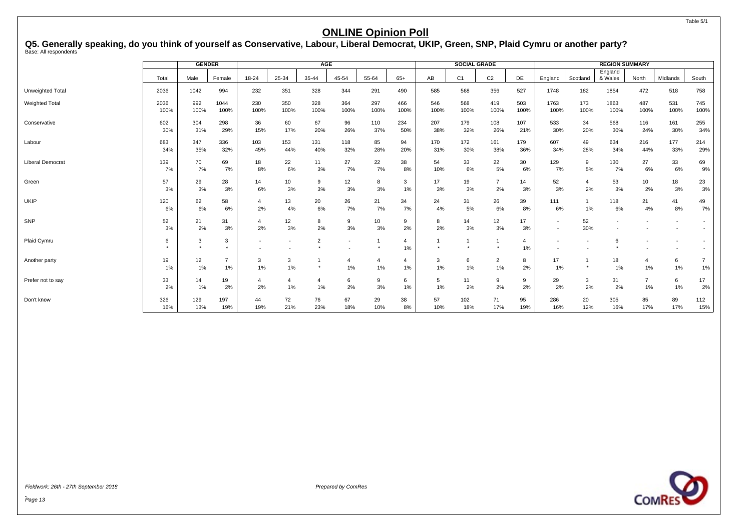<span id="page-14-0"></span>Q5. Generally speaking, do you think of yourself as Conservative, Labour, Liberal Democrat, UKIP, Green, SNP, Plaid Cymru or another party?<br><sub>Base: All respondents</sub>

|                         |              |             | AGE<br><b>GENDER</b><br><b>SOCIAL GRADE</b><br><b>REGION SUMMARY</b> |             |                          |                |                          |                      |                      |             |                |                      |                      |                          |             |                    |             |             |             |
|-------------------------|--------------|-------------|----------------------------------------------------------------------|-------------|--------------------------|----------------|--------------------------|----------------------|----------------------|-------------|----------------|----------------------|----------------------|--------------------------|-------------|--------------------|-------------|-------------|-------------|
|                         | Total        | Male        | Female                                                               | 18-24       | 25-34                    | 35-44          | 45-54                    | 55-64                | $65+$                | AB          | C <sub>1</sub> | C <sub>2</sub>       | DE                   | England                  | Scotland    | England<br>& Wales | North       | Midlands    | South       |
| Unweighted Total        | 2036         | 1042        | 994                                                                  | 232         | 351                      | 328            | 344                      | 291                  | 490                  | 585         | 568            | 356                  | 527                  | 1748                     | 182         | 1854               | 472         | 518         | 758         |
| <b>Weighted Total</b>   | 2036<br>100% | 992<br>100% | 1044<br>100%                                                         | 230<br>100% | 350<br>100%              | 328<br>100%    | 364<br>100%              | 297<br>100%          | 466<br>100%          | 546<br>100% | 568<br>100%    | 419<br>100%          | 503<br>100%          | 1763<br>100%             | 173<br>100% | 1863<br>100%       | 487<br>100% | 531<br>100% | 745<br>100% |
| Conservative            | 602<br>30%   | 304<br>31%  | 298<br>29%                                                           | 36<br>15%   | 60<br>17%                | 67<br>20%      | 96<br>26%                | 110<br>37%           | 234<br>50%           | 207<br>38%  | 179<br>32%     | 108<br>26%           | 107<br>21%           | 533<br>30%               | 34<br>20%   | 568<br>30%         | 116<br>24%  | 161<br>30%  | 255<br>34%  |
| Labour                  | 683<br>34%   | 347<br>35%  | 336<br>32%                                                           | 103<br>45%  | 153<br>44%               | 131<br>40%     | 118<br>32%               | 85<br>28%            | 94<br>20%            | 170<br>31%  | 172<br>30%     | 161<br>38%           | 179<br>36%           | 607<br>34%               | 49<br>28%   | 634<br>34%         | 216<br>44%  | 177<br>33%  | 214<br>29%  |
| <b>Liberal Democrat</b> | 139<br>7%    | 70<br>7%    | 69<br>7%                                                             | 18<br>8%    | 22<br>6%                 | 11<br>3%       | 27<br>7%                 | 22<br>7%             | 38<br>8%             | 54<br>10%   | 33<br>6%       | 22<br>5%             | 30<br>6%             | 129<br>7%                | 9<br>5%     | 130<br>7%          | 27<br>6%    | 33<br>6%    | 69<br>9%    |
| Green                   | 57<br>3%     | 29<br>3%    | 28<br>3%                                                             | 14<br>6%    | 10<br>3%                 | 9<br>3%        | 12<br>3%                 | 8<br>3%              | 3<br>$1\%$           | 17<br>3%    | 19<br>3%       | $\overline{7}$<br>2% | 14<br>3%             | 52<br>3%                 | 4<br>2%     | 53<br>3%           | 10<br>2%    | 18<br>3%    | 23<br>3%    |
| <b>UKIP</b>             | 120<br>6%    | 62<br>6%    | 58<br>6%                                                             | 4<br>2%     | 13<br>4%                 | 20<br>6%       | 26<br>7%                 | 21<br>7%             | 34<br>7%             | 24<br>4%    | 31<br>5%       | 26<br>6%             | 39<br>8%             | 111<br>6%                | 1%          | 118<br>6%          | 21<br>4%    | 41<br>8%    | 49<br>7%    |
| SNP                     | 52<br>3%     | 21<br>2%    | 31<br>3%                                                             | 4<br>2%     | 12<br>3%                 | 8<br>2%        | 9<br>3%                  | 10<br>3%             | 9<br>2%              | 8<br>2%     | 14<br>3%       | 12<br>3%             | 17<br>3%             | $\overline{\phantom{a}}$ | 52<br>30%   |                    |             |             |             |
| Plaid Cymru             | 6            | 3           | 3<br>٠                                                               |             | $\overline{\phantom{a}}$ | $\overline{2}$ | $\overline{\phantom{a}}$ |                      | 4<br>1%              |             |                |                      | $\overline{4}$<br>1% |                          |             | 6                  |             |             |             |
| Another party           | 19<br>1%     | 12<br>1%    | $\overline{7}$<br>1%                                                 | 3<br>1%     | 3<br>1%                  | $\star$        | 1%                       | $\overline{4}$<br>1% | $\overline{4}$<br>1% | 3<br>1%     | 6<br>1%        | $\overline{2}$<br>1% | 8<br>2%              | 17<br>1%                 | $\star$     | 18<br>1%           | 1%          | 6<br>1%     | 1%          |
| Prefer not to say       | 33<br>2%     | 14<br>1%    | 19<br>2%                                                             | 4<br>2%     | 4<br>1%                  | -4<br>1%       | 6<br>2%                  | 9<br>3%              | 6<br>$1\%$           | 5<br>1%     | 11<br>2%       | 9<br>2%              | 9<br>2%              | 29<br>2%                 | 3<br>2%     | 31<br>2%           | 1%          | 6<br>1%     | 17<br>2%    |
| Don't know              | 326<br>16%   | 129<br>13%  | 197<br>19%                                                           | 44<br>19%   | 72<br>21%                | 76<br>23%      | 67<br>18%                | 29<br>10%            | 38<br>8%             | 57<br>10%   | 102<br>18%     | 71<br>17%            | 95<br>19%            | 286<br>16%               | 20<br>12%   | 305<br>16%         | 85<br>17%   | 89<br>17%   | 112<br>15%  |



Fieldwork: 26th - 27th September 2018 Prepared by ComRes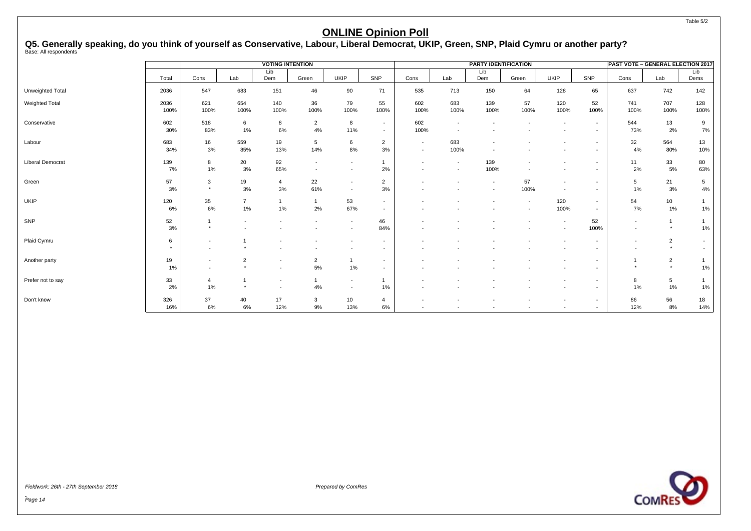# Q5. Generally speaking, do you think of yourself as Conservative, Labour, Liberal Democrat, UKIP, Green, SNP, Plaid Cymru or another party?<br><sub>Base: All respondents</sub>

|                         |              |                                                      |                      | <b>VOTING INTENTION</b>                              |                                                      |                                                      |                                    |                                                      |                          | PARTY IDENTIFICATION |                          |                                                      |                                                      | PAST VOTE - GENERAL ELECTION 2017 |                           |                          |
|-------------------------|--------------|------------------------------------------------------|----------------------|------------------------------------------------------|------------------------------------------------------|------------------------------------------------------|------------------------------------|------------------------------------------------------|--------------------------|----------------------|--------------------------|------------------------------------------------------|------------------------------------------------------|-----------------------------------|---------------------------|--------------------------|
|                         | Total        | Cons                                                 | Lab                  | Lib<br>Dem                                           | Green                                                | <b>UKIP</b>                                          | SNP                                | Cons                                                 | Lab                      | Lib<br>Dem           | Green                    | <b>UKIP</b>                                          | SNP                                                  | Cons                              | Lab                       | Lib<br>Dems              |
| Unweighted Total        | 2036         | 547                                                  | 683                  | 151                                                  | 46                                                   | 90                                                   | 71                                 | 535                                                  | 713                      | 150                  | 64                       | 128                                                  | 65                                                   | 637                               | 742                       | 142                      |
| Weighted Total          | 2036<br>100% | 621<br>100%                                          | 654<br>100%          | 140<br>100%                                          | 36<br>100%                                           | 79<br>100%                                           | 55<br>100%                         | 602<br>100%                                          | 683<br>100%              | 139<br>100%          | 57<br>100%               | 120<br>100%                                          | 52<br>100%                                           | 741<br>100%                       | 707<br>100%               | 128<br>100%              |
| Conservative            | 602<br>30%   | 518<br>83%                                           | 6<br>1%              | 8<br>6%                                              | $\overline{2}$<br>4%                                 | 8<br>11%                                             | $\sim$<br>$\sim$                   | 602<br>100%                                          |                          |                      |                          | $\overline{\phantom{a}}$                             | $\overline{\phantom{a}}$<br>$\overline{\phantom{a}}$ | 544<br>73%                        | 13<br>2%                  | 9<br>7%                  |
| Labour                  | 683<br>34%   | 16<br>3%                                             | 559<br>85%           | 19<br>13%                                            | $5\phantom{.0}$<br>14%                               | 6<br>8%                                              | $\overline{2}$<br>3%               | $\overline{\phantom{a}}$<br>$\overline{\phantom{a}}$ | 683<br>100%              |                      |                          |                                                      | $\overline{\phantom{a}}$<br>$\overline{\phantom{a}}$ | 32<br>4%                          | 564<br>80%                | 13<br>10%                |
| <b>Liberal Democrat</b> | 139<br>7%    | 8<br>1%                                              | 20<br>3%             | 92<br>65%                                            | $\overline{\phantom{a}}$<br>$\overline{\phantom{a}}$ | $\sim$                                               | 2%                                 | $\overline{\phantom{a}}$                             | $\overline{\phantom{a}}$ | 139<br>100%          |                          | $\overline{\phantom{a}}$                             | $\overline{\phantom{a}}$<br>$\overline{\phantom{a}}$ | 11<br>2%                          | 33<br>5%                  | 80<br>63%                |
| Green                   | 57<br>3%     | 3<br>$\star$                                         | 19<br>$3\%$          | $\overline{4}$<br>3%                                 | 22<br>61%                                            | $\overline{\phantom{0}}$<br>$\overline{a}$           | $\overline{2}$<br>3%               |                                                      |                          |                      | 57<br>100%               | $\overline{\phantom{a}}$<br>$\overline{\phantom{a}}$ | $\overline{\phantom{a}}$<br>$\overline{\phantom{a}}$ | 5<br>1%                           | 21<br>3%                  | $5\phantom{.0}$<br>4%    |
| UKIP                    | 120<br>6%    | 35<br>6%                                             | $\overline{7}$<br>1% | 1%                                                   | $\overline{1}$<br>2%                                 | 53<br>67%                                            | $\overline{\phantom{a}}$<br>$\sim$ |                                                      |                          |                      | $\overline{\phantom{a}}$ | 120<br>100%                                          | $\overline{\phantom{a}}$<br>$\sim$                   | 54<br>7%                          | 10 <sup>10</sup><br>1%    | 1%                       |
| SNP                     | 52<br>3%     | $\overline{1}$<br>$^\star$                           |                      |                                                      |                                                      | $\sim$<br>$\overline{a}$                             | 46<br>84%                          |                                                      |                          |                      |                          | $\overline{\phantom{a}}$<br>$\overline{\phantom{a}}$ | 52<br>100%                                           |                                   | $\star$                   | 1%                       |
| Plaid Cymru             | 6<br>$\star$ | $\overline{\phantom{a}}$<br>$\sim$                   |                      |                                                      |                                                      |                                                      | $\overline{\phantom{a}}$           |                                                      |                          |                      |                          |                                                      | $\overline{\phantom{a}}$                             |                                   | 2<br>$\star$              | $\overline{\phantom{a}}$ |
| Another party           | 19<br>1%     | $\overline{\phantom{a}}$<br>$\overline{\phantom{a}}$ | $\overline{2}$       | $\overline{\phantom{a}}$<br>$\overline{\phantom{a}}$ | $\overline{2}$<br>5%                                 | $1\%$                                                | $\overline{\phantom{a}}$           |                                                      |                          |                      |                          | $\overline{\phantom{a}}$                             | $\overline{\phantom{a}}$                             |                                   | $\overline{2}$<br>$\star$ | 1%                       |
| Prefer not to say       | 33<br>2%     | $\overline{4}$<br>1%                                 |                      | $\overline{\phantom{a}}$<br>$\overline{\phantom{a}}$ | 4%                                                   | $\overline{\phantom{a}}$<br>$\overline{\phantom{0}}$ | 1%                                 |                                                      |                          |                      |                          | $\overline{\phantom{a}}$                             | $\overline{\phantom{a}}$                             | 8<br>$1\%$                        | $5\phantom{.0}$<br>1%     | 1%                       |
| Don't know              | 326<br>16%   | 37<br>6%                                             | 40<br>6%             | 17<br>12%                                            | 3<br>9%                                              | 10<br>13%                                            | 4<br>6%                            |                                                      |                          |                      |                          | $\overline{\phantom{a}}$<br>$\overline{\phantom{a}}$ | $\overline{\phantom{a}}$<br>$\overline{\phantom{a}}$ | 86<br>12%                         | 56<br>8%                  | 18<br>14%                |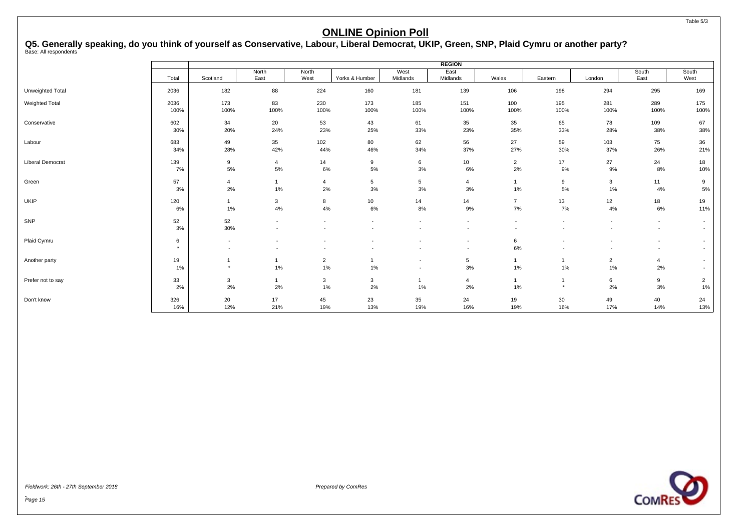# Q5. Generally speaking, do you think of yourself as Conservative, Labour, Liberal Democrat, UKIP, Green, SNP, Plaid Cymru or another party?<br><sub>Base: All respondents</sub>

|                   |         |                          |                          |                          |                          |                          | <b>REGION</b>            |                          |                          |                          |                          |                          |
|-------------------|---------|--------------------------|--------------------------|--------------------------|--------------------------|--------------------------|--------------------------|--------------------------|--------------------------|--------------------------|--------------------------|--------------------------|
|                   | Total   | Scotland                 | North<br>East            | North<br>West            | Yorks & Humber           | West<br>Midlands         | East<br>Midlands         | Wales                    | Eastern                  | London                   | South<br>East            | South<br>West            |
|                   |         |                          |                          |                          |                          |                          |                          |                          |                          |                          |                          |                          |
| Unweighted Total  | 2036    | 182                      | 88                       | 224                      | 160                      | 181                      | 139                      | 106                      | 198                      | 294                      | 295                      | 169                      |
| Weighted Total    | 2036    | 173                      | 83                       | 230                      | 173                      | 185                      | 151                      | 100                      | 195                      | 281                      | 289                      | 175                      |
|                   | 100%    | 100%                     | 100%                     | 100%                     | 100%                     | 100%                     | 100%                     | 100%                     | 100%                     | 100%                     | 100%                     | 100%                     |
| Conservative      | 602     | 34                       | 20                       | 53                       | 43                       | 61                       | 35                       | 35                       | 65                       | 78                       | 109                      | 67                       |
|                   | 30%     | 20%                      | 24%                      | 23%                      | 25%                      | 33%                      | 23%                      | 35%                      | 33%                      | 28%                      | 38%                      | 38%                      |
| Labour            | 683     | 49                       | 35                       | 102                      | 80                       | 62                       | 56                       | 27                       | 59                       | 103                      | 75                       | 36                       |
|                   | 34%     | 28%                      | 42%                      | 44%                      | 46%                      | 34%                      | 37%                      | 27%                      | 30%                      | 37%                      | 26%                      | 21%                      |
| Liberal Democrat  | 139     | 9                        | $\overline{4}$           | 14                       | 9                        | 6                        | 10                       | $\overline{2}$           | 17                       | 27                       | 24                       | 18                       |
|                   | 7%      | 5%                       | 5%                       | 6%                       | 5%                       | 3%                       | 6%                       | 2%                       | 9%                       | 9%                       | 8%                       | 10%                      |
| Green             | 57      | 4                        | $\mathbf{1}$             | $\overline{4}$           | $5\phantom{.0}$          | $5\phantom{.0}$          | 4                        | $\mathbf{1}$             | 9                        | 3                        | 11                       | 9                        |
|                   | 3%      | 2%                       | 1%                       | 2%                       | 3%                       | 3%                       | 3%                       | 1%                       | 5%                       | 1%                       | 4%                       | 5%                       |
| UKIP              | 120     | $\mathbf{1}$             | $\mathbf{3}$             | 8                        | 10                       | 14                       | 14                       | $\overline{7}$           | 13                       | 12                       | 18                       | 19                       |
|                   | 6%      | 1%                       | 4%                       | 4%                       | 6%                       | 8%                       | 9%                       | 7%                       | 7%                       | 4%                       | 6%                       | 11%                      |
| SNP               | 52      | 52                       | $\overline{\phantom{a}}$ |                          |                          | $\overline{a}$           |                          | $\overline{\phantom{a}}$ | $\overline{\phantom{a}}$ |                          | $\overline{\phantom{a}}$ | $\overline{\phantom{a}}$ |
|                   | 3%      | 30%                      | $\overline{\phantom{a}}$ |                          |                          |                          | $\overline{\phantom{a}}$ | $\overline{\phantom{a}}$ | $\overline{\phantom{a}}$ | $\overline{\phantom{a}}$ | $\overline{\phantom{a}}$ | $\overline{\phantom{a}}$ |
| Plaid Cymru       | 6       | $\overline{\phantom{a}}$ |                          |                          |                          |                          | $\overline{\phantom{a}}$ | 6                        |                          |                          | $\overline{\phantom{a}}$ | $\overline{\phantom{a}}$ |
|                   | $\star$ | $\overline{\phantom{a}}$ | $\overline{\phantom{a}}$ | $\overline{\phantom{a}}$ | $\overline{\phantom{a}}$ | $\overline{a}$           | $\overline{\phantom{a}}$ | 6%                       | $\overline{\phantom{a}}$ | $\overline{\phantom{a}}$ | $\overline{\phantom{a}}$ | $\overline{\phantom{a}}$ |
| Another party     | 19      | $\mathbf{1}$             | 1                        | $\overline{2}$           |                          | $\overline{\phantom{a}}$ | 5                        | $\mathbf{1}$             | $\mathbf{1}$             | $\overline{2}$           | $\overline{4}$           | $\overline{\phantom{a}}$ |
|                   | 1%      | $\star$                  | $1\%$                    | 1%                       | 1%                       | $\overline{\phantom{a}}$ | $3%$                     | $1\%$                    | 1%                       | 1%                       | 2%                       | $\overline{\phantom{a}}$ |
| Prefer not to say | 33      | 3                        | 1                        | 3                        | 3                        | -1                       | $\overline{4}$           | $\mathbf{1}$             | $\mathbf{1}$             | 6                        | 9                        | $\overline{2}$           |
|                   | 2%      | 2%                       | 2%                       | $1\%$                    | 2%                       | $1\%$                    | 2%                       | $1\%$                    | $\star$                  | 2%                       | 3%                       | $1\%$                    |
| Don't know        | 326     | 20                       | 17                       | 45                       | 23                       | 35                       | 24                       | 19                       | 30                       | 49                       | 40                       | 24                       |
|                   | 16%     | 12%                      | 21%                      | 19%                      | 13%                      | 19%                      | 16%                      | 19%                      | 16%                      | 17%                      | 14%                      | 13%                      |

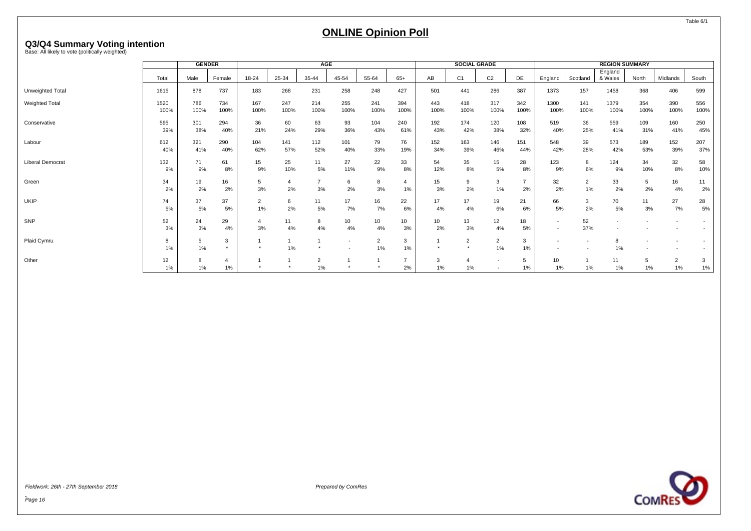# <span id="page-17-0"></span>**Q3/Q4 Summary Voting intention** Base: All likely to vote (politically weighted)

|                  |              |             | SOCIAL GRADE<br><b>GENDER</b><br>AGE<br><b>REGION SUMMARY</b> |                      |             |             |                          |             |                      |             |                |                      |                                |                                                      |             |                    |             |                         |             |
|------------------|--------------|-------------|---------------------------------------------------------------|----------------------|-------------|-------------|--------------------------|-------------|----------------------|-------------|----------------|----------------------|--------------------------------|------------------------------------------------------|-------------|--------------------|-------------|-------------------------|-------------|
|                  | Total        | Male        | Female                                                        | 18-24                | 25-34       | 35-44       | 45-54                    | 55-64       | $65+$                | AB          | C <sub>1</sub> | C <sub>2</sub>       | DE                             | England                                              | Scotland    | England<br>& Wales | North       | Midlands                | South       |
| Unweighted Total | 1615         | 878         | 737                                                           | 183                  | 268         | 231         | 258                      | 248         | 427                  | 501         | 441            | 286                  | 387                            | 1373                                                 | 157         | 1458               | 368         | 406                     | 599         |
| Weighted Total   | 1520<br>100% | 786<br>100% | 734<br>100%                                                   | 167<br>100%          | 247<br>100% | 214<br>100% | 255<br>100%              | 241<br>100% | 394<br>100%          | 443<br>100% | 418<br>100%    | 317<br>100%          | 342<br>100%                    | 1300<br>100%                                         | 141<br>100% | 1379<br>100%       | 354<br>100% | 390<br>100%             | 556<br>100% |
| Conservative     | 595<br>39%   | 301<br>38%  | 294<br>40%                                                    | 36<br>21%            | 60<br>24%   | 63<br>29%   | 93<br>36%                | 104<br>43%  | 240<br>61%           | 192<br>43%  | 174<br>42%     | 120<br>38%           | 108<br>32%                     | 519<br>40%                                           | 36<br>25%   | 559<br>41%         | 109<br>31%  | 160<br>41%              | 250<br>45%  |
| Labour           | 612<br>40%   | 321<br>41%  | 290<br>40%                                                    | 104<br>62%           | 141<br>57%  | 112<br>52%  | 101<br>40%               | 79<br>33%   | 76<br>19%            | 152<br>34%  | 163<br>39%     | 146<br>46%           | 151<br>44%                     | 548<br>42%                                           | 39<br>28%   | 573<br>42%         | 189<br>53%  | 152<br>39%              | 207<br>37%  |
| Liberal Democrat | 132<br>9%    | 71<br>9%    | 61<br>8%                                                      | 15<br>9%             | 25<br>10%   | 11<br>5%    | 27<br>11%                | 22<br>9%    | 33<br>8%             | 54<br>12%   | 35<br>8%       | 15<br>5%             | 28<br>8%                       | 123<br>9%                                            | 8<br>6%     | 124<br>9%          | 34<br>10%   | 32<br>8%                | 58<br>10%   |
| Green            | 34<br>2%     | 19<br>2%    | 16<br>2%                                                      | 5<br>3%              | -4<br>2%    | 3%          | 6<br>2%                  | 8<br>3%     | $\overline{a}$<br>1% | 15<br>3%    | 9<br>2%        | 3<br>1%              | $\overline{\phantom{a}}$<br>2% | 32<br>2%                                             | 2<br>1%     | 33<br>2%           | 5<br>2%     | 16<br>4%                | 11<br>2%    |
| <b>UKIP</b>      | 74<br>5%     | 37<br>5%    | 37<br>5%                                                      | $\overline{2}$<br>1% | 6<br>2%     | 11<br>5%    | 17<br>7%                 | 16<br>7%    | 22<br>6%             | 17<br>4%    | 17<br>4%       | 19<br>6%             | 21<br>6%                       | 66<br>5%                                             | 3<br>2%     | 70<br>5%           | 11<br>3%    | 27<br>7%                | 28<br>5%    |
| SNP              | 52<br>3%     | 24<br>3%    | 29<br>4%                                                      | 4<br>3%              | 11<br>4%    | 8<br>4%     | 10<br>4%                 | 10<br>4%    | 10<br>3%             | 10<br>2%    | 13<br>3%       | 12<br>4%             | 18<br>5%                       | $\overline{\phantom{a}}$<br>$\overline{\phantom{a}}$ | 52<br>37%   |                    |             |                         |             |
| Plaid Cymru      | 8<br>1%      | 5<br>1%     |                                                               |                      | 1%          |             | $\overline{\phantom{a}}$ | 2<br>$1\%$  | 3<br>1%              |             | 2<br>$\star$   | $\overline{2}$<br>1% | 3<br>1%                        |                                                      |             | 8<br>1%            |             |                         |             |
| Other            | 12<br>$1\%$  | 1%          | 1%                                                            |                      |             | 2<br>1%     |                          |             | $\overline{7}$<br>2% | 3<br>1%     | $1\%$          |                      | 5<br>1%                        | 10<br>1%                                             | 1%          | 11<br>1%           | 5<br>1%     | $\overline{2}$<br>$1\%$ | 3<br>1%     |

Fieldwork: 26th - 27th September 2018 Prepared by ComRes



Table 6/1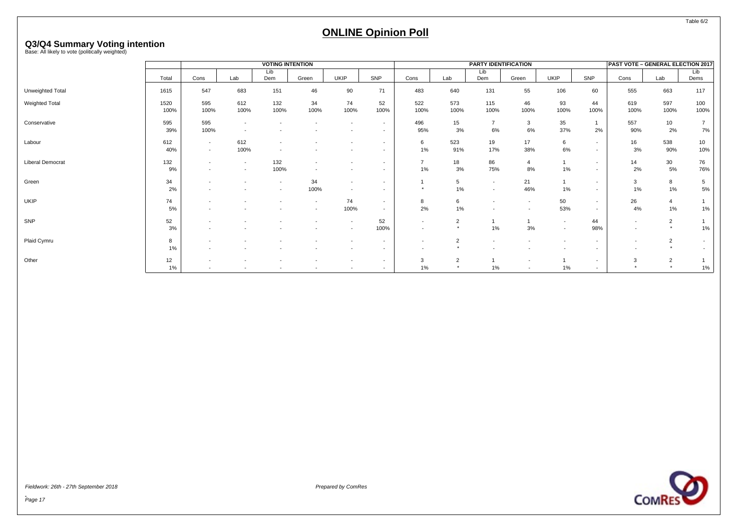# **Q3/Q4 Summary Voting intention** Base: All likely to vote (politically weighted)

|                  |       |                          |                          | <b>VOTING INTENTION</b>  |                          |                          |                          |                          |                | <b>PARTY IDENTIFICATION</b> |                          |                          |                          | <b>PAST VOTE - GENERAL ELECTION 2017</b> |                 |                |
|------------------|-------|--------------------------|--------------------------|--------------------------|--------------------------|--------------------------|--------------------------|--------------------------|----------------|-----------------------------|--------------------------|--------------------------|--------------------------|------------------------------------------|-----------------|----------------|
|                  |       |                          |                          | Lib                      |                          |                          |                          |                          |                | Lib                         |                          |                          |                          |                                          |                 | Lib            |
|                  | Total | Cons                     | Lab                      | Dem                      | Green                    | UKIP                     | SNP                      | Cons                     | Lab            | Dem                         | Green                    | <b>UKIP</b>              | SNP                      | Cons                                     | Lab             | Dems           |
| Unweighted Total | 1615  | 547                      | 683                      | 151                      | 46                       | 90                       | 71                       | 483                      | 640            | 131                         | 55                       | 106                      | 60                       | 555                                      | 663             | 117            |
| Weighted Total   | 1520  | 595                      | 612                      | 132                      | 34                       | 74                       | 52                       | 522                      | 573            | 115                         | 46                       | 93                       | 44                       | 619                                      | 597             | 100            |
|                  | 100%  | 100%                     | 100%                     | 100%                     | 100%                     | 100%                     | 100%                     | 100%                     | 100%           | 100%                        | 100%                     | 100%                     | 100%                     | 100%                                     | 100%            | 100%           |
| Conservative     | 595   | 595                      |                          |                          |                          | $\sim$                   | $\overline{\phantom{a}}$ | 496                      | 15             | $\overline{7}$              | 3                        | 35                       |                          | 557                                      | 10 <sup>1</sup> | $\overline{7}$ |
|                  | 39%   | 100%                     |                          |                          |                          | $\overline{\phantom{a}}$ | $\overline{\phantom{a}}$ | 95%                      | 3%             | 6%                          | 6%                       | 37%                      | 2%                       | 90%                                      | 2%              | 7%             |
| Labour           | 612   | $\sim$                   | 612                      | $\overline{\phantom{a}}$ |                          | $\overline{\phantom{a}}$ | $\overline{\phantom{a}}$ | 6                        | 523            | 19                          | 17                       | 6                        | $\overline{\phantom{a}}$ | 16                                       | 538             | 10             |
|                  | 40%   | $\overline{a}$           | 100%                     | $\overline{\phantom{a}}$ |                          |                          | $\overline{\phantom{a}}$ | 1%                       | 91%            | 17%                         | 38%                      | 6%                       | $\overline{\phantom{a}}$ | 3%                                       | 90%             | 10%            |
| Liberal Democrat | 132   | $\overline{\phantom{a}}$ | $\overline{\phantom{a}}$ | 132                      | $\overline{\phantom{a}}$ | $\overline{\phantom{a}}$ | $\overline{\phantom{a}}$ | $\overline{7}$           | 18             | 86                          | 4                        |                          | $\overline{\phantom{a}}$ | 14                                       | 30              | 76             |
|                  | 9%    |                          | $\overline{\phantom{a}}$ | 100%                     | $\overline{\phantom{a}}$ |                          | $\overline{\phantom{a}}$ | 1%                       | 3%             | 75%                         | 8%                       | $1\%$                    | $\overline{\phantom{a}}$ | 2%                                       | 5%              | 76%            |
| Green            | 34    |                          |                          | $\overline{\phantom{a}}$ | 34                       | $\overline{\phantom{a}}$ | $\overline{\phantom{a}}$ |                          | 5              | $\sim$                      | 21                       |                          | $\overline{\phantom{a}}$ | 3                                        | 8               | 5              |
|                  | 2%    |                          |                          | $\overline{\phantom{a}}$ | 100%                     | $\overline{a}$           |                          |                          | 1%             | $\overline{\phantom{a}}$    | 46%                      | $1\%$                    | $\overline{\phantom{a}}$ | 1%                                       | 1%              | 5%             |
| UKIP             | 74    |                          |                          |                          | $\sim$                   | 74                       | $\sim$                   | 8                        | 6              |                             | $\overline{\phantom{a}}$ | 50                       | $\sim$                   | 26                                       | 4               |                |
|                  | 5%    |                          |                          |                          | $\sim$                   | 100%                     | $\overline{\phantom{a}}$ | 2%                       | 1%             | $\overline{\phantom{a}}$    | $\overline{\phantom{a}}$ | 53%                      | $\overline{\phantom{a}}$ | 4%                                       | 1%              | 1%             |
| <b>SNP</b>       | 52    |                          |                          |                          |                          | $\sim$                   | 52                       | $\overline{\phantom{a}}$ | $\overline{2}$ |                             |                          | $\sim$                   | 44                       | $\overline{\phantom{a}}$                 | $\overline{2}$  |                |
|                  | 3%    |                          |                          |                          |                          | $\overline{a}$           | 100%                     |                          |                | 1%                          | 3%                       | $\overline{\phantom{a}}$ | 98%                      | ٠                                        | $\star$         | 1%             |
| Plaid Cymru      | 8     |                          |                          |                          |                          | $\overline{\phantom{a}}$ | $\overline{\phantom{a}}$ |                          | 2              |                             |                          | $\overline{\phantom{a}}$ | $\overline{\phantom{a}}$ | $\overline{\phantom{a}}$                 | $\overline{2}$  |                |
|                  | 1%    |                          |                          |                          |                          |                          | $\overline{\phantom{a}}$ |                          |                |                             |                          |                          | $\overline{\phantom{a}}$ |                                          | $\star$         |                |
| Other            | 12    |                          |                          |                          | $\overline{\phantom{a}}$ | $\sim$                   | $\sim$                   | 3                        | $\overline{2}$ |                             |                          |                          | $\overline{\phantom{a}}$ | 3                                        | $\overline{2}$  |                |
|                  | 1%    |                          |                          |                          |                          |                          |                          | 1%                       |                | 1%                          |                          | 1%                       |                          |                                          | $\star$         | 1%             |

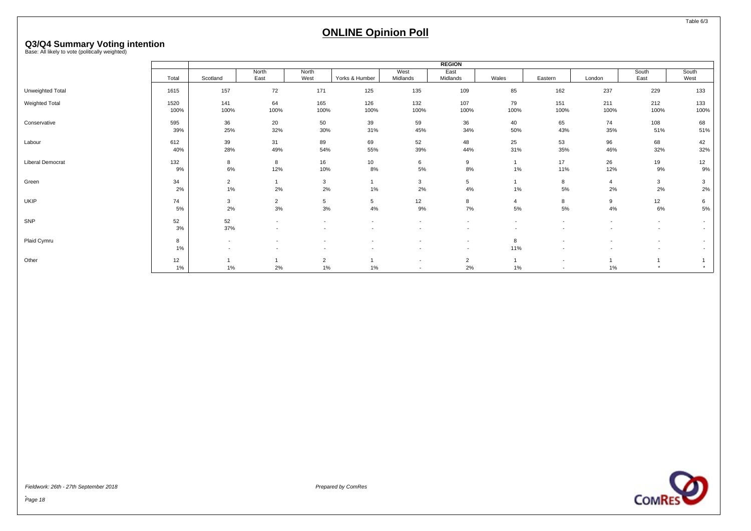# **Q3/Q4 Summary Voting intention** Base: All likely to vote (politically weighted)

|                  |              |                          |                                                      |                                                      |                |                                                      | <b>REGION</b>            |                      |                                                      |                                                      |                          |                                                      |
|------------------|--------------|--------------------------|------------------------------------------------------|------------------------------------------------------|----------------|------------------------------------------------------|--------------------------|----------------------|------------------------------------------------------|------------------------------------------------------|--------------------------|------------------------------------------------------|
|                  | Total        | Scotland                 | North<br>East                                        | North<br>West                                        | Yorks & Humber | West<br>Midlands                                     | East<br>Midlands         | Wales                | Eastern                                              | London                                               | South<br>East            | South<br>West                                        |
| Unweighted Total | 1615         | 157                      | 72                                                   | 171                                                  | 125            | 135                                                  | 109                      | 85                   | 162                                                  | 237                                                  | 229                      | 133                                                  |
| Weighted Total   | 1520<br>100% | 141<br>100%              | 64<br>100%                                           | 165<br>100%                                          | 126<br>100%    | 132<br>100%                                          | 107<br>100%              | 79<br>100%           | 151<br>100%                                          | 211<br>100%                                          | 212<br>100%              | 133<br>100%                                          |
| Conservative     | 595<br>39%   | 36<br>25%                | 20<br>32%                                            | 50<br>30%                                            | 39<br>31%      | 59<br>45%                                            | 36<br>34%                | 40<br>50%            | 65<br>43%                                            | 74<br>35%                                            | 108<br>51%               | 68<br>51%                                            |
| Labour           | 612<br>40%   | 39<br>28%                | 31<br>49%                                            | 89<br>54%                                            | 69<br>55%      | 52<br>39%                                            | 48<br>44%                | 25<br>31%            | 53<br>35%                                            | 96<br>46%                                            | 68<br>32%                | 42<br>32%                                            |
| Liberal Democrat | 132<br>9%    | 8<br>6%                  | 8<br>12%                                             | 16<br>10%                                            | 10<br>8%       | 6<br>5%                                              | 9<br>8%                  | 1%                   | 17<br>11%                                            | 26<br>12%                                            | 19<br>9%                 | 12<br>9%                                             |
| Green            | 34<br>2%     | $\overline{2}$<br>1%     | 2%                                                   | 3<br>2%                                              | $1\%$          | 3<br>2%                                              | 5<br>4%                  | 1%                   | 8<br>5%                                              | $\overline{4}$<br>2%                                 | 3<br>2%                  | 3<br>2%                                              |
| UKIP             | 74<br>5%     | 3<br>2%                  | $\overline{2}$<br>3%                                 | 5<br>3%                                              | 5<br>4%        | 12<br>9%                                             | 8<br>7%                  | $\overline{4}$<br>5% | 8<br>5%                                              | 9<br>4%                                              | 12<br>6%                 | 6<br>5%                                              |
| <b>SNP</b>       | 52<br>3%     | 52<br>37%                | $\overline{\phantom{a}}$<br>$\overline{\phantom{a}}$ | $\overline{\phantom{a}}$<br>$\overline{\phantom{a}}$ | $\sim$         | $\overline{\phantom{a}}$                             | $\overline{\phantom{a}}$ | $\sim$               | $\overline{\phantom{a}}$                             | $\overline{\phantom{a}}$<br>$\overline{\phantom{a}}$ | $\overline{\phantom{a}}$ | $\overline{\phantom{a}}$<br>$\sim$                   |
| Plaid Cymru      | 8<br>1%      | $\overline{\phantom{a}}$ | $\overline{\phantom{a}}$<br>$\overline{\phantom{a}}$ | $\overline{\phantom{a}}$                             |                | $\overline{\phantom{a}}$                             | $\overline{\phantom{a}}$ | 8<br>11%             |                                                      | $\overline{\phantom{a}}$                             |                          | $\overline{\phantom{a}}$<br>$\overline{\phantom{a}}$ |
| Other            | 12<br>1%     | $1\%$                    | 2%                                                   | 2<br>1%                                              | 1%             | $\overline{\phantom{a}}$<br>$\overline{\phantom{a}}$ | $\overline{2}$<br>2%     | 1%                   | $\overline{\phantom{a}}$<br>$\overline{\phantom{a}}$ | 1%                                                   |                          |                                                      |

Fieldwork: 26th - 27th September 2018 Prepared by ComRes

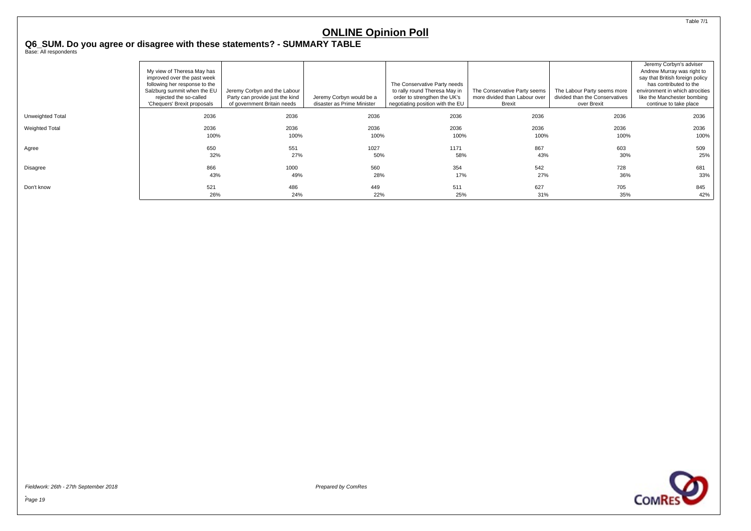<span id="page-20-0"></span>**Q6\_SUM. Do you agree or disagree with these statements? - SUMMARY TABLE** Base: All respondents

|                  | My view of Theresa May has<br>improved over the past week<br>following her response to the<br>Salzburg summit when the EU<br>rejected the so-called<br>'Chequers' Brexit proposals | Jeremy Corbyn and the Labour<br>Party can provide just the kind<br>of government Britain needs | Jeremy Corbyn would be a<br>disaster as Prime Minister | The Conservative Party needs<br>to rally round Theresa May in<br>order to strengthen the UK's<br>negotiating position with the EU | The Conservative Party seems<br>more divided than Labour over<br>Brexit | The Labour Party seems more<br>divided than the Conservatives<br>over Brexit | Jeremy Corbyn's adviser<br>Andrew Murray was right to<br>say that British foreign policy<br>has contributed to the<br>environment in which atrocities<br>like the Manchester bombing<br>continue to take place |
|------------------|------------------------------------------------------------------------------------------------------------------------------------------------------------------------------------|------------------------------------------------------------------------------------------------|--------------------------------------------------------|-----------------------------------------------------------------------------------------------------------------------------------|-------------------------------------------------------------------------|------------------------------------------------------------------------------|----------------------------------------------------------------------------------------------------------------------------------------------------------------------------------------------------------------|
| Unweighted Total | 2036                                                                                                                                                                               | 2036                                                                                           | 2036                                                   | 2036                                                                                                                              | 2036                                                                    | 2036                                                                         | 2036                                                                                                                                                                                                           |
| Weighted Total   | 2036                                                                                                                                                                               | 2036                                                                                           | 2036                                                   | 2036                                                                                                                              | 2036                                                                    | 2036                                                                         | 2036                                                                                                                                                                                                           |
|                  | 100%                                                                                                                                                                               | 100%                                                                                           | 100%                                                   | 100%                                                                                                                              | 100%                                                                    | 100%                                                                         | 100%                                                                                                                                                                                                           |
| Agree            | 650                                                                                                                                                                                | 551                                                                                            | 1027                                                   | 1171                                                                                                                              | 867                                                                     | 603                                                                          | 509                                                                                                                                                                                                            |
|                  | 32%                                                                                                                                                                                | 27%                                                                                            | 50%                                                    | 58%                                                                                                                               | 43%                                                                     | 30%                                                                          | 25%                                                                                                                                                                                                            |
| Disagree         | 866                                                                                                                                                                                | 1000                                                                                           | 560                                                    | 354                                                                                                                               | 542                                                                     | 728                                                                          | 681                                                                                                                                                                                                            |
|                  | 43%                                                                                                                                                                                | 49%                                                                                            | 28%                                                    | 17%                                                                                                                               | 27%                                                                     | 36%                                                                          | 33%                                                                                                                                                                                                            |
| Don't know       | 521                                                                                                                                                                                | 486                                                                                            | 449                                                    | 511                                                                                                                               | 627                                                                     | 705                                                                          | 845                                                                                                                                                                                                            |
|                  | 26%                                                                                                                                                                                | 24%                                                                                            | 22%                                                    | 25%                                                                                                                               | 31%                                                                     | 35%                                                                          | 42%                                                                                                                                                                                                            |

Fieldwork: 26th - 27th September 2018 Prepared by ComRes



Table 7/1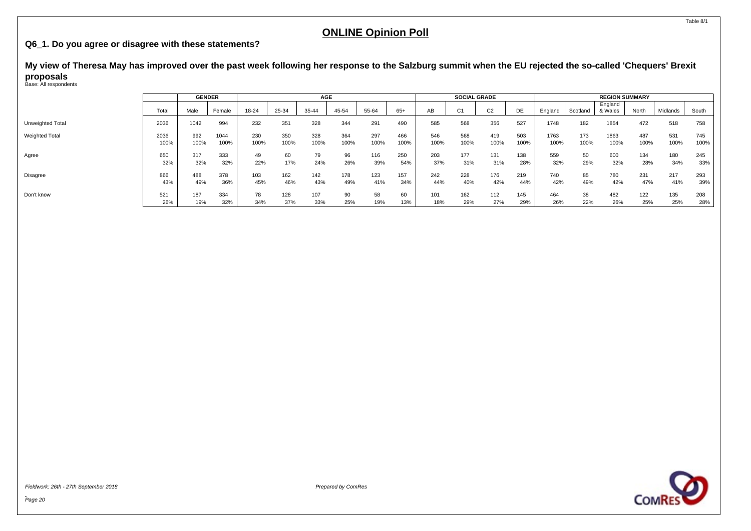#### <span id="page-21-0"></span>**Q6\_1. Do you agree or disagree with these statements?**

**My view of Theresa May has improved over the past week following her response to the Salzburg summit when the EU rejected the so-called 'Chequers' Brexit proposals** Base: All respondents

|                       |       | <b>GENDER</b> |        |       |       | AGE   |       |       |       |      | SOCIAL GRADE |                |      |         |          | <b>REGION SUMMARY</b> |       |          |       |
|-----------------------|-------|---------------|--------|-------|-------|-------|-------|-------|-------|------|--------------|----------------|------|---------|----------|-----------------------|-------|----------|-------|
|                       | Total | Male          | Female | 18-24 | 25-34 | 35-44 | 45-54 | 55-64 | $65+$ | AB   |              | C <sub>2</sub> | DE   | England | Scotland | England<br>& Wales    | North | Midlands | South |
| Unweighted Total      | 2036  | 1042          | 994    | 232   | 351   | 328   | 344   | 291   | 490   | 585  | 568          | 356            | 527  | 1748    | 182      | 1854                  | 472   | 518      | 758   |
| <b>Weighted Total</b> | 2036  | 992           | 1044   | 230   | 350   | 328   | 364   | 297   | 466   | 546  | 568          | 419            | 503  | 1763    | 173      | 1863                  | 487   | 531      | 745   |
|                       | 100%  | 100%          | 100%   | 100%  | 100%  | 100%  | 100%  | 100%  | 100%  | 100% | 100%         | 100%           | 100% | 100%    | 100%     | 100%                  | 100%  | 100%     | 100%  |
| Agree                 | 650   | 317           | 333    | 49    | 60    | 79    | 96    | 116   | 250   | 203  | 177          | 131            | 138  | 559     | 50       | 600                   | 134   | 180      | 245   |
|                       | 32%   | 32%           | 32%    | 22%   | 17%   | 24%   | 26%   | 39%   | 54%   | 37%  | 31%          | 31%            | 28%  | 32%     | 29%      | 32%                   | 28%   | 34%      | 33%   |
| <b>Disagree</b>       | 866   | 488           | 378    | 103   | 162   | 142   | 178   | 123   | 157   | 242  | 228          | 176            | 219  | 740     | 85       | 780                   | 231   | 217      | 293   |
|                       | 43%   | 49%           | 36%    | 45%   | 46%   | 43%   | 49%   | 41%   | 34%   | 44%  | 40%          | 42%            | 44%  | 42%     | 49%      | 42%                   | 47%   | 41%      | 39%   |
| Don't know            | 521   | 187           | 334    | 78    | 128   | 107   | 90    | 58    | 60    | 101  | 162          | 112            | 145  | 464     | 38       | 482                   | 122   | 135      | 208   |
|                       | 26%   | 19%           | 32%    | 34%   | 37%   | 33%   | 25%   | 19%   | 13%   | 18%  | 29%          | 27%            | 29%  | 26%     | 22%      | 26%                   | 25%   | 25%      | 28%   |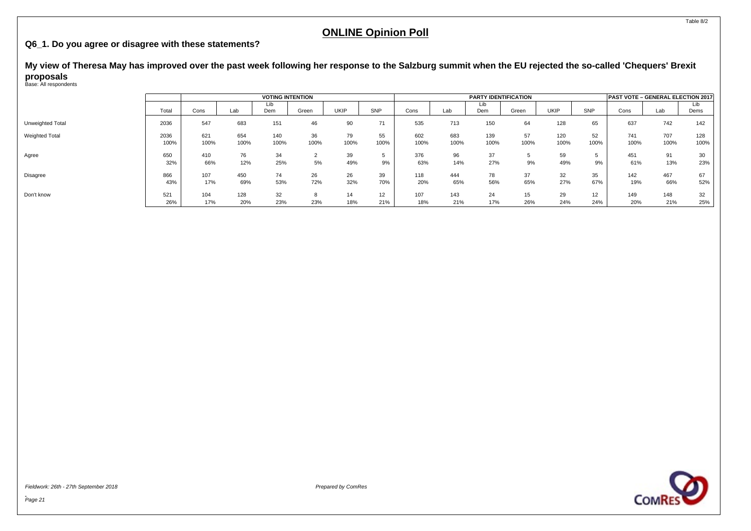#### **Q6\_1. Do you agree or disagree with these statements?**

**My view of Theresa May has improved over the past week following her response to the Salzburg summit when the EU rejected the so-called 'Chequers' Brexit proposals** Base: All respondents

|                  |              |             |             | <b>VOTING INTENTION</b> |               |            |            |             |             | <b>PARTY IDENTIFICATION</b> |            |             |            | PAST VOTE - GENERAL ELECTION 2017 |             |             |
|------------------|--------------|-------------|-------------|-------------------------|---------------|------------|------------|-------------|-------------|-----------------------------|------------|-------------|------------|-----------------------------------|-------------|-------------|
|                  | Total        | Cons        | Lab         | Lib<br>Dem              | Green         | UKIP       | SNP        | Cons        | Lab         | Lib<br>Dem                  | Green      | <b>UKIP</b> | SNP        | Cons                              | Lab         | Lib<br>Dems |
| Unweighted Total | 2036         | 547         | 683         | 151                     | 46            | 90         | 71         | 535         | 713         | 150                         | 64         | 128         | 65         | 637                               | 742         | 142         |
| Weighted Total   | 2036<br>100% | 621<br>100% | 654<br>100% | 140<br>100%             | 36<br>100%    | 79<br>100% | 55<br>100% | 602<br>100% | 683<br>100% | 139<br>100%                 | 57<br>100% | 120<br>100% | 52<br>100% | 741<br>100%                       | 707<br>100% | 128<br>100% |
| Agree            | 650<br>32%   | 410<br>66%  | 76<br>12%   | 34<br>25%               | 5%            | 39<br>49%  | 9%         | 376<br>63%  | 96<br>14%   | 37<br>27%                   | 9%         | 59<br>49%   | 9%         | 451<br>61%                        | 91<br>13%   | 30<br>23%   |
| Disagree         | 866<br>43%   | 107<br>17%  | 450<br>69%  | 74<br>53%               | 26<br>72%     | 26<br>32%  | 39<br>70%  | 118<br>20%  | 444<br>65%  | 78<br>56%                   | 37<br>65%  | 32<br>27%   | 35<br>67%  | 142<br>19%                        | 467<br>66%  | 67<br>52%   |
| Don't know       | 521<br>26%   | 104<br>17%  | 128<br>20%  | 32<br>23%               | $\sim$<br>23% | 14<br>18%  | 12<br>21%  | 107<br>18%  | 143<br>21%  | 24<br>17%                   | 15<br>26%  | 29<br>24%   | 12<br>24%  | 149<br>20%                        | 148<br>21%  | 32<br>25%   |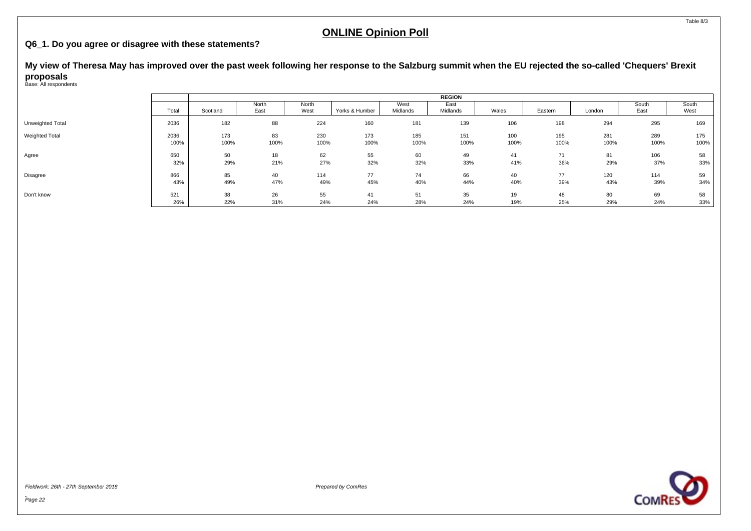#### **Q6\_1. Do you agree or disagree with these statements?**

**My view of Theresa May has improved over the past week following her response to the Salzburg summit when the EU rejected the so-called 'Chequers' Brexit proposals** Base: All respondents

|                  |       |          |               |               |                |                  | <b>REGION</b>    |       |         |        |               |               |
|------------------|-------|----------|---------------|---------------|----------------|------------------|------------------|-------|---------|--------|---------------|---------------|
|                  | Total | Scotland | North<br>East | North<br>West | Yorks & Humber | West<br>Midlands | East<br>Midlands | Wales | Eastern | London | South<br>East | South<br>West |
| Unweighted Total | 2036  | 182      | 88            | 224           | 160            | 181              | 139              | 106   | 198     | 294    | 295           | 169           |
| Weighted Total   | 2036  | 173      | 83            | 230           | 173            | 185              | 151              | 100   | 195     | 281    | 289           | 175           |
|                  | 100%  | 100%     | 100%          | 100%          | 100%           | 100%             | 100%             | 100%  | 100%    | 100%   | 100%          | 100%          |
| Agree            | 650   | 50       | 18            | 62            | 55             | 60               | 49               | 41    | 71      | 81     | 106           | 58            |
|                  | 32%   | 29%      | 21%           | 27%           | 32%            | 32%              | 33%              | 41%   | 36%     | 29%    | 37%           | 33%           |
| Disagree         | 866   | 85       | 40            | 114           | 77             | 74               | 66               | 40    | 77      | 120    | 114           | 59            |
|                  | 43%   | 49%      | 47%           | 49%           | 45%            | 40%              | 44%              | 40%   | 39%     | 43%    | 39%           | 34%           |
| Don't know       | 521   | 38       | 26            | 55            | 41             | 51               | 35               | 19    | 48      | 80     | 69            | 58            |
|                  | 26%   | 22%      | 31%           | 24%           | 24%            | 28%              | 24%              | 19%   | 25%     | 29%    | 24%           | 33%           |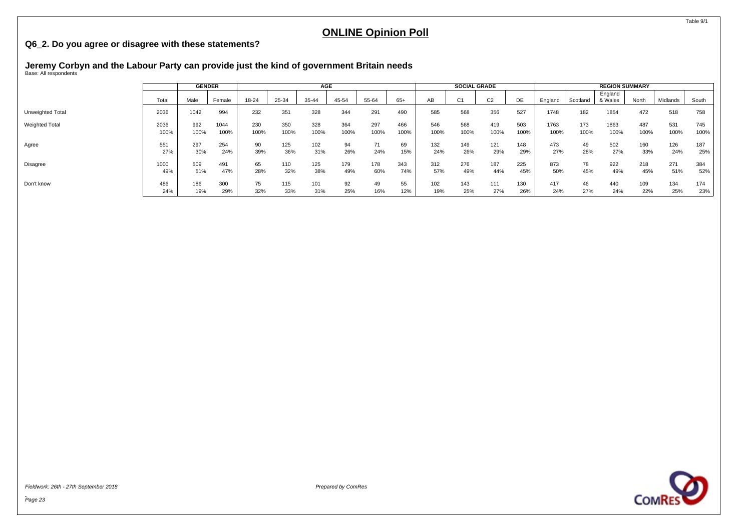#### <span id="page-24-0"></span>**Q6\_2. Do you agree or disagree with these statements?**

# **Jeremy Corbyn and the Labour Party can provide just the kind of government Britain needs** Base: All respondents

|                       |       | <b>GENDER</b> |        |       |       | AGE   |       |       |       |      | <b>SOCIAL GRADE</b> |                |      |         |          | <b>REGION SUMMARY</b> |       |          |       |
|-----------------------|-------|---------------|--------|-------|-------|-------|-------|-------|-------|------|---------------------|----------------|------|---------|----------|-----------------------|-------|----------|-------|
|                       | Total | Male          | Female | 18-24 | 25-34 | 35-44 | 45-54 | 55-64 | $65+$ | AB   | C <sub>1</sub>      | C <sub>2</sub> | DE   | England | Scotland | England<br>& Wales    | North | Midlands | South |
| Unweighted Total      | 2036  | 1042          | 994    | 232   | 351   | 328   | 344   | 291   | 490   | 585  | 568                 | 356            | 527  | 1748    | 182      | 1854                  | 472   | 518      | 758   |
| <b>Weighted Total</b> | 2036  | 992           | 1044   | 230   | 350   | 328   | 364   | 297   | 466   | 546  | 568                 | 419            | 503  | 1763    | 173      | 1863                  | 487   | 531      | 745   |
|                       | 100%  | 100%          | 100%   | 100%  | 100%  | 100%  | 100%  | 100%  | 100%  | 100% | 100%                | 100%           | 100% | 100%    | 100%     | 100%                  | 100%  | 100%     | 100%  |
| Agree                 | 551   | 297           | 254    | 90    | 125   | 102   | 94    | 71    | 69    | 132  | 149                 | 121            | 148  | 473     | 49       | 502                   | 160   | 126      | 187   |
|                       | 27%   | 30%           | 24%    | 39%   | 36%   | 31%   | 26%   | 24%   | 15%   | 24%  | 26%                 | 29%            | 29%  | 27%     | 28%      | 27%                   | 33%   | 24%      | 25%   |
| Disagree              | 1000  | 509           | 491    | 65    | 110   | 125   | 179   | 178   | 343   | 312  | 276                 | 187            | 225  | 873     | 78       | 922                   | 218   | 271      | 384   |
|                       | 49%   | 51%           | 47%    | 28%   | 32%   | 38%   | 49%   | 60%   | 74%   | 57%  | 49%                 | 44%            | 45%  | 50%     | 45%      | 49%                   | 45%   | 51%      | 52%   |
| Don't know            | 486   | 186           | 300    | 75    | 115   | 101   | 92    | 49    | 55    | 102  | 143                 | 111            | 130  | 417     | 46       | 440                   | 109   | 134      | 174   |
|                       | 24%   | 19%           | 29%    | 32%   | 33%   | 31%   | 25%   | 16%   | 12%   | 19%  | 25%                 | 27%            | 26%  | 24%     | 27%      | 24%                   | 22%   | 25%      | 23%   |

Fieldwork: 26th - 27th September 2018 Prepared by ComRes



Table 9/1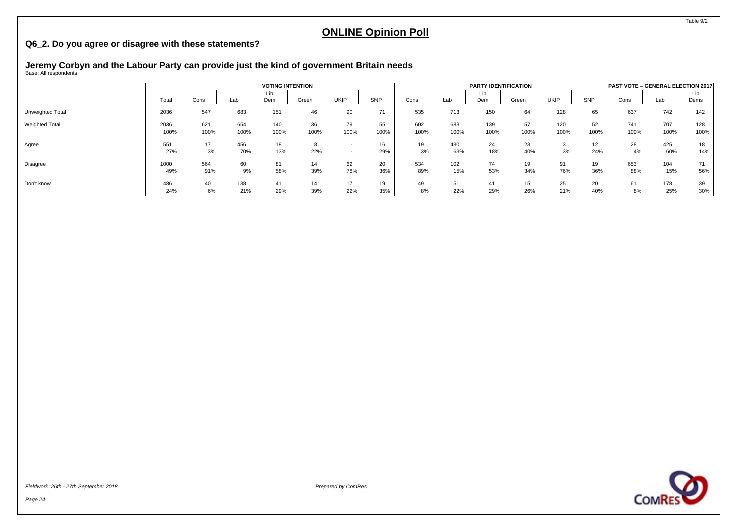#### **Q6\_2. Do you agree or disagree with these statements?**

# **Jeremy Corbyn and the Labour Party can provide just the kind of government Britain needs** Base: All respondents

|                  |              |             |             | <b>VOTING INTENTION</b> |            |            |            |             |             | <b>PARTY IDENTIFICATION</b> |            |                          |                        | <b>PAST VOTE - GENERAL ELECTION 2017</b> |             |             |
|------------------|--------------|-------------|-------------|-------------------------|------------|------------|------------|-------------|-------------|-----------------------------|------------|--------------------------|------------------------|------------------------------------------|-------------|-------------|
|                  | Total        | Cons        | Lab         | Lib<br>Dem              | Green      | UKIP       | SNP        | Cons        | Lab         | Lib<br>Dem                  | Green      | UKIP                     | <b>SNP</b>             | Cons                                     | Lab         | Lib<br>Dems |
| Unweighted Total | 2036         | 547         | 683         | 151                     | 46         | 90         | 71         | 535         | 713         | 150                         | 64         | 128                      | 65                     | 637                                      | 742         | 142         |
| Weighted Total   | 2036<br>100% | 621<br>100% | 654<br>100% | 140<br>100%             | 36<br>100% | 79<br>100% | 55<br>100% | 602<br>100% | 683<br>100% | 139<br>100%                 | 57<br>100% | 120<br>100%              | 52<br>100%             | 741<br>100%                              | 707<br>100% | 128<br>100% |
| Agree            | 551<br>27%   | 17<br>3%    | 456<br>70%  | 18<br>13%               | 22%        |            | 29%        | 19<br>3%    | 430<br>63%  | 24<br>18%                   | 23<br>40%  | $\sim$<br><b>ن</b><br>3% | 12 <sup>2</sup><br>24% | 28<br>4%                                 | 425<br>60%  | 18<br>14%   |
| Disagree         | 1000<br>49%  | 564<br>91%  | 60<br>9%    | 81<br>58%               | 14<br>39%  | 62<br>78%  | 20<br>36%  | 534<br>89%  | 102<br>15%  | 74<br>53%                   | 19<br>34%  | 91<br>76%                | 19<br>36%              | 653<br>88%                               | 104<br>15%  | 71<br>56%   |
| Don't know       | 486<br>24%   | 40<br>6%    | 138<br>21%  | 41<br>29%               | 14<br>39%  | 17<br>22%  | 19<br>35%  | 49<br>8%    | 151<br>22%  | 41<br>29%                   | 15<br>26%  | 25<br>21%                | 20<br>40%              | 61<br>8%                                 | 178<br>25%  | 39<br>30%   |

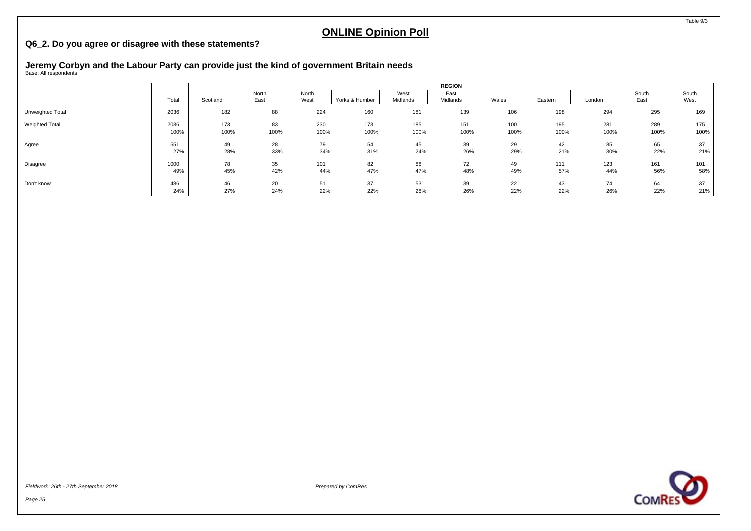#### **Q6\_2. Do you agree or disagree with these statements?**

# **Jeremy Corbyn and the Labour Party can provide just the kind of government Britain needs** Base: All respondents

|                  |       |          |               |               |                |                  | <b>REGION</b>    |       |         |        |               |               |
|------------------|-------|----------|---------------|---------------|----------------|------------------|------------------|-------|---------|--------|---------------|---------------|
|                  | Total | Scotland | North<br>East | North<br>West | Yorks & Humber | West<br>Midlands | East<br>Midlands | Wales | Eastern | London | South<br>East | South<br>West |
| Unweighted Total | 2036  | 182      | 88            | 224           | 160            | 181              | 139              | 106   | 198     | 294    | 295           | 169           |
| Weighted Total   | 2036  | 173      | 83            | 230           | 173            | 185              | 151              | 100   | 195     | 281    | 289           | 175           |
|                  | 100%  | 100%     | 100%          | 100%          | 100%           | 100%             | 100%             | 100%  | 100%    | 100%   | 100%          | 100%          |
| Agree            | 551   | 49       | 28            | 79            | 54             | 45               | 39               | 29    | 42      | 85     | 65            | 37            |
|                  | 27%   | 28%      | 33%           | 34%           | 31%            | 24%              | 26%              | 29%   | 21%     | 30%    | 22%           | 21%           |
| Disagree         | 1000  | 78       | 35            | 101           | 82             | 88               | 72               | 49    | 111     | 123    | 161           | 101           |
|                  | 49%   | 45%      | 42%           | 44%           | 47%            | 47%              | 48%              | 49%   | 57%     | 44%    | 56%           | 58%           |
| Don't know       | 486   | 46       | 20            | 51            | 37             | 53               | 39               | 22    | 43      | 74     | 64            | 37            |
|                  | 24%   | 27%      | 24%           | 22%           | 22%            | 28%              | 26%              | 22%   | 22%     | 26%    | 22%           | 21%           |

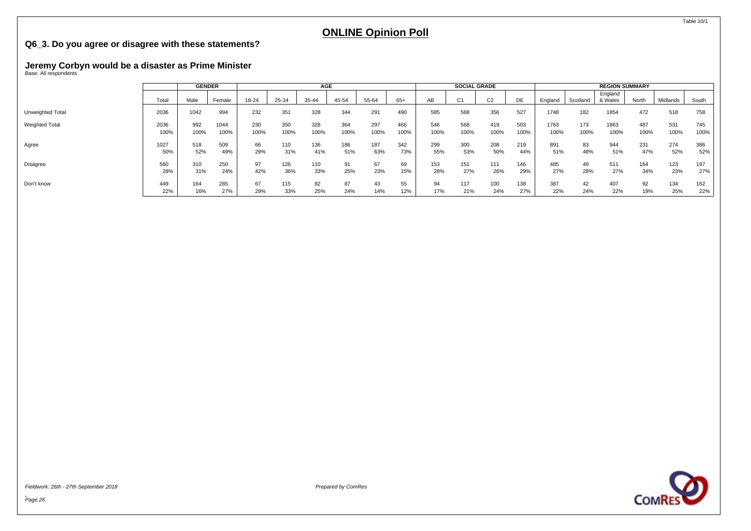#### <span id="page-27-0"></span>**Q6\_3. Do you agree or disagree with these statements?**

# **Jeremy Corbyn would be a disaster as Prime Minister** Base: All respondents

|                       |       | <b>GENDER</b> |        |       |       | AGE   |       |       |       |      | <b>SOCIAL GRADE</b> |                |      |         |          | <b>REGION SUMMARY</b> |       |          |       |
|-----------------------|-------|---------------|--------|-------|-------|-------|-------|-------|-------|------|---------------------|----------------|------|---------|----------|-----------------------|-------|----------|-------|
|                       | Total | Male          | Female | 18-24 | 25-34 | 35-44 | 45-54 | 55-64 | $65+$ | AB   | C <sub>1</sub>      | C <sub>2</sub> | DE   | England | Scotland | England<br>& Wales    | North | Midlands | South |
| Unweighted Total      | 2036  | 1042          | 994    | 232   | 351   | 328   | 344   | 291   | 490   | 585  | 568                 | 356            | 527  | 1748    | 182      | 1854                  | 472   | 518      | 758   |
| <b>Weighted Total</b> | 2036  | 992           | 1044   | 230   | 350   | 328   | 364   | 297   | 466   | 546  | 568                 | 419            | 503  | 1763    | 173      | 1863                  | 487   | 531      | 745   |
|                       | 100%  | 100%          | 100%   | 100%  | 100%  | 100%  | 100%  | 100%  | 100%  | 100% | 100%                | 100%           | 100% | 100%    | 100%     | 100%                  | 100%  | 100%     | 100%  |
| Agree                 | 1027  | 518           | 509    | 66    | 110   | 136   | 186   | 187   | 342   | 299  | 300                 | 208            | 219  | 891     | 83       | 944                   | 231   | 274      | 386   |
|                       | 50%   | 52%           | 49%    | 29%   | 31%   | 41%   | 51%   | 63%   | 73%   | 55%  | 53%                 | 50%            | 44%  | 51%     | 48%      | 51%                   | 47%   | 52%      | 52%   |
| Disagree              | 560   | 310           | 250    | 97    | 126   | 110   | 91    | 67    | 69    | 153  | 151                 | 111            | 146  | 485     | 49       | 511                   | 164   | 123      | 197   |
|                       | 28%   | 31%           | 24%    | 42%   | 36%   | 33%   | 25%   | 23%   | 15%   | 28%  | 27%                 | 26%            | 29%  | 27%     | 28%      | 27%                   | 34%   | 23%      | 27%   |
| Don't know            | 449   | 164           | 285    | 67    | 115   | 82    | 87    | 43    | 55    | 94   | 117                 | 100            | 138  | 387     | 42       | 407                   | 92    | 134      | 162   |
|                       | 22%   | 16%           | 27%    | 29%   | 33%   | 25%   | 24%   | 14%   | 12%   | 17%  | 21%                 | 24%            | 27%  | 22%     | 24%      | 22%                   | 19%   | 25%      | 22%   |

Fieldwork: 26th - 27th September 2018 Prepared by ComRes

**COMRES** 

Table 10/1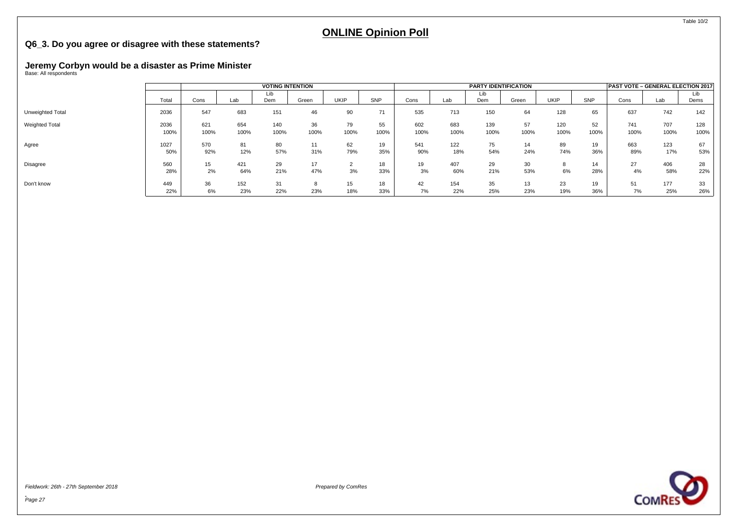#### **Q6\_3. Do you agree or disagree with these statements?**

# **Jeremy Corbyn would be a disaster as Prime Minister** Base: All respondents

|                  |              |             |             | <b>VOTING INTENTION</b> |            |            |            |             |             | <b>PARTY IDENTIFICATION</b> |            |             |            |             | PAST VOTE - GENERAL ELECTION 2017 |             |
|------------------|--------------|-------------|-------------|-------------------------|------------|------------|------------|-------------|-------------|-----------------------------|------------|-------------|------------|-------------|-----------------------------------|-------------|
|                  | Total        | Cons        | Lab         | Lıb<br>Dem              | Green      | UKIP       | SNP        | Cons        | Lab         | Lib<br>Dem                  | Green      | <b>UKIP</b> | SNP        | Cons        | Lab                               | Lib<br>Dems |
| Unweighted Total | 2036         | 547         | 683         | 151                     | 46         | 90         | 71         | 535         | 713         | 150                         | 64         | 128         | 65         | 637         | 742                               | 142         |
| Weighted Total   | 2036<br>100% | 621<br>100% | 654<br>100% | 140<br>100%             | 36<br>100% | 79<br>100% | 55<br>100% | 602<br>100% | 683<br>100% | 139<br>100%                 | 57<br>100% | 120<br>100% | 52<br>100% | 741<br>100% | 707<br>100%                       | 128<br>100% |
| Agree            | 1027<br>50%  | 570<br>92%  | 81<br>12%   | 80<br>57%               | 11<br>31%  | 62<br>79%  | 19<br>35%  | 541<br>90%  | 122<br>18%  | 75<br>54%                   | 14<br>24%  | 89<br>74%   | 19<br>36%  | 663<br>89%  | 123<br>17%                        | 67<br>53%   |
| Disagree         | 560<br>28%   | 15<br>2%    | 421<br>64%  | 29<br>21%               | 17<br>47%  | 3%         | 18<br>33%  | 19<br>3%    | 407<br>60%  | 29<br>21%                   | 30<br>53%  | 6%          | 14<br>28%  | 27<br>4%    | 406<br>58%                        | 28<br>22%   |
| Don't know       | 449<br>22%   | 36<br>6%    | 152<br>23%  | 31<br>22%               | 23%        | 15<br>18%  | 18<br>33%  | 42<br>7%    | 154<br>22%  | 35<br>25%                   | 13<br>23%  | 23<br>19%   | 19<br>36%  | 51<br>7%    | 177<br>25%                        | 33<br>26%   |





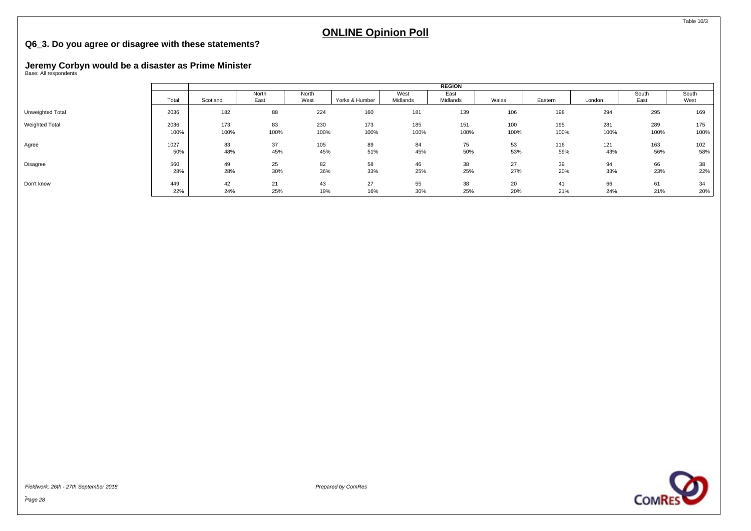#### **Q6\_3. Do you agree or disagree with these statements?**

# **Jeremy Corbyn would be a disaster as Prime Minister** Base: All respondents

|                       |       |          |               |               |                |                  | <b>REGION</b>    |       |         |        |               |               |
|-----------------------|-------|----------|---------------|---------------|----------------|------------------|------------------|-------|---------|--------|---------------|---------------|
|                       | Total | Scotland | North<br>East | North<br>West | Yorks & Humber | West<br>Midlands | East<br>Midlands | Wales | Eastern | London | South<br>East | South<br>West |
| Unweighted Total      | 2036  | 182      | 88            | 224           | 160            | 181              | 139              | 106   | 198     | 294    | 295           | 169           |
| <b>Weighted Total</b> | 2036  | 173      | 83            | 230           | 173            | 185              | 151              | 100   | 195     | 281    | 289           | 175           |
|                       | 100%  | 100%     | 100%          | 100%          | 100%           | 100%             | 100%             | 100%  | 100%    | 100%   | 100%          | 100%          |
| Agree                 | 1027  | 83       | 37            | 105           | 89             | 84               | 75               | 53    | 116     | 121    | 163           | 102           |
|                       | 50%   | 48%      | 45%           | 45%           | 51%            | 45%              | 50%              | 53%   | 59%     | 43%    | 56%           | 58%           |
| Disagree              | 560   | 49       | 25            | 82            | 58             | 46               | 38               | 27    | 39      | 94     | 66            | 38            |
|                       | 28%   | 28%      | 30%           | 36%           | 33%            | 25%              | 25%              | 27%   | 20%     | 33%    | 23%           | 22%           |
| Don't know            | 449   | 42       | 21            | 43            | 27             | 55               | 38               | 20    | 41      | 66     | 61            | 34            |
|                       | 22%   | 24%      | 25%           | 19%           | 16%            | 30%              | 25%              | 20%   | 21%     | 24%    | 21%           | 20%           |

Page 28



Table 10/3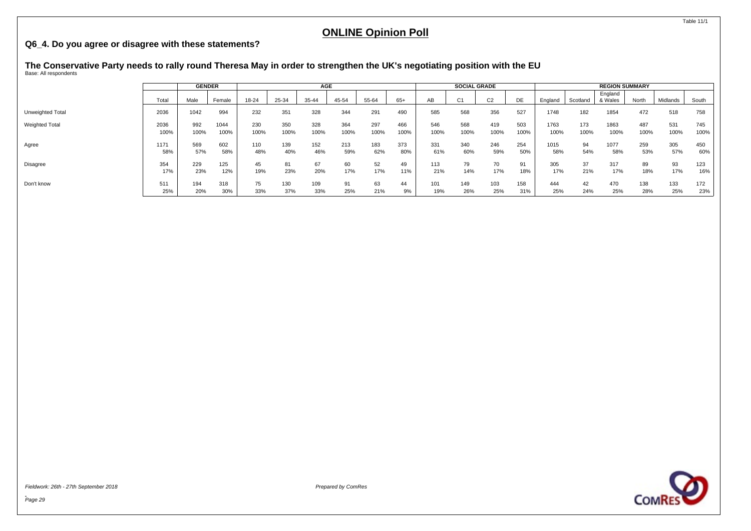#### <span id="page-30-0"></span>**Q6\_4. Do you agree or disagree with these statements?**

# **The Conservative Party needs to rally round Theresa May in order to strengthen the UK's negotiating position with the EU** Base: All respondents

|                       |       | <b>GENDER</b> |        |       |       | <b>AGE</b> |       |       |       |      | <b>SOCIAL GRADE</b> |                |      |         |          | <b>REGION SUMMARY</b> |       |          |       |
|-----------------------|-------|---------------|--------|-------|-------|------------|-------|-------|-------|------|---------------------|----------------|------|---------|----------|-----------------------|-------|----------|-------|
|                       | Total | Male          | Female | 18-24 | 25-34 | 35-44      | 45-54 | 55-64 | $65+$ | AВ   | C <sub>1</sub>      | C <sub>2</sub> | DE   | England | Scotland | England<br>& Wales    | North | Midlands | South |
| Unweighted Total      | 2036  | 1042          | 994    | 232   | 351   | 328        | 344   | 291   | 490   | 585  | 568                 | 356            | 527  | 1748    | 182      | 1854                  | 472   | 518      | 758   |
| <b>Weighted Total</b> | 2036  | 992           | 1044   | 230   | 350   | 328        | 364   | 297   | 466   | 546  | 568                 | 419            | 503  | 1763    | 173      | 1863                  | 487   | 531      | 745   |
|                       | 100%  | 100%          | 100%   | 100%  | 100%  | 100%       | 100%  | 100%  | 100%  | 100% | 100%                | 100%           | 100% | 100%    | 100%     | 100%                  | 100%  | 100%     | 100%  |
| Agree                 | 1171  | 569           | 602    | 110   | 139   | 152        | 213   | 183   | 373   | 331  | 340                 | 246            | 254  | 1015    | 94       | 1077                  | 259   | 305      | 450   |
|                       | 58%   | 57%           | 58%    | 48%   | 40%   | 46%        | 59%   | 62%   | 80%   | 61%  | 60%                 | 59%            | 50%  | 58%     | 54%      | 58%                   | 53%   | 57%      | 60%   |
| Disagree              | 354   | 229           | 125    | 45    | 81    | 67         | 60    | 52    | 49    | 113  | 79                  | 70             | 91   | 305     | 37       | 317                   | 89    | 93       | 123   |
|                       | 17%   | 23%           | 12%    | 19%   | 23%   | 20%        | 17%   | 17%   | 11%   | 21%  | 14%                 | 17%            | 18%  | 17%     | 21%      | 17%                   | 18%   | 17%      | 16%   |
| Don't know            | 511   | 194           | 318    | 75    | 130   | 109        | 91    | 63    | 44    | 101  | 149                 | 103            | 158  | 444     | 42       | 470                   | 138   | 133      | 172   |
|                       | 25%   | 20%           | 30%    | 33%   | 37%   | 33%        | 25%   | 21%   | 9%    | 19%  | 26%                 | 25%            | 31%  | 25%     | 24%      | 25%                   | 28%   | 25%      | 23%   |

Fieldwork: 26th - 27th September 2018 Prepared by ComRes

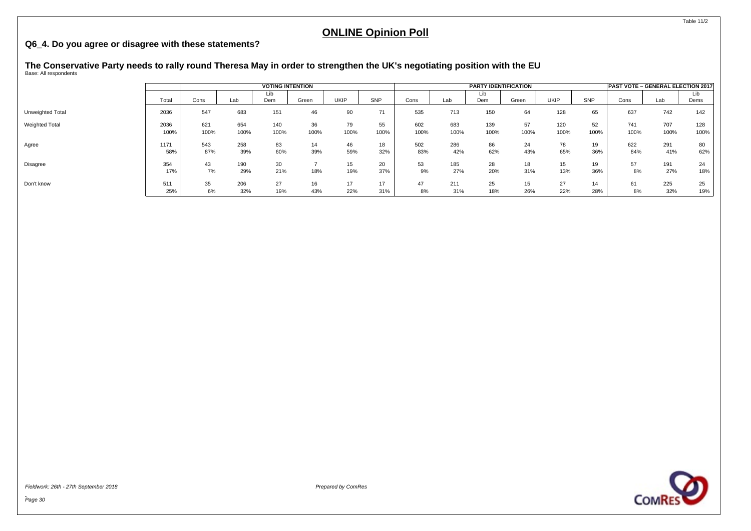#### **Q6\_4. Do you agree or disagree with these statements?**

# **The Conservative Party needs to rally round Theresa May in order to strengthen the UK's negotiating position with the EU** Base: All respondents

|                  |       |      |      | <b>VOTING INTENTION</b> |       |             |      |      |      | <b>PARTY IDENTIFICATION</b> |       |             |      | PAST VOTE - GENERAL ELECTION 2017 |      |      |
|------------------|-------|------|------|-------------------------|-------|-------------|------|------|------|-----------------------------|-------|-------------|------|-----------------------------------|------|------|
|                  |       |      |      | Lib                     |       |             |      |      |      | Lib                         |       |             |      |                                   |      | Lıb  |
|                  | Total | Cons | Lab  | Dem                     | Green | <b>UKIP</b> | SNP  | Cons | Lab  | Dem                         | Green | <b>UKIP</b> | SNP  | Cons                              | Lab  | Dems |
| Unweighted Total | 2036  | 547  | 683  | 151                     | 46    | 90          | 71   | 535  | 713  | 150                         | 64    | 128         | 65   | 637                               | 742  | 142  |
| Weighted Total   | 2036  | 621  | 654  | 140                     | 36    | 79          | 55   | 602  | 683  | 139                         | 57    | 120         | 52   | 741                               | 707  | 128  |
|                  | 100%  | 100% | 100% | 100%                    | 100%  | 100%        | 100% | 100% | 100% | 100%                        | 100%  | 100%        | 100% | 100%                              | 100% | 100% |
| Agree            | 1171  | 543  | 258  | 83                      | 14    | 46          | 18   | 502  | 286  | 86                          | 24    | 78          | 19   | 622                               | 291  | 80   |
|                  | 58%   | 87%  | 39%  | 60%                     | 39%   | 59%         | 32%  | 83%  | 42%  | 62%                         | 43%   | 65%         | 36%  | 84%                               | 41%  | 62%  |
| <b>Disagree</b>  | 354   | 43   | 190  | 30                      |       | 15          | 20   | 53   | 185  | 28                          | 18    | 15          | 19   | 57                                | 191  | 24   |
|                  | 17%   | 7%   | 29%  | 21%                     | 18%   | 19%         | 37%  | 9%   | 27%  | 20%                         | 31%   | 13%         | 36%  | 8%                                | 27%  | 18%  |
| Don't know       | 511   | 35   | 206  | 27                      | 16    |             | 17   | 47   | 211  | 25                          | 15    | 27          | 14   | 61                                | 225  | 25   |
|                  | 25%   | 6%   | 32%  | 19%                     | 43%   | 22%         | 31%  | 8%   | 31%  | 18%                         | 26%   | 22%         | 28%  | 8%                                | 32%  | 19%  |

Fieldwork: 26th - 27th September 2018 Prepared by ComRes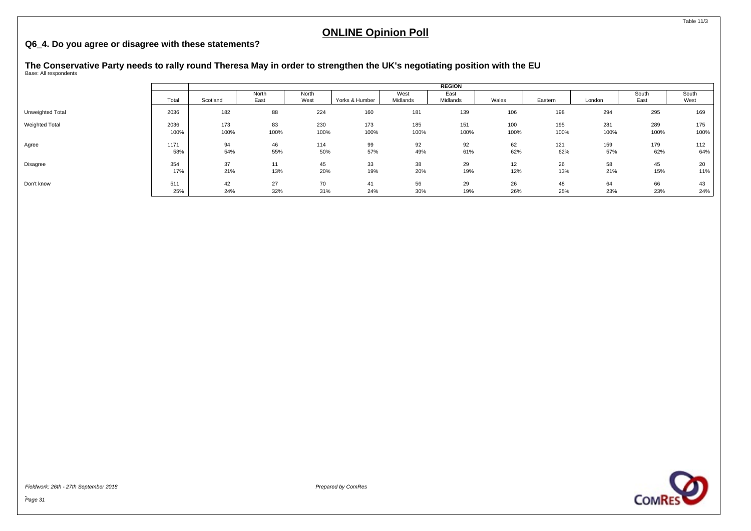#### **Q6\_4. Do you agree or disagree with these statements?**

# **The Conservative Party needs to rally round Theresa May in order to strengthen the UK's negotiating position with the EU** Base: All respondents

|                  |            |           |           |           |                |           | <b>REGION</b> |           |           |           |           |           |
|------------------|------------|-----------|-----------|-----------|----------------|-----------|---------------|-----------|-----------|-----------|-----------|-----------|
|                  |            |           | North     | North     |                | West      | East          |           |           |           | South     | South     |
|                  | Total      | Scotland  | East      | West      | Yorks & Humber | Midlands  | Midlands      | Wales     | Eastern   | London    | East      | West      |
| Unweighted Total | 2036       | 182       | 88        | 224       | 160            | 181       | 139           | 106       | 198       | 294       | 295       | 169       |
| Weighted Total   | 2036       | 173       | 83        | 230       | 173            | 185       | 151           | 100       | 195       | 281       | 289       | 175       |
|                  | 100%       | 100%      | 100%      | 100%      | 100%           | 100%      | 100%          | 100%      | 100%      | 100%      | 100%      | 100%      |
| Agree            | 1171       | 94        | 46        | 114       | 99             | 92        | 92            | 62        | 121       | 159       | 179       | 112       |
|                  | 58%        | 54%       | 55%       | 50%       | 57%            | 49%       | 61%           | 62%       | 62%       | 57%       | 62%       | 64%       |
| Disagree         | 354        | 37        | 11        | 45        | 33             | 38        | 29            | 12        | 26        | 58        | 45        | 20        |
|                  | 17%        | 21%       | 13%       | 20%       | 19%            | 20%       | 19%           | 12%       | 13%       | 21%       | 15%       | 11%       |
| Don't know       | 511<br>25% | 42<br>24% | 27<br>32% | 70<br>31% | 41<br>24%      | 56<br>30% | 29<br>19%     | 26<br>26% | 48<br>25% | 64<br>23% | 66<br>23% | 43<br>24% |

Fieldwork: 26th - 27th September 2018 Prepared by ComRes



Table 11/3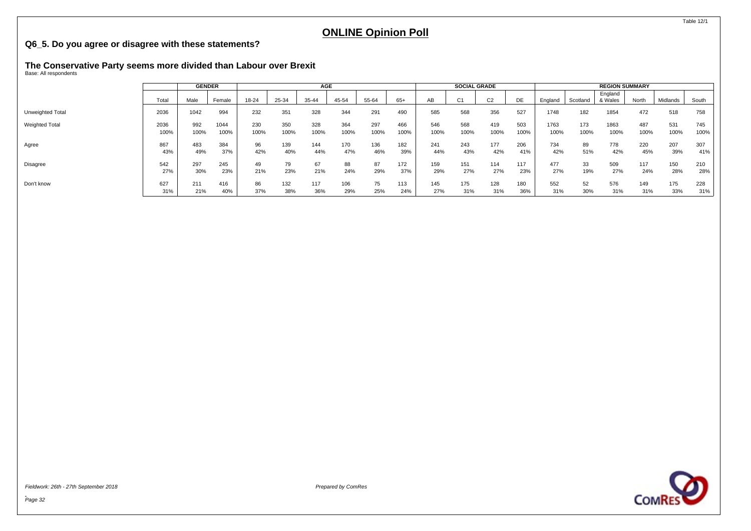#### <span id="page-33-0"></span>**Q6\_5. Do you agree or disagree with these statements?**

# **The Conservative Party seems more divided than Labour over Brexit** Base: All respondents

|                       |       | <b>GENDER</b> |        |       |       | AGE   |       |       |       |      | <b>SOCIAL GRADE</b> |                |      |         |          | <b>REGION SUMMARY</b> |       |          |        |
|-----------------------|-------|---------------|--------|-------|-------|-------|-------|-------|-------|------|---------------------|----------------|------|---------|----------|-----------------------|-------|----------|--------|
|                       | Total | Male          | Female | 18-24 | 25-34 | 35-44 | 45-54 | 55-64 | $65+$ | AB   | C <sub>1</sub>      | C <sub>2</sub> | DE.  | England | Scotland | England<br>& Wales    | North | Midlands | South  |
| Unweighted Total      | 2036  | 1042          | 994    | 232   | 351   | 328   | 344   | 291   | 490   | 585  | 568                 | 356            | 527  | 1748    | 182      | 1854                  | 472   | 518      | 758    |
| <b>Weighted Total</b> | 2036  | 992           | 1044   | 230   | 350   | 328   | 364   | 297   | 466   | 546  | 568                 | 419            | 503  | 1763    | 173      | 1863                  | 487   | 531      | 745    |
|                       | 100%  | 100%          | 100%   | 100%  | 100%  | 100%  | 100%  | 100%  | 100%  | 100% | 100%                | 100%           | 100% | 100%    | 100%     | 100%                  | 100%  | 100%     | 100%   |
| Agree                 | 867   | 483           | 384    | 96    | 139   | 144   | 170   | 136   | 182   | 241  | 243                 | 177            | 206  | 734     | 89       | 778                   | 220   | 207      | 307    |
|                       | 43%   | 49%           | 37%    | 42%   | 40%   | 44%   | 47%   | 46%   | 39%   | 44%  | 43%                 | 42%            | 41%  | 42%     | 51%      | 42%                   | 45%   | 39%      | 41%    |
| Disagree              | 542   | 297           | 245    | 49    | 79    | 67    | 88    | 87    | 172   | 159  | 151                 | 114            | 117  | 477     | 33       | 509                   | 117   | 150      | 210    |
|                       | 27%   | 30%           | 23%    | 21%   | 23%   | 21%   | 24%   | 29%   | 37%   | 29%  | 27%                 | 27%            | 23%  | 27%     | 19%      | 27%                   | 24%   | 28%      | 28%    |
| Don't know            | 627   | 211           | 416    | 86    | 132   | 117   | 106   | 75    | 113   | 145  | 175                 | 128            | 180  | 552     | 52       | 576                   | 149   | 175      | 228    |
|                       | 31%   | 21%           | 40%    | 37%   | 38%   | 36%   | 29%   | 25%   | 24%   | 27%  | 31%                 | 31%            | 36%  | 31%     | 30%      | 31%                   | 31%   | 33%      | $31\%$ |

Fieldwork: 26th - 27th September 2018 Prepared by ComRes

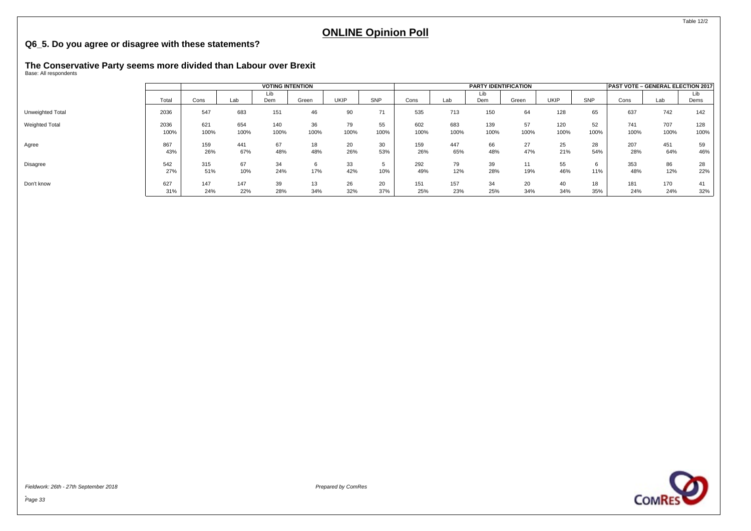#### **Q6\_5. Do you agree or disagree with these statements?**

# **The Conservative Party seems more divided than Labour over Brexit** Base: All respondents

|                       |       | <b>VOTING INTENTION</b> |      |      |       |      |      |      | <b>PARTY IDENTIFICATION</b> |      |       |             | PAST VOTE - GENERAL ELECTION 2017 |      |      |      |
|-----------------------|-------|-------------------------|------|------|-------|------|------|------|-----------------------------|------|-------|-------------|-----------------------------------|------|------|------|
|                       |       |                         |      | Lib  |       |      |      |      |                             | Lıb  |       |             |                                   |      |      | Lib  |
|                       | Total | Cons                    | Lab  | Dem  | Green | UKIP | SNP  | Cons | Lab                         | Dem  | Green | <b>UKIP</b> | SNP                               | Cons | Lab  | Dems |
| Unweighted Total      | 2036  | 547                     | 683  | 151  | 46    | 90   | 71   | 535  | 713                         | 150  | 64    | 128         | 65                                | 637  | 742  | 142  |
| <b>Weighted Total</b> | 2036  | 621                     | 654  | 140  | 36    | 79   | 55   | 602  | 683                         | 139  | 57    | 120         | 52                                | 741  | 707  | 128  |
|                       | 100%  | 100%                    | 100% | 100% | 100%  | 100% | 100% | 100% | 100%                        | 100% | 100%  | 100%        | 100%                              | 100% | 100% | 100% |
| Agree                 | 867   | 159                     | 441  | 67   | 18    | 20   | 30   | 159  | 447                         | 66   | 27    | 25          | 28                                | 207  | 451  | 59   |
|                       | 43%   | 26%                     | 67%  | 48%  | 48%   | 26%  | 53%  | 26%  | 65%                         | 48%  | 47%   | 21%         | 54%                               | 28%  | 64%  | 46%  |
| <b>Disagree</b>       | 542   | 315                     | 67   | 34   |       | 33   |      | 292  | 79                          | 39   | 11    | 55          | O                                 | 353  | 86   | 28   |
|                       | 27%   | 51%                     | 10%  | 24%  | 17%   | 42%  | 10%  | 49%  | 12%                         | 28%  | 19%   | 46%         | 11%                               | 48%  | 12%  | 22%  |
| Don't know            | 627   | 147                     | 147  | 39   | 13    | 26   | 20   | 151  | 157                         | 34   | 20    | 40          | 18                                | 181  | 170  | 41   |
|                       | 31%   | 24%                     | 22%  | 28%  | 34%   | 32%  | 37%  | 25%  | 23%                         | 25%  | 34%   | 34%         | 35%                               | 24%  | 24%  | 32%  |

Fieldwork: 26th - 27th September 2018 Prepared by ComRes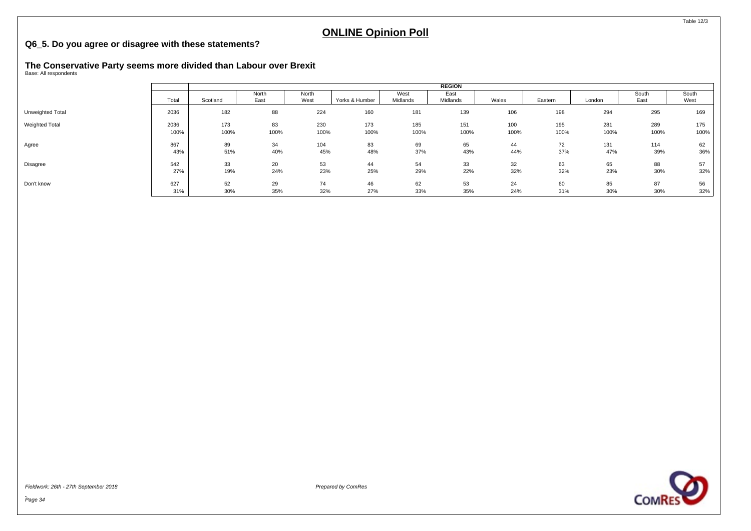#### **Q6\_5. Do you agree or disagree with these statements?**

# **The Conservative Party seems more divided than Labour over Brexit** Base: All respondents

|                  |       |          |               |               |                |                  | <b>REGION</b>    |       |         |        |               |               |
|------------------|-------|----------|---------------|---------------|----------------|------------------|------------------|-------|---------|--------|---------------|---------------|
|                  | Total | Scotland | North<br>East | North<br>West | Yorks & Humber | West<br>Midlands | East<br>Midlands | Wales | Eastern | London | South<br>East | South<br>West |
|                  |       |          |               |               |                |                  |                  |       |         |        |               |               |
| Unweighted Total | 2036  | 182      | 88            | 224           | 160            | 181              | 139              | 106   | 198     | 294    | 295           | 169           |
| Weighted Total   | 2036  | 173      | 83            | 230           | 173            | 185              | 151              | 100   | 195     | 281    | 289           | 175           |
|                  | 100%  | 100%     | 100%          | 100%          | 100%           | 100%             | 100%             | 100%  | 100%    | 100%   | 100%          | 100%          |
| Agree            | 867   | 89       | 34            | 104           | 83             | 69               | 65               | 44    | 72      | 131    | 114           | 62            |
|                  | 43%   | 51%      | 40%           | 45%           | 48%            | 37%              | 43%              | 44%   | 37%     | 47%    | 39%           | 36%           |
| Disagree         | 542   | 33       | 20            | 53            | 44             | 54               | 33               | 32    | 63      | 65     | 88            | 57            |
|                  | 27%   | 19%      | 24%           | 23%           | 25%            | 29%              | 22%              | 32%   | 32%     | 23%    | 30%           | 32%           |
| Don't know       | 627   | 52       | 29            | 74            | 46             | 62               | 53               | 24    | 60      | 85     | 87            | 56            |
|                  | 31%   | 30%      | 35%           | 32%           | 27%            | 33%              | 35%              | 24%   | 31%     | 30%    | 30%           | 32%           |

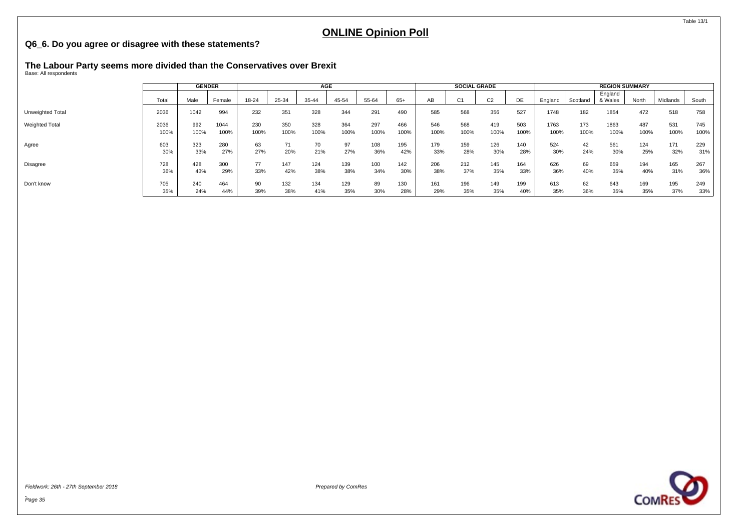#### <span id="page-36-0"></span>**Q6\_6. Do you agree or disagree with these statements?**

# **The Labour Party seems more divided than the Conservatives over Brexit** Base: All respondents

|                  |       | <b>GENDER</b> |        |       | AGE   |       |       |       |       |      | <b>SOCIAL GRADE</b> |                |      | <b>REGION SUMMARY</b> |          |                    |       |          |       |  |
|------------------|-------|---------------|--------|-------|-------|-------|-------|-------|-------|------|---------------------|----------------|------|-----------------------|----------|--------------------|-------|----------|-------|--|
|                  | Total | Male          | Female | 18-24 | 25-34 | 35-44 | 45-54 | 55-64 | $65+$ | AB   | C <sub>1</sub>      | C <sub>2</sub> | DE   | England               | Scotland | England<br>& Wales | North | Midlands | South |  |
| Unweighted Total | 2036  | 1042          | 994    | 232   | 351   | 328   | 344   | 291   | 490   | 585  | 568                 | 356            | 527  | 1748                  | 182      | 1854               | 472   | 518      | 758   |  |
| Weighted Total   | 2036  | 992           | 1044   | 230   | 350   | 328   | 364   | 297   | 466   | 546  | 568                 | 419            | 503  | 1763                  | 173      | 1863               | 487   | 531      | 745   |  |
|                  | 100%  | 100%          | 100%   | 100%  | 100%  | 100%  | 100%  | 100%  | 100%  | 100% | 100%                | 100%           | 100% | 100%                  | 100%     | 100%               | 100%  | 100%     | 100%  |  |
| Agree            | 603   | 323           | 280    | 63    | 71    | 70    | 97    | 108   | 195   | 179  | 159                 | 126            | 140  | 524                   | 42       | 561                | 124   | 171      | 229   |  |
|                  | 30%   | 33%           | 27%    | 27%   | 20%   | 21%   | 27%   | 36%   | 42%   | 33%  | 28%                 | 30%            | 28%  | 30%                   | 24%      | 30%                | 25%   | 32%      | 31%   |  |
| Disagree         | 728   | 428           | 300    | 77    | 147   | 124   | 139   | 100   | 142   | 206  | 212                 | 145            | 164  | 626                   | 69       | 659                | 194   | 165      | 267   |  |
|                  | 36%   | 43%           | 29%    | 33%   | 42%   | 38%   | 38%   | 34%   | 30%   | 38%  | 37%                 | 35%            | 33%  | 36%                   | 40%      | 35%                | 40%   | 31%      | 36%   |  |
| Don't know       | 705   | 240           | 464    | 90    | 132   | 134   | 129   | 89    | 130   | 161  | 196                 | 149            | 199  | 613                   | 62       | 643                | 169   | 195      | 249   |  |
|                  | 35%   | 24%           | 44%    | 39%   | 38%   | 41%   | 35%   | 30%   | 28%   | 29%  | 35%                 | 35%            | 40%  | 35%                   | 36%      | 35%                | 35%   | 37%      | 33%   |  |

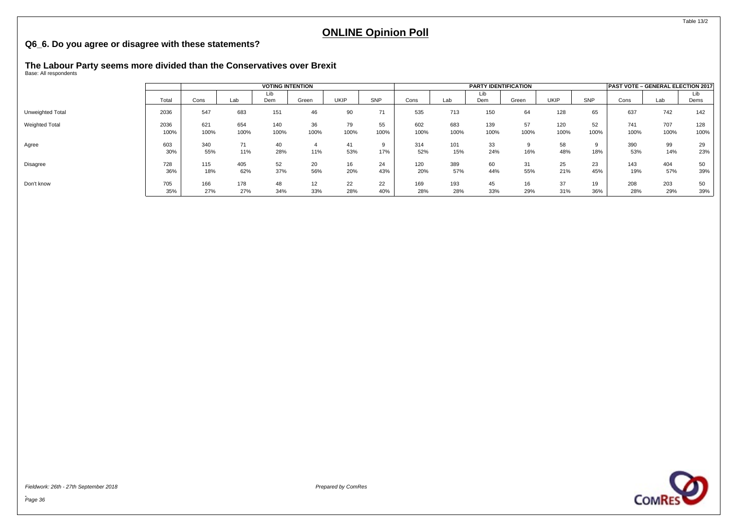#### **Q6\_6. Do you agree or disagree with these statements?**

# **The Labour Party seems more divided than the Conservatives over Brexit** Base: All respondents

|                  |       |      |      | <b>VOTING INTENTION</b> |       |      |      |      | <b>PARTY IDENTIFICATION</b> | <b>PAST VOTE - GENERAL ELECTION 2017</b> |       |             |      |      |      |      |
|------------------|-------|------|------|-------------------------|-------|------|------|------|-----------------------------|------------------------------------------|-------|-------------|------|------|------|------|
|                  |       |      |      | Lib                     |       |      |      |      |                             | Lib                                      |       |             |      |      |      | Lib  |
|                  | Total | Cons | Lab  | Dem                     | Green | UKIP | SNP  | Cons | Lab                         | Dem                                      | Green | <b>UKIP</b> | SNP  | Cons | Lab  | Dems |
| Unweighted Total | 2036  | 547  | 683  | 151                     | 46    | 90   | 71   | 535  | 713                         | 150                                      | 64    | 128         | 65   | 637  | 742  | 142  |
| Weighted Total   | 2036  | 621  | 654  | 140                     | 36    | 79   | 55   | 602  | 683                         | 139                                      | 57    | 120         | 52   | 741  | 707  | 128  |
|                  | 100%  | 100% | 100% | 100%                    | 100%  | 100% | 100% | 100% | 100%                        | 100%                                     | 100%  | 100%        | 100% | 100% | 100% | 100% |
| Agree            | 603   | 340  | 71   | 40                      |       | 41   |      | 314  | 101                         | 33                                       |       | 58          |      | 390  | 99   | 29   |
|                  | 30%   | 55%  | 11%  | 28%                     | 11%   | 53%  | 17%  | 52%  | 15%                         | 24%                                      | 16%   | 48%         | 18%  | 53%  | 14%  | 23%  |
| Disagree         | 728   | 115  | 405  | 52                      | 20    | 16   | 24   | 120  | 389                         | 60                                       | 31    | 25          | 23   | 143  | 404  | 50   |
|                  | 36%   | 18%  | 62%  | 37%                     | 56%   | 20%  | 43%  | 20%  | 57%                         | 44%                                      | 55%   | 21%         | 45%  | 19%  | 57%  | 39%  |
| Don't know       | 705   | 166  | 178  | 48                      | 12    | 22   | 22   | 169  | 193                         | 45                                       | 16    | 37          | 19   | 208  | 203  | 50   |
|                  | 35%   | 27%  | 27%  | 34%                     | 33%   | 28%  | 40%  | 28%  | 28%                         | 33%                                      | 29%   | 31%         | 36%  | 28%  | 29%  | 39%  |

Fieldwork: 26th - 27th September 2018 Prepared by ComRes



Table 13/2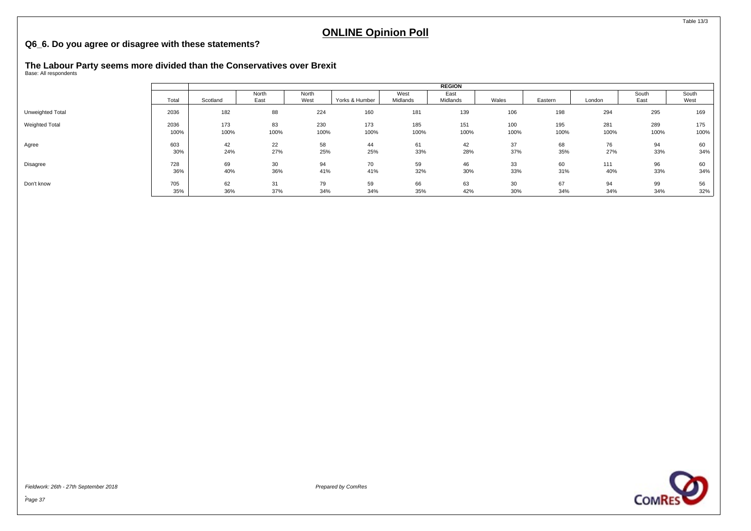#### **Q6\_6. Do you agree or disagree with these statements?**

# **The Labour Party seems more divided than the Conservatives over Brexit** Base: All respondents

|                       |       |          | <b>REGION</b> |       |                |          |          |       |         |        |       |       |
|-----------------------|-------|----------|---------------|-------|----------------|----------|----------|-------|---------|--------|-------|-------|
|                       |       |          | North         | North |                | West     | East     |       |         |        | South | South |
|                       | Total | Scotland | East          | West  | Yorks & Humber | Midlands | Midlands | Wales | Eastern | London | East  | West  |
| Unweighted Total      | 2036  | 182      | 88            | 224   | 160            | 181      | 139      | 106   | 198     | 294    | 295   | 169   |
| <b>Weighted Total</b> | 2036  | 173      | 83            | 230   | 173            | 185      | 151      | 100   | 195     | 281    | 289   | 175   |
|                       | 100%  | 100%     | 100%          | 100%  | 100%           | 100%     | 100%     | 100%  | 100%    | 100%   | 100%  | 100%  |
| Agree                 | 603   | 42       | 22            | 58    | 44             | 61       | 42       | 37    | 68      | 76     | 94    | 60    |
|                       | 30%   | 24%      | 27%           | 25%   | 25%            | 33%      | 28%      | 37%   | 35%     | 27%    | 33%   | 34%   |
| Disagree              | 728   | 69       | 30            | 94    | 70             | 59       | 46       | 33    | 60      | 111    | 96    | 60    |
|                       | 36%   | 40%      | 36%           | 41%   | 41%            | 32%      | 30%      | 33%   | 31%     | 40%    | 33%   | 34%   |
| Don't know            | 705   | 62       | 31            | 79    | 59             | 66       | 63       | 30    | 67      | 94     | 99    | 56    |
|                       | 35%   | 36%      | 37%           | 34%   | 34%            | 35%      | 42%      | 30%   | 34%     | 34%    | 34%   | 32%   |

Fieldwork: 26th - 27th September 2018 Prepared by ComRes



Table 13/3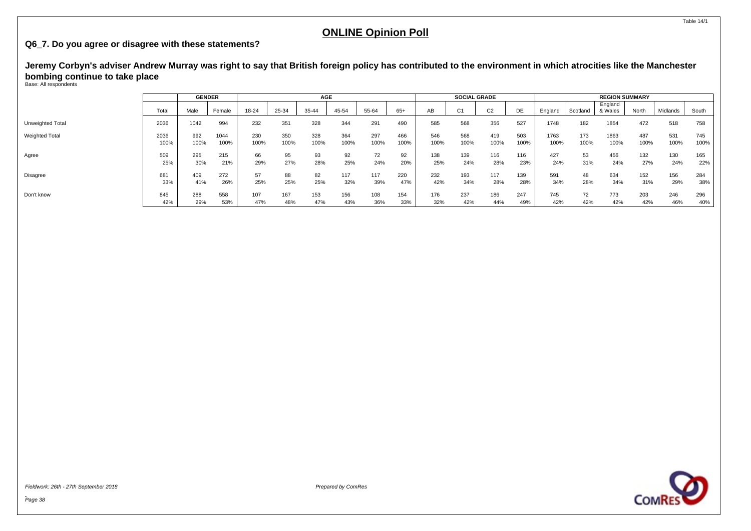#### <span id="page-39-0"></span>**Q6\_7. Do you agree or disagree with these statements?**

**Jeremy Corbyn's adviser Andrew Murray was right to say that British foreign policy has contributed to the environment in which atrocities like the Manchester bombing continue to take place**

Base: All respondents

|                       |       | <b>GENDER</b> |        |       |       | AGE   |       |       |       |      | <b>SOCIAL GRADE</b> |                |      | <b>REGION SUMMARY</b> |          |                    |       |          |       |  |
|-----------------------|-------|---------------|--------|-------|-------|-------|-------|-------|-------|------|---------------------|----------------|------|-----------------------|----------|--------------------|-------|----------|-------|--|
|                       | Total | Male          | Female | 18-24 | 25-34 | 35-44 | 45-54 | 55-64 | $65+$ | AB   | $\sim$              | C <sub>2</sub> | DE.  | England               | Scotland | England<br>& Wales | North | Midlands | South |  |
| Unweighted Total      | 2036  | 1042          | 994    | 232   | 351   | 328   | 344   | 291   | 490   | 585  | 568                 | 356            | 527  | 1748                  | 182      | 1854               | 472   | 518      | 758   |  |
| <b>Weighted Total</b> | 2036  | 992           | 1044   | 230   | 350   | 328   | 364   | 297   | 466   | 546  | 568                 | 419            | 503  | 1763                  | 173      | 1863               | 487   | 531      | 745   |  |
|                       | 100%  | 100%          | 100%   | 100%  | 100%  | 100%  | 100%  | 100%  | 100%  | 100% | 100%                | 100%           | 100% | 100%                  | 100%     | 100%               | 100%  | 100%     | 100%  |  |
| Agree                 | 509   | 295           | 215    | 66    | 95    | 93    | 92    | 72    | 92    | 138  | 139                 | 116            | 116  | 427                   | 53       | 456                | 132   | 130      | 165   |  |
|                       | 25%   | 30%           | 21%    | 29%   | 27%   | 28%   | 25%   | 24%   | 20%   | 25%  | 24%                 | 28%            | 23%  | 24%                   | 31%      | 24%                | 27%   | 24%      | 22%   |  |
| Disagree              | 681   | 409           | 272    | 57    | 88    | 82    | 117   | 117   | 220   | 232  | 193                 | 117            | 139  | 591                   | 48       | 634                | 152   | 156      | 284   |  |
|                       | 33%   | 41%           | 26%    | 25%   | 25%   | 25%   | 32%   | 39%   | 47%   | 42%  | 34%                 | 28%            | 28%  | 34%                   | 28%      | 34%                | 31%   | 29%      | 38%   |  |
| Don't know            | 845   | 288           | 558    | 107   | 167   | 153   | 156   | 108   | 154   | 176  | 237                 | 186            | 247  | 745                   | 72       | 773                | 203   | 246      | 296   |  |
|                       | 42%   | 29%           | 53%    | 47%   | 48%   | 47%   | 43%   | 36%   | 33%   | 32%  | 42%                 | 44%            | 49%  | 42%                   | 42%      | 42%                | 42%   | 46%      | 40%   |  |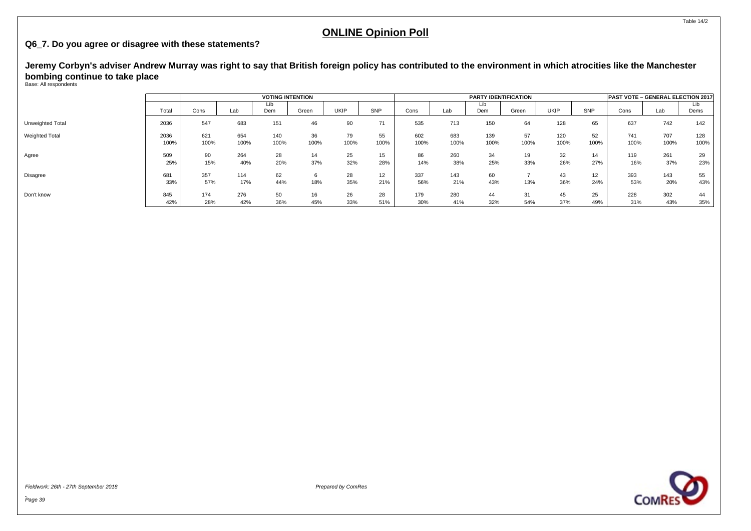#### **Q6\_7. Do you agree or disagree with these statements?**

**Jeremy Corbyn's adviser Andrew Murray was right to say that British foreign policy has contributed to the environment in which atrocities like the Manchester bombing continue to take place**

Base: All respondents

|                       |              |             |             | <b>VOTING INTENTION</b> |            |             |            |             |             |             | PAST VOTE - GENERAL ELECTION 2017 |             |            |             |             |             |
|-----------------------|--------------|-------------|-------------|-------------------------|------------|-------------|------------|-------------|-------------|-------------|-----------------------------------|-------------|------------|-------------|-------------|-------------|
|                       | Total        | Cons        | Lab         | Lib<br>Dem              | Green      | <b>UKIP</b> | SNP        | Cons        | Lab         | Lib<br>Dem  | Green                             | <b>UKIP</b> | SNP        | Cons        | Lab         | Lib<br>Dems |
| Unweighted Total      | 2036         | 547         | 683         | 151                     | 46         | 90          | 71         | 535         | 713         | 150         | 64                                | 128         | 65         | 637         | 742         | 142         |
| <b>Weighted Total</b> | 2036<br>100% | 621<br>100% | 654<br>100% | 140<br>100%             | 36<br>100% | 79<br>100%  | 55<br>100% | 602<br>100% | 683<br>100% | 139<br>100% | 57<br>100%                        | 120<br>100% | 52<br>100% | 741<br>100% | 707<br>100% | 128<br>100% |
| Agree                 | 509<br>25%   | 90<br>15%   | 264<br>40%  | 28<br>20%               | 14<br>37%  | 25<br>32%   | 15<br>28%  | 86<br>14%   | 260<br>38%  | 34<br>25%   | 19<br>33%                         | 32<br>26%   | 14<br>27%  | 119<br>16%  | 261<br>37%  | 29<br>23%   |
| Disagree              | 681<br>33%   | 357<br>57%  | 114<br>17%  | 62<br>44%               | 6<br>18%   | 28<br>35%   | 12<br>21%  | 337<br>56%  | 143<br>21%  | 60<br>43%   | 13%                               | 43<br>36%   | 12<br>24%  | 393<br>53%  | 143<br>20%  | 55<br>43%   |
| Don't know            | 845<br>42%   | 174<br>28%  | 276<br>42%  | 50<br>36%               | 16<br>45%  | 26<br>33%   | 28<br>51%  | 179<br>30%  | 280<br>41%  | 44<br>32%   | 31<br>54%                         | 45<br>37%   | 25<br>49%  | 228<br>31%  | 302<br>43%  | 44<br>35%   |